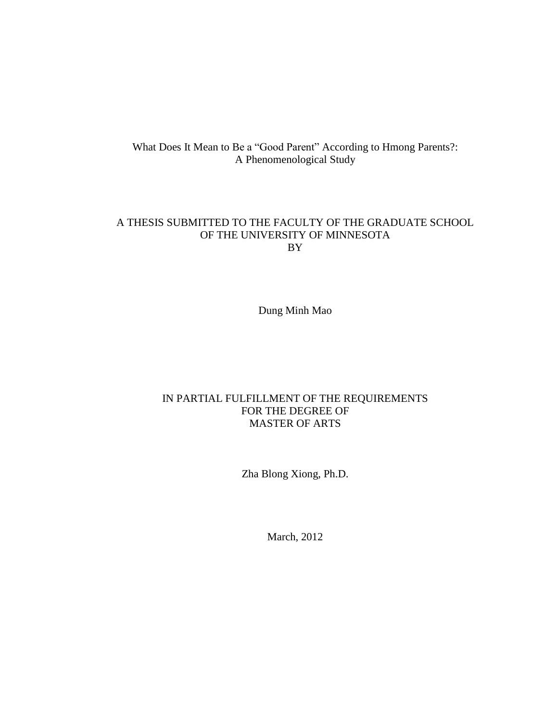# What Does It Mean to Be a "Good Parent" According to Hmong Parents?: A Phenomenological Study

# A THESIS SUBMITTED TO THE FACULTY OF THE GRADUATE SCHOOL OF THE UNIVERSITY OF MINNESOTA BY

Dung Minh Mao

# IN PARTIAL FULFILLMENT OF THE REQUIREMENTS FOR THE DEGREE OF MASTER OF ARTS

Zha Blong Xiong, Ph.D.

March, 2012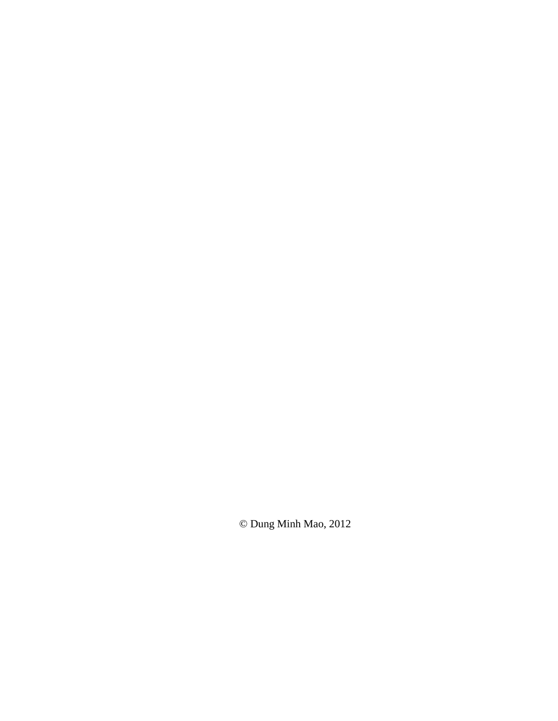© Dung Minh Mao, 2012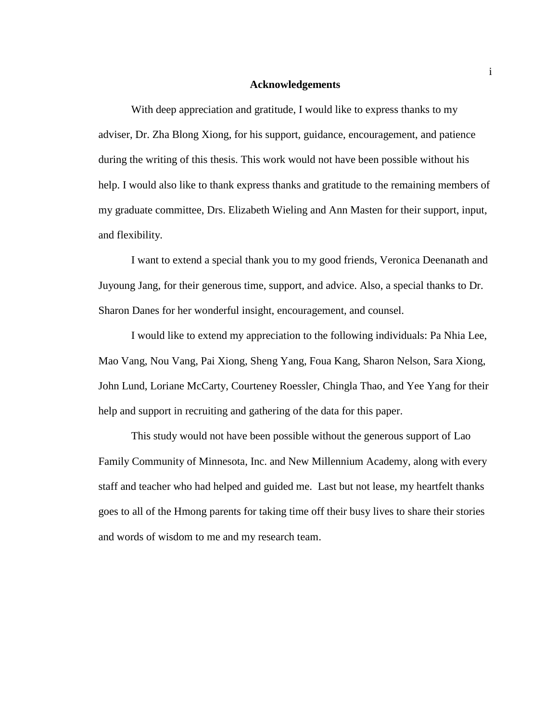#### **Acknowledgements**

With deep appreciation and gratitude, I would like to express thanks to my adviser, Dr. Zha Blong Xiong, for his support, guidance, encouragement, and patience during the writing of this thesis. This work would not have been possible without his help. I would also like to thank express thanks and gratitude to the remaining members of my graduate committee, Drs. Elizabeth Wieling and Ann Masten for their support, input, and flexibility.

I want to extend a special thank you to my good friends, Veronica Deenanath and Juyoung Jang, for their generous time, support, and advice. Also, a special thanks to Dr. Sharon Danes for her wonderful insight, encouragement, and counsel.

I would like to extend my appreciation to the following individuals: Pa Nhia Lee, Mao Vang, Nou Vang, Pai Xiong, Sheng Yang, Foua Kang, Sharon Nelson, Sara Xiong, John Lund, Loriane McCarty, Courteney Roessler, Chingla Thao, and Yee Yang for their help and support in recruiting and gathering of the data for this paper.

This study would not have been possible without the generous support of Lao Family Community of Minnesota, Inc. and New Millennium Academy, along with every staff and teacher who had helped and guided me. Last but not lease, my heartfelt thanks goes to all of the Hmong parents for taking time off their busy lives to share their stories and words of wisdom to me and my research team.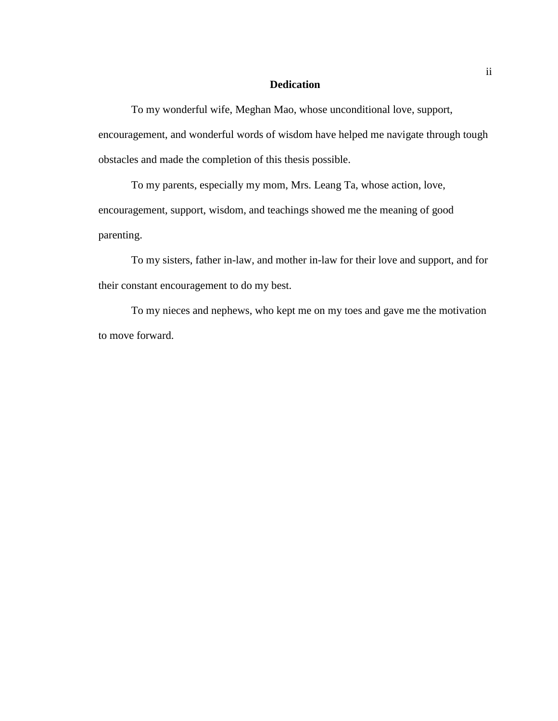### **Dedication**

To my wonderful wife, Meghan Mao, whose unconditional love, support, encouragement, and wonderful words of wisdom have helped me navigate through tough obstacles and made the completion of this thesis possible.

To my parents, especially my mom, Mrs. Leang Ta, whose action, love, encouragement, support, wisdom, and teachings showed me the meaning of good parenting.

To my sisters, father in-law, and mother in-law for their love and support, and for their constant encouragement to do my best.

To my nieces and nephews, who kept me on my toes and gave me the motivation to move forward.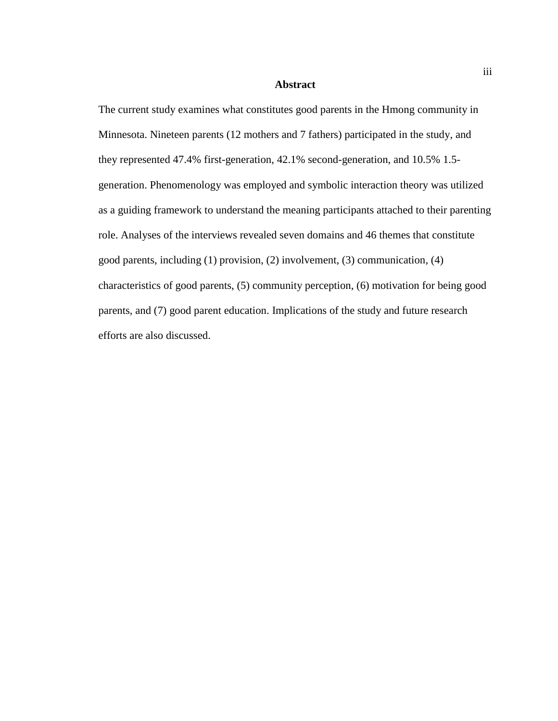#### **Abstract**

The current study examines what constitutes good parents in the Hmong community in Minnesota. Nineteen parents (12 mothers and 7 fathers) participated in the study, and they represented 47.4% first-generation, 42.1% second-generation, and 10.5% 1.5 generation. Phenomenology was employed and symbolic interaction theory was utilized as a guiding framework to understand the meaning participants attached to their parenting role. Analyses of the interviews revealed seven domains and 46 themes that constitute good parents, including (1) provision, (2) involvement, (3) communication, (4) characteristics of good parents, (5) community perception, (6) motivation for being good parents, and (7) good parent education. Implications of the study and future research efforts are also discussed.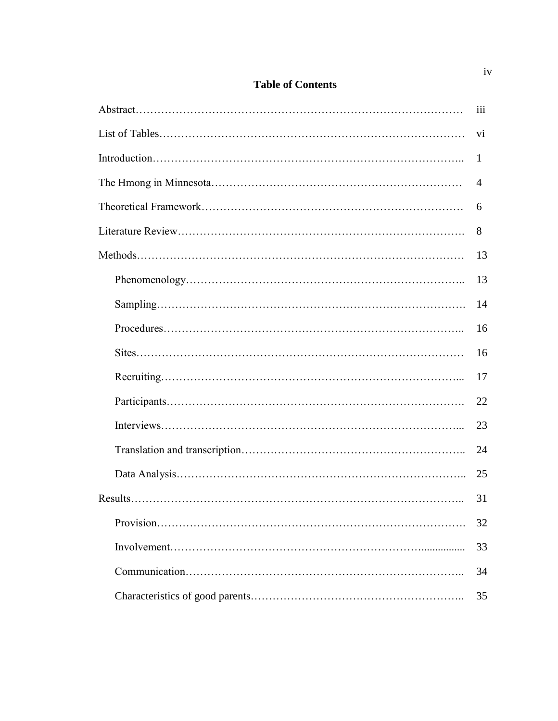|  |  | <b>Table of Contents</b> |
|--|--|--------------------------|
|--|--|--------------------------|

|  | iii            |
|--|----------------|
|  | V <sub>i</sub> |
|  | $\mathbf 1$    |
|  |                |
|  | 6              |
|  | 8              |
|  | 13             |
|  | 13             |
|  | 14             |
|  | 16             |
|  | 16             |
|  | 17             |
|  | 22             |
|  | 23             |
|  | 24             |
|  | 25             |
|  | 31             |
|  | 32             |
|  | 33             |
|  | 34             |
|  | 35             |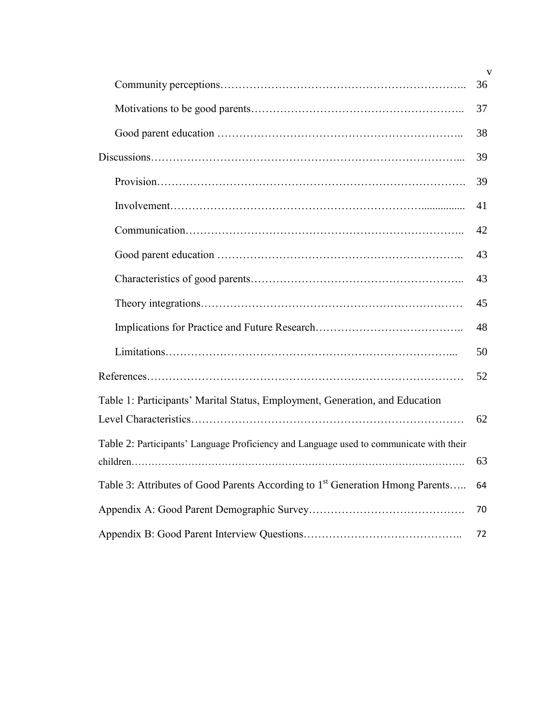|                                                                                           | $\mathbf{V}$ |  |
|-------------------------------------------------------------------------------------------|--------------|--|
|                                                                                           | 36           |  |
|                                                                                           | 37           |  |
|                                                                                           | 38           |  |
|                                                                                           |              |  |
|                                                                                           | 39           |  |
|                                                                                           | 41           |  |
|                                                                                           | 42           |  |
|                                                                                           | 43           |  |
|                                                                                           | 43           |  |
|                                                                                           | 45           |  |
|                                                                                           | 48           |  |
|                                                                                           | 50           |  |
|                                                                                           | 52           |  |
| Table 1: Participants' Marital Status, Employment, Generation, and Education              |              |  |
|                                                                                           | 62           |  |
| Table 2: Participants' Language Proficiency and Language used to communicate with their   |              |  |
|                                                                                           | 63           |  |
| Table 3: Attributes of Good Parents According to 1 <sup>st</sup> Generation Hmong Parents |              |  |
|                                                                                           |              |  |
|                                                                                           |              |  |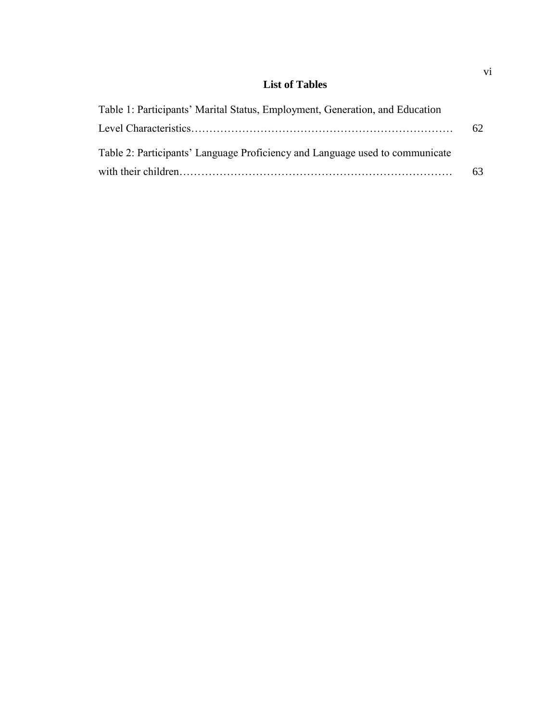# **List of Tables**

| Table 1: Participants' Marital Status, Employment, Generation, and Education |    |
|------------------------------------------------------------------------------|----|
|                                                                              | 62 |
| Table 2: Participants' Language Proficiency and Language used to communicate |    |
|                                                                              | 63 |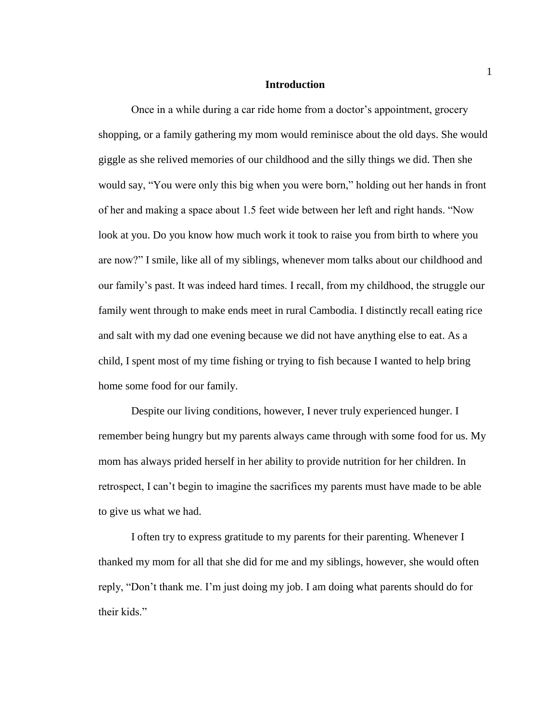#### **Introduction**

Once in a while during a car ride home from a doctor's appointment, grocery shopping, or a family gathering my mom would reminisce about the old days. She would giggle as she relived memories of our childhood and the silly things we did. Then she would say, "You were only this big when you were born," holding out her hands in front of her and making a space about 1.5 feet wide between her left and right hands. "Now look at you. Do you know how much work it took to raise you from birth to where you are now?" I smile, like all of my siblings, whenever mom talks about our childhood and our family's past. It was indeed hard times. I recall, from my childhood, the struggle our family went through to make ends meet in rural Cambodia. I distinctly recall eating rice and salt with my dad one evening because we did not have anything else to eat. As a child, I spent most of my time fishing or trying to fish because I wanted to help bring home some food for our family.

Despite our living conditions, however, I never truly experienced hunger. I remember being hungry but my parents always came through with some food for us. My mom has always prided herself in her ability to provide nutrition for her children. In retrospect, I can't begin to imagine the sacrifices my parents must have made to be able to give us what we had.

I often try to express gratitude to my parents for their parenting. Whenever I thanked my mom for all that she did for me and my siblings, however, she would often reply, "Don't thank me. I'm just doing my job. I am doing what parents should do for their kids."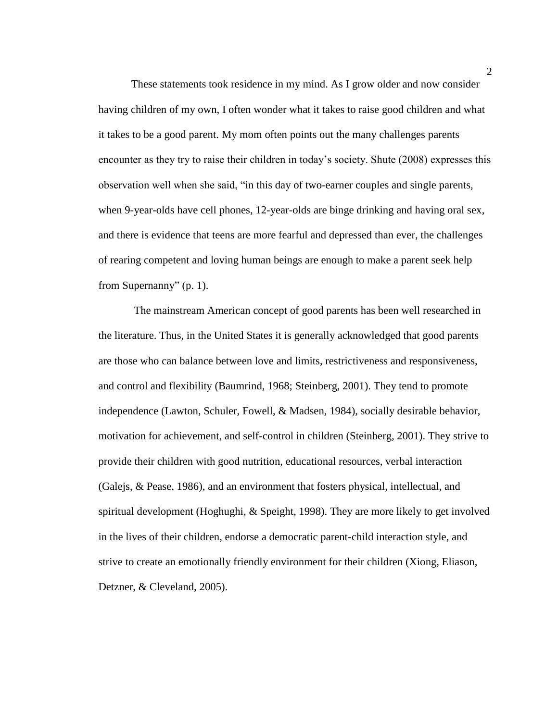These statements took residence in my mind. As I grow older and now consider having children of my own, I often wonder what it takes to raise good children and what it takes to be a good parent. My mom often points out the many challenges parents encounter as they try to raise their children in today's society. Shute (2008) expresses this observation well when she said, "in this day of two-earner couples and single parents, when 9-year-olds have cell phones, 12-year-olds are binge drinking and having oral sex, and there is evidence that teens are more fearful and depressed than ever, the challenges of rearing competent and loving human beings are enough to make a parent seek help from Supernanny" (p. 1).

The mainstream American concept of good parents has been well researched in the literature. Thus, in the United States it is generally acknowledged that good parents are those who can balance between love and limits, restrictiveness and responsiveness, and control and flexibility (Baumrind, 1968; Steinberg, 2001). They tend to promote independence (Lawton, Schuler, Fowell, & Madsen, 1984), socially desirable behavior, motivation for achievement, and self-control in children (Steinberg, 2001). They strive to provide their children with good nutrition, educational resources, verbal interaction (Galejs, & Pease, 1986), and an environment that fosters physical, intellectual, and spiritual development (Hoghughi, & Speight, 1998). They are more likely to get involved in the lives of their children, endorse a democratic parent-child interaction style, and strive to create an emotionally friendly environment for their children (Xiong, Eliason, Detzner, & Cleveland, 2005).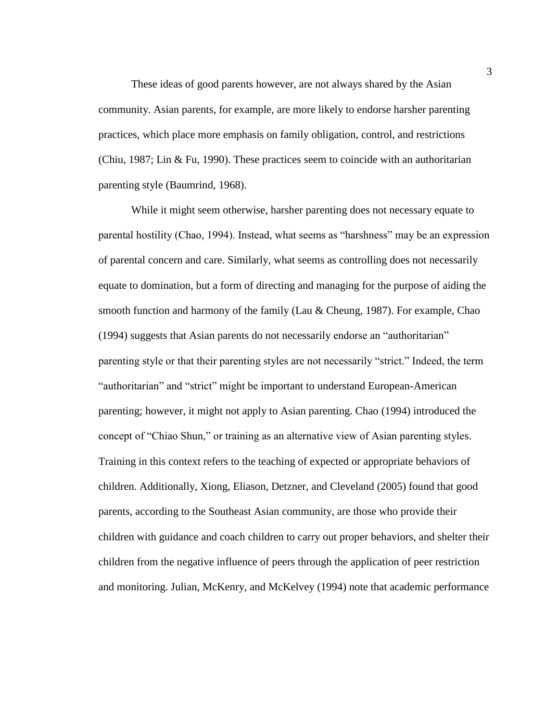These ideas of good parents however, are not always shared by the Asian community. Asian parents, for example, are more likely to endorse harsher parenting practices, which place more emphasis on family obligation, control, and restrictions (Chiu, 1987; Lin & Fu, 1990). These practices seem to coincide with an authoritarian parenting style (Baumrind, 1968).

While it might seem otherwise, harsher parenting does not necessary equate to parental hostility (Chao, 1994). Instead, what seems as "harshness" may be an expression of parental concern and care. Similarly, what seems as controlling does not necessarily equate to domination, but a form of directing and managing for the purpose of aiding the smooth function and harmony of the family (Lau & Cheung, 1987). For example, Chao (1994) suggests that Asian parents do not necessarily endorse an "authoritarian" parenting style or that their parenting styles are not necessarily "strict." Indeed, the term "authoritarian" and "strict" might be important to understand European-American parenting; however, it might not apply to Asian parenting. Chao (1994) introduced the concept of "Chiao Shun," or training as an alternative view of Asian parenting styles. Training in this context refers to the teaching of expected or appropriate behaviors of children. Additionally, Xiong, Eliason, Detzner, and Cleveland (2005) found that good parents, according to the Southeast Asian community, are those who provide their children with guidance and coach children to carry out proper behaviors, and shelter their children from the negative influence of peers through the application of peer restriction and monitoring. Julian, McKenry, and McKelvey (1994) note that academic performance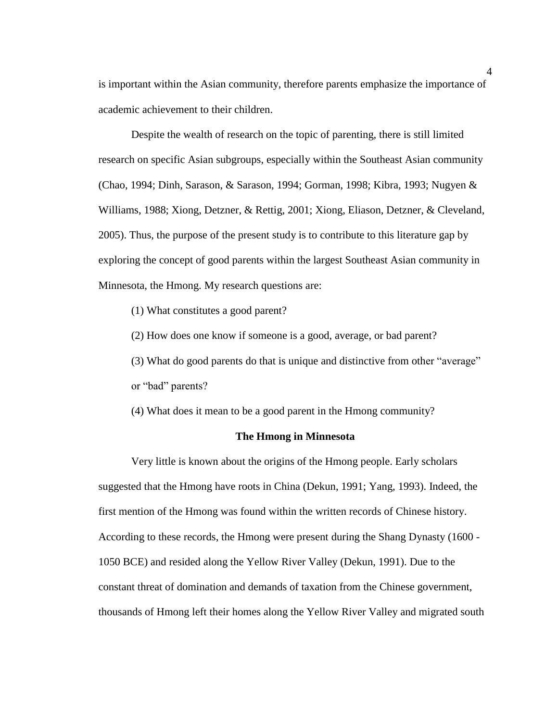is important within the Asian community, therefore parents emphasize the importance of academic achievement to their children.

Despite the wealth of research on the topic of parenting, there is still limited research on specific Asian subgroups, especially within the Southeast Asian community (Chao, 1994; Dinh, Sarason, & Sarason, 1994; Gorman, 1998; Kibra, 1993; Nugyen & Williams, 1988; Xiong, Detzner, & Rettig, 2001; Xiong, Eliason, Detzner, & Cleveland, 2005). Thus, the purpose of the present study is to contribute to this literature gap by exploring the concept of good parents within the largest Southeast Asian community in Minnesota, the Hmong. My research questions are:

- (1) What constitutes a good parent?
- (2) How does one know if someone is a good, average, or bad parent?
- (3) What do good parents do that is unique and distinctive from other "average" or "bad" parents?

(4) What does it mean to be a good parent in the Hmong community?

### **The Hmong in Minnesota**

Very little is known about the origins of the Hmong people. Early scholars suggested that the Hmong have roots in China (Dekun, 1991; Yang, 1993). Indeed, the first mention of the Hmong was found within the written records of Chinese history. According to these records, the Hmong were present during the Shang Dynasty (1600 - 1050 BCE) and resided along the Yellow River Valley (Dekun, 1991). Due to the constant threat of domination and demands of taxation from the Chinese government, thousands of Hmong left their homes along the Yellow River Valley and migrated south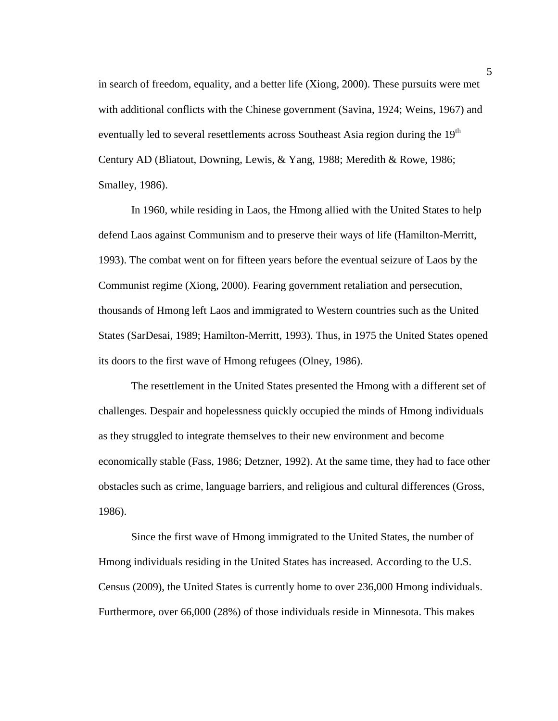in search of freedom, equality, and a better life (Xiong, 2000). These pursuits were met with additional conflicts with the Chinese government (Savina, 1924; Weins, 1967) and eventually led to several resettlements across Southeast Asia region during the 19<sup>th</sup> Century AD (Bliatout, Downing, Lewis, & Yang, 1988; Meredith & Rowe, 1986; Smalley, 1986).

In 1960, while residing in Laos, the Hmong allied with the United States to help defend Laos against Communism and to preserve their ways of life (Hamilton-Merritt, 1993). The combat went on for fifteen years before the eventual seizure of Laos by the Communist regime (Xiong, 2000). Fearing government retaliation and persecution, thousands of Hmong left Laos and immigrated to Western countries such as the United States (SarDesai, 1989; Hamilton-Merritt, 1993). Thus, in 1975 the United States opened its doors to the first wave of Hmong refugees (Olney, 1986).

The resettlement in the United States presented the Hmong with a different set of challenges. Despair and hopelessness quickly occupied the minds of Hmong individuals as they struggled to integrate themselves to their new environment and become economically stable (Fass, 1986; Detzner, 1992). At the same time, they had to face other obstacles such as crime, language barriers, and religious and cultural differences (Gross, 1986).

Since the first wave of Hmong immigrated to the United States, the number of Hmong individuals residing in the United States has increased. According to the U.S. Census (2009), the United States is currently home to over 236,000 Hmong individuals. Furthermore, over 66,000 (28%) of those individuals reside in Minnesota. This makes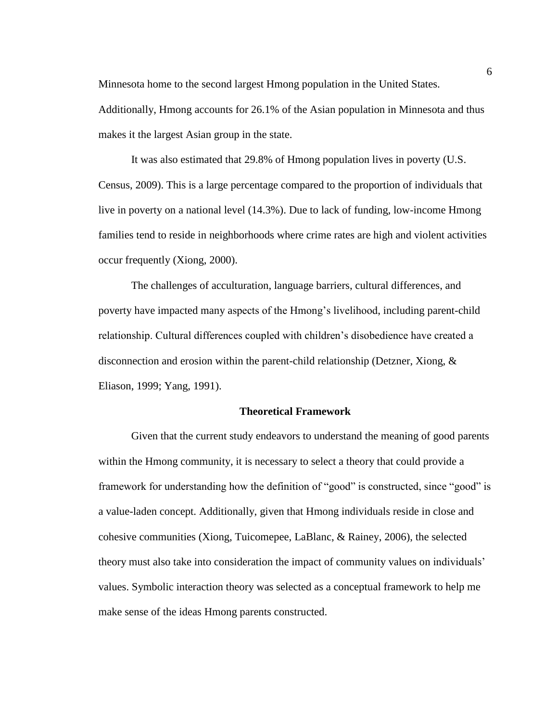Minnesota home to the second largest Hmong population in the United States.

Additionally, Hmong accounts for 26.1% of the Asian population in Minnesota and thus makes it the largest Asian group in the state.

It was also estimated that 29.8% of Hmong population lives in poverty (U.S. Census, 2009). This is a large percentage compared to the proportion of individuals that live in poverty on a national level (14.3%). Due to lack of funding, low-income Hmong families tend to reside in neighborhoods where crime rates are high and violent activities occur frequently (Xiong, 2000).

The challenges of acculturation, language barriers, cultural differences, and poverty have impacted many aspects of the Hmong's livelihood, including parent-child relationship. Cultural differences coupled with children's disobedience have created a disconnection and erosion within the parent-child relationship (Detzner, Xiong, & Eliason, 1999; Yang, 1991).

### **Theoretical Framework**

Given that the current study endeavors to understand the meaning of good parents within the Hmong community, it is necessary to select a theory that could provide a framework for understanding how the definition of "good" is constructed, since "good" is a value-laden concept. Additionally, given that Hmong individuals reside in close and cohesive communities (Xiong, Tuicomepee, LaBlanc, & Rainey, 2006), the selected theory must also take into consideration the impact of community values on individuals' values. Symbolic interaction theory was selected as a conceptual framework to help me make sense of the ideas Hmong parents constructed.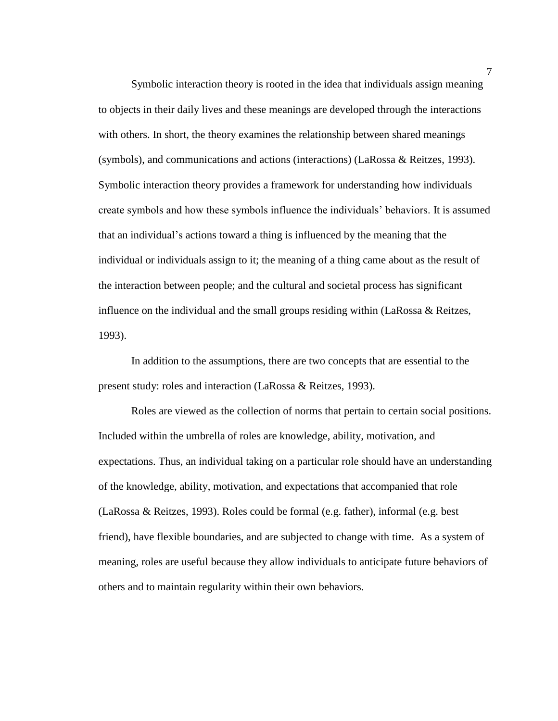Symbolic interaction theory is rooted in the idea that individuals assign meaning to objects in their daily lives and these meanings are developed through the interactions with others. In short, the theory examines the relationship between shared meanings (symbols), and communications and actions (interactions) (LaRossa & Reitzes, 1993). Symbolic interaction theory provides a framework for understanding how individuals create symbols and how these symbols influence the individuals' behaviors. It is assumed that an individual's actions toward a thing is influenced by the meaning that the individual or individuals assign to it; the meaning of a thing came about as the result of the interaction between people; and the cultural and societal process has significant influence on the individual and the small groups residing within (LaRossa & Reitzes, 1993).

In addition to the assumptions, there are two concepts that are essential to the present study: roles and interaction (LaRossa & Reitzes, 1993).

Roles are viewed as the collection of norms that pertain to certain social positions. Included within the umbrella of roles are knowledge, ability, motivation, and expectations. Thus, an individual taking on a particular role should have an understanding of the knowledge, ability, motivation, and expectations that accompanied that role (LaRossa & Reitzes, 1993). Roles could be formal (e.g. father), informal (e.g. best friend), have flexible boundaries, and are subjected to change with time. As a system of meaning, roles are useful because they allow individuals to anticipate future behaviors of others and to maintain regularity within their own behaviors.

7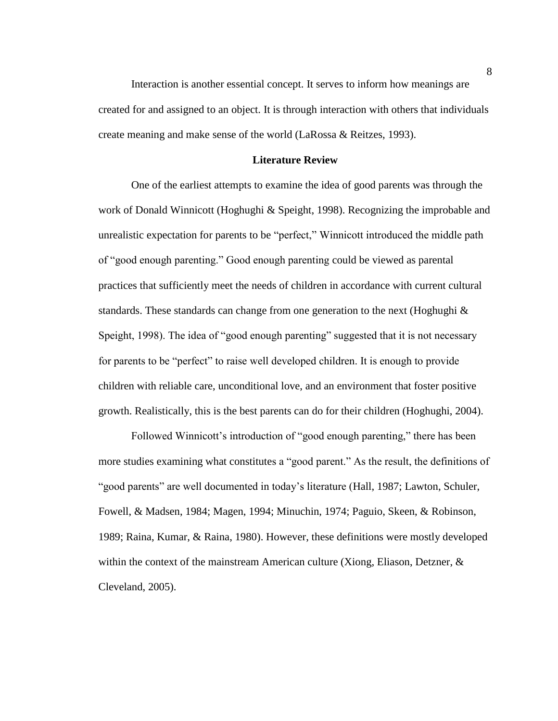Interaction is another essential concept. It serves to inform how meanings are created for and assigned to an object. It is through interaction with others that individuals create meaning and make sense of the world (LaRossa & Reitzes, 1993).

### **Literature Review**

One of the earliest attempts to examine the idea of good parents was through the work of Donald Winnicott (Hoghughi & Speight, 1998). Recognizing the improbable and unrealistic expectation for parents to be "perfect," Winnicott introduced the middle path of "good enough parenting." Good enough parenting could be viewed as parental practices that sufficiently meet the needs of children in accordance with current cultural standards. These standards can change from one generation to the next (Hoghughi  $\&$ Speight, 1998). The idea of "good enough parenting" suggested that it is not necessary for parents to be "perfect" to raise well developed children. It is enough to provide children with reliable care, unconditional love, and an environment that foster positive growth. Realistically, this is the best parents can do for their children (Hoghughi, 2004).

Followed Winnicott's introduction of "good enough parenting," there has been more studies examining what constitutes a "good parent." As the result, the definitions of "good parents" are well documented in today's literature (Hall, 1987; Lawton, Schuler, Fowell, & Madsen, 1984; Magen, 1994; Minuchin, 1974; Paguio, Skeen, & Robinson, 1989; Raina, Kumar, & Raina, 1980). However, these definitions were mostly developed within the context of the mainstream American culture (Xiong, Eliason, Detzner, & Cleveland, 2005).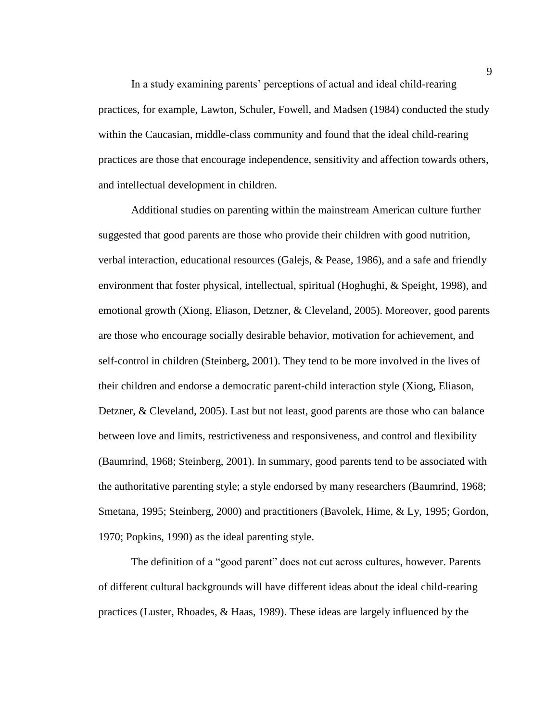In a study examining parents' perceptions of actual and ideal child-rearing practices, for example, Lawton, Schuler, Fowell, and Madsen (1984) conducted the study within the Caucasian, middle-class community and found that the ideal child-rearing practices are those that encourage independence, sensitivity and affection towards others, and intellectual development in children.

Additional studies on parenting within the mainstream American culture further suggested that good parents are those who provide their children with good nutrition, verbal interaction, educational resources (Galejs, & Pease, 1986), and a safe and friendly environment that foster physical, intellectual, spiritual (Hoghughi, & Speight, 1998), and emotional growth (Xiong, Eliason, Detzner, & Cleveland, 2005). Moreover, good parents are those who encourage socially desirable behavior, motivation for achievement, and self-control in children (Steinberg, 2001). They tend to be more involved in the lives of their children and endorse a democratic parent-child interaction style (Xiong, Eliason, Detzner, & Cleveland, 2005). Last but not least, good parents are those who can balance between love and limits, restrictiveness and responsiveness, and control and flexibility (Baumrind, 1968; Steinberg, 2001). In summary, good parents tend to be associated with the authoritative parenting style; a style endorsed by many researchers (Baumrind, 1968; Smetana, 1995; Steinberg, 2000) and practitioners (Bavolek, Hime, & Ly, 1995; Gordon, 1970; Popkins, 1990) as the ideal parenting style.

The definition of a "good parent" does not cut across cultures, however. Parents of different cultural backgrounds will have different ideas about the ideal child-rearing practices (Luster, Rhoades, & Haas, 1989). These ideas are largely influenced by the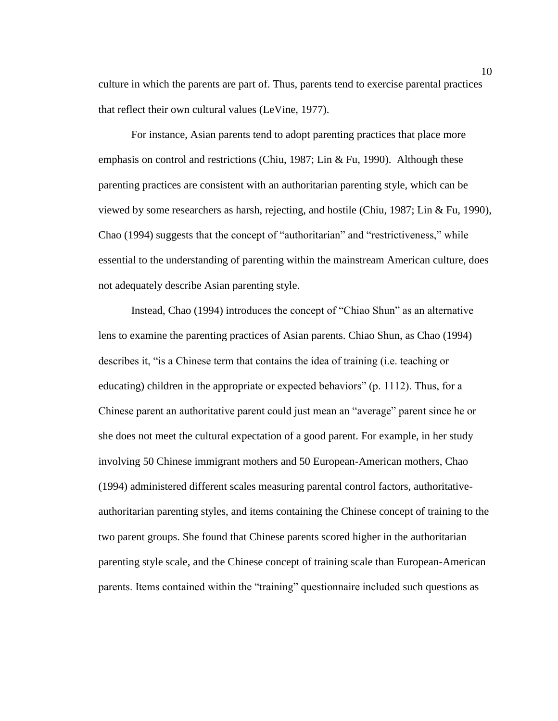culture in which the parents are part of. Thus, parents tend to exercise parental practices that reflect their own cultural values (LeVine, 1977).

For instance, Asian parents tend to adopt parenting practices that place more emphasis on control and restrictions (Chiu, 1987; Lin & Fu, 1990). Although these parenting practices are consistent with an authoritarian parenting style, which can be viewed by some researchers as harsh, rejecting, and hostile (Chiu, 1987; Lin & Fu, 1990), Chao (1994) suggests that the concept of "authoritarian" and "restrictiveness," while essential to the understanding of parenting within the mainstream American culture, does not adequately describe Asian parenting style.

Instead, Chao (1994) introduces the concept of "Chiao Shun" as an alternative lens to examine the parenting practices of Asian parents. Chiao Shun, as Chao (1994) describes it, "is a Chinese term that contains the idea of training (i.e. teaching or educating) children in the appropriate or expected behaviors" (p. 1112). Thus, for a Chinese parent an authoritative parent could just mean an "average" parent since he or she does not meet the cultural expectation of a good parent. For example, in her study involving 50 Chinese immigrant mothers and 50 European-American mothers, Chao (1994) administered different scales measuring parental control factors, authoritativeauthoritarian parenting styles, and items containing the Chinese concept of training to the two parent groups. She found that Chinese parents scored higher in the authoritarian parenting style scale, and the Chinese concept of training scale than European-American parents. Items contained within the "training" questionnaire included such questions as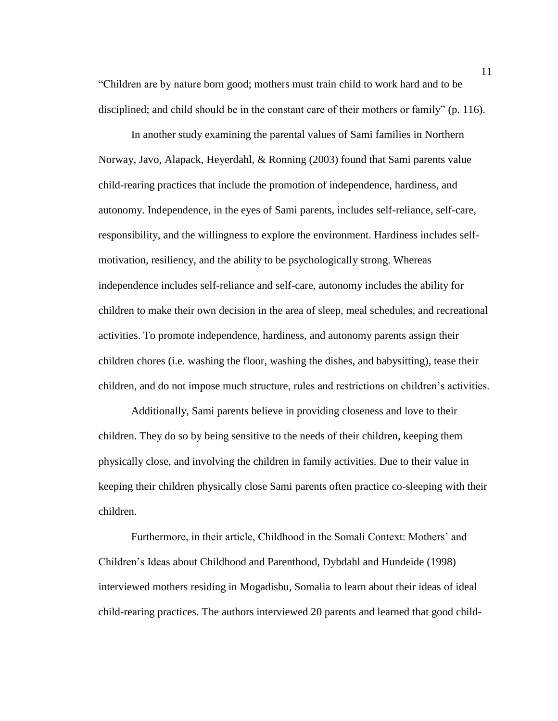"Children are by nature born good; mothers must train child to work hard and to be disciplined; and child should be in the constant care of their mothers or family" (p. 116).

In another study examining the parental values of Sami families in Northern Norway, Javo, Alapack, Heyerdahl, & Ronning (2003) found that Sami parents value child-rearing practices that include the promotion of independence, hardiness, and autonomy. Independence, in the eyes of Sami parents, includes self-reliance, self-care, responsibility, and the willingness to explore the environment. Hardiness includes selfmotivation, resiliency, and the ability to be psychologically strong. Whereas independence includes self-reliance and self-care, autonomy includes the ability for children to make their own decision in the area of sleep, meal schedules, and recreational activities. To promote independence, hardiness, and autonomy parents assign their children chores (i.e. washing the floor, washing the dishes, and babysitting), tease their children, and do not impose much structure, rules and restrictions on children's activities.

Additionally, Sami parents believe in providing closeness and love to their children. They do so by being sensitive to the needs of their children, keeping them physically close, and involving the children in family activities. Due to their value in keeping their children physically close Sami parents often practice co-sleeping with their children.

Furthermore, in their article, Childhood in the Somali Context: Mothers' and Children's Ideas about Childhood and Parenthood, Dybdahl and Hundeide (1998) interviewed mothers residing in Mogadisbu, Somalia to learn about their ideas of ideal child-rearing practices. The authors interviewed 20 parents and learned that good child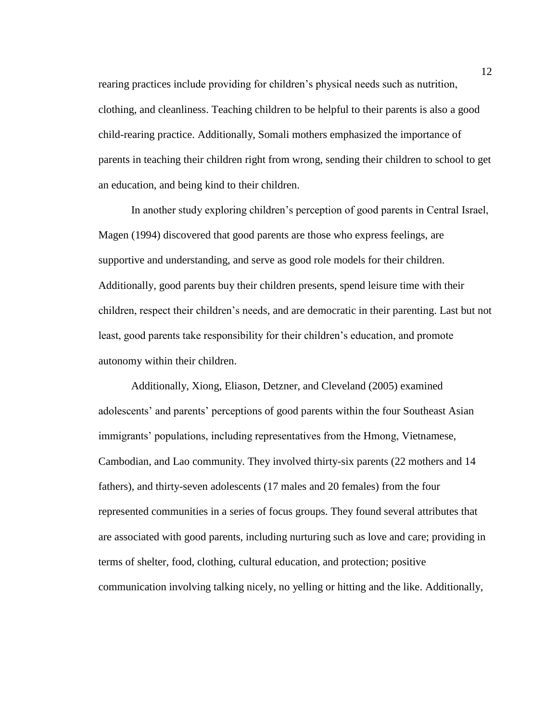rearing practices include providing for children's physical needs such as nutrition, clothing, and cleanliness. Teaching children to be helpful to their parents is also a good child-rearing practice. Additionally, Somali mothers emphasized the importance of parents in teaching their children right from wrong, sending their children to school to get an education, and being kind to their children.

In another study exploring children's perception of good parents in Central Israel, Magen (1994) discovered that good parents are those who express feelings, are supportive and understanding, and serve as good role models for their children. Additionally, good parents buy their children presents, spend leisure time with their children, respect their children's needs, and are democratic in their parenting. Last but not least, good parents take responsibility for their children's education, and promote autonomy within their children.

Additionally, Xiong, Eliason, Detzner, and Cleveland (2005) examined adolescents' and parents' perceptions of good parents within the four Southeast Asian immigrants' populations, including representatives from the Hmong, Vietnamese, Cambodian, and Lao community. They involved thirty-six parents (22 mothers and 14 fathers), and thirty-seven adolescents (17 males and 20 females) from the four represented communities in a series of focus groups. They found several attributes that are associated with good parents, including nurturing such as love and care; providing in terms of shelter, food, clothing, cultural education, and protection; positive communication involving talking nicely, no yelling or hitting and the like. Additionally,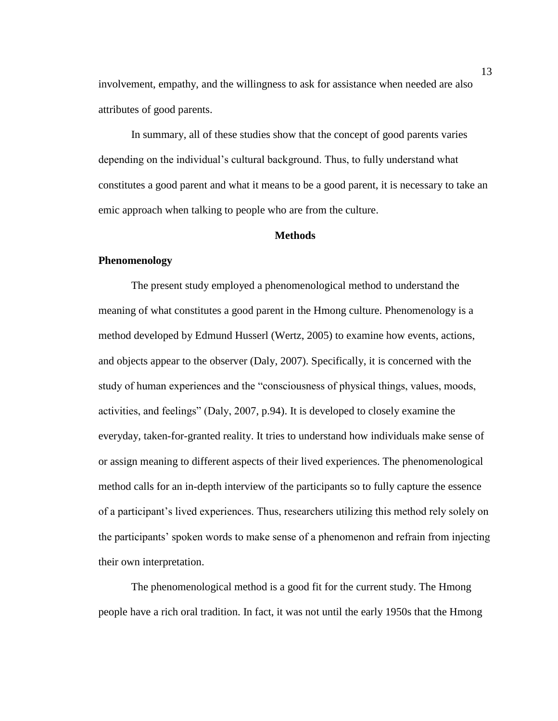involvement, empathy, and the willingness to ask for assistance when needed are also attributes of good parents.

In summary, all of these studies show that the concept of good parents varies depending on the individual's cultural background. Thus, to fully understand what constitutes a good parent and what it means to be a good parent, it is necessary to take an emic approach when talking to people who are from the culture.

### **Methods**

### **Phenomenology**

The present study employed a phenomenological method to understand the meaning of what constitutes a good parent in the Hmong culture. Phenomenology is a method developed by Edmund Husserl (Wertz, 2005) to examine how events, actions, and objects appear to the observer (Daly, 2007). Specifically, it is concerned with the study of human experiences and the "consciousness of physical things, values, moods, activities, and feelings" (Daly, 2007, p.94). It is developed to closely examine the everyday, taken-for-granted reality. It tries to understand how individuals make sense of or assign meaning to different aspects of their lived experiences. The phenomenological method calls for an in-depth interview of the participants so to fully capture the essence of a participant's lived experiences. Thus, researchers utilizing this method rely solely on the participants' spoken words to make sense of a phenomenon and refrain from injecting their own interpretation.

The phenomenological method is a good fit for the current study. The Hmong people have a rich oral tradition. In fact, it was not until the early 1950s that the Hmong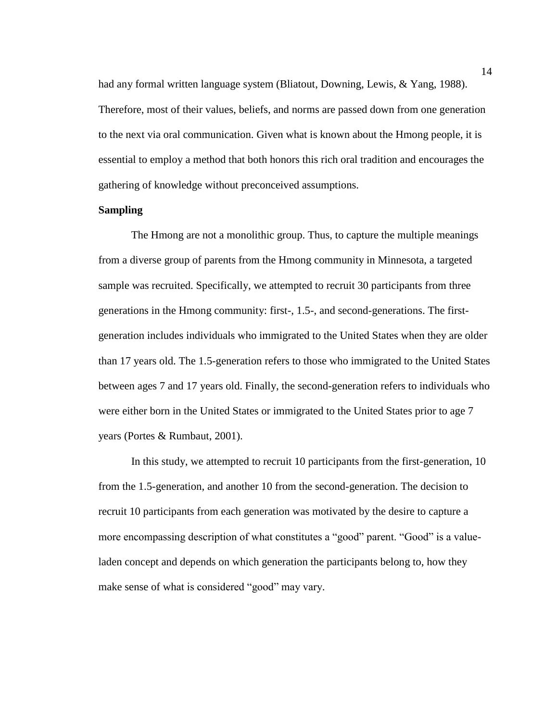had any formal written language system (Bliatout, Downing, Lewis, & Yang, 1988). Therefore, most of their values, beliefs, and norms are passed down from one generation to the next via oral communication. Given what is known about the Hmong people, it is essential to employ a method that both honors this rich oral tradition and encourages the gathering of knowledge without preconceived assumptions.

### **Sampling**

The Hmong are not a monolithic group. Thus, to capture the multiple meanings from a diverse group of parents from the Hmong community in Minnesota, a targeted sample was recruited. Specifically, we attempted to recruit 30 participants from three generations in the Hmong community: first-, 1.5-, and second-generations. The firstgeneration includes individuals who immigrated to the United States when they are older than 17 years old. The 1.5-generation refers to those who immigrated to the United States between ages 7 and 17 years old. Finally, the second-generation refers to individuals who were either born in the United States or immigrated to the United States prior to age 7 years (Portes & Rumbaut, 2001).

In this study, we attempted to recruit 10 participants from the first-generation, 10 from the 1.5-generation, and another 10 from the second-generation. The decision to recruit 10 participants from each generation was motivated by the desire to capture a more encompassing description of what constitutes a "good" parent. "Good" is a valueladen concept and depends on which generation the participants belong to, how they make sense of what is considered "good" may vary.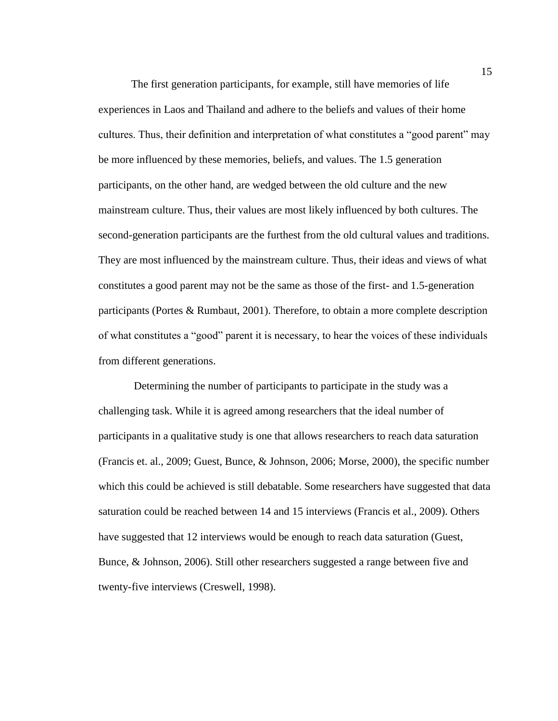The first generation participants, for example, still have memories of life experiences in Laos and Thailand and adhere to the beliefs and values of their home cultures. Thus, their definition and interpretation of what constitutes a "good parent" may be more influenced by these memories, beliefs, and values. The 1.5 generation participants, on the other hand, are wedged between the old culture and the new mainstream culture. Thus, their values are most likely influenced by both cultures. The second-generation participants are the furthest from the old cultural values and traditions. They are most influenced by the mainstream culture. Thus, their ideas and views of what constitutes a good parent may not be the same as those of the first- and 1.5-generation participants (Portes & Rumbaut, 2001). Therefore, to obtain a more complete description of what constitutes a "good" parent it is necessary, to hear the voices of these individuals from different generations.

Determining the number of participants to participate in the study was a challenging task. While it is agreed among researchers that the ideal number of participants in a qualitative study is one that allows researchers to reach data saturation (Francis et. al., 2009; Guest, Bunce, & Johnson, 2006; Morse, 2000), the specific number which this could be achieved is still debatable. Some researchers have suggested that data saturation could be reached between 14 and 15 interviews (Francis et al., 2009). Others have suggested that 12 interviews would be enough to reach data saturation (Guest, Bunce, & Johnson, 2006). Still other researchers suggested a range between five and twenty-five interviews (Creswell, 1998).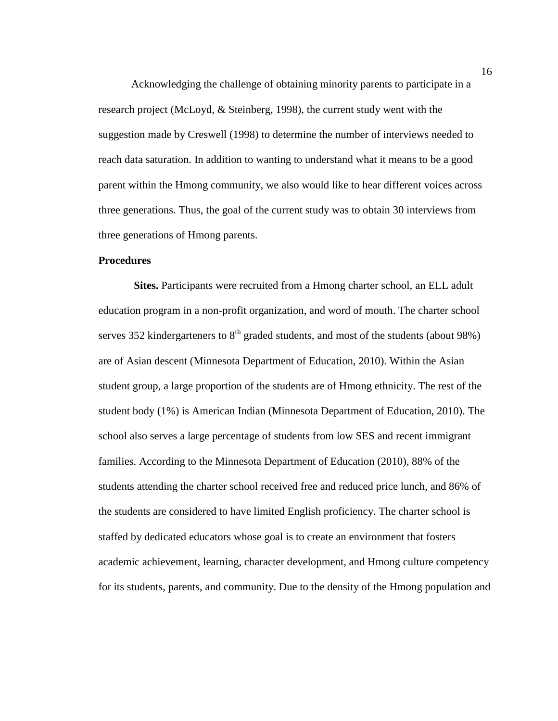Acknowledging the challenge of obtaining minority parents to participate in a research project (McLoyd, & Steinberg, 1998), the current study went with the suggestion made by Creswell (1998) to determine the number of interviews needed to reach data saturation. In addition to wanting to understand what it means to be a good parent within the Hmong community, we also would like to hear different voices across three generations. Thus, the goal of the current study was to obtain 30 interviews from three generations of Hmong parents.

### **Procedures**

**Sites.** Participants were recruited from a Hmong charter school, an ELL adult education program in a non-profit organization, and word of mouth. The charter school serves 352 kindergarteners to  $8<sup>th</sup>$  graded students, and most of the students (about 98%) are of Asian descent (Minnesota Department of Education, 2010). Within the Asian student group, a large proportion of the students are of Hmong ethnicity. The rest of the student body (1%) is American Indian (Minnesota Department of Education, 2010). The school also serves a large percentage of students from low SES and recent immigrant families. According to the Minnesota Department of Education (2010), 88% of the students attending the charter school received free and reduced price lunch, and 86% of the students are considered to have limited English proficiency. The charter school is staffed by dedicated educators whose goal is to create an environment that fosters academic achievement, learning, character development, and Hmong culture competency for its students, parents, and community. Due to the density of the Hmong population and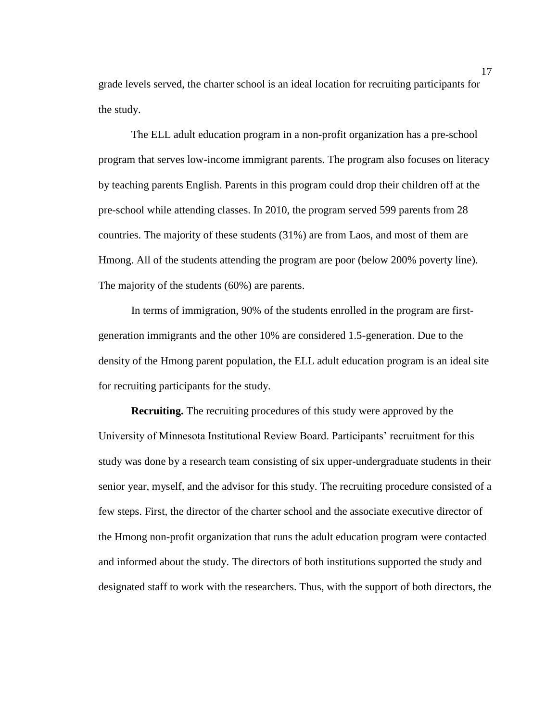grade levels served, the charter school is an ideal location for recruiting participants for the study.

The ELL adult education program in a non-profit organization has a pre-school program that serves low-income immigrant parents. The program also focuses on literacy by teaching parents English. Parents in this program could drop their children off at the pre-school while attending classes. In 2010, the program served 599 parents from 28 countries. The majority of these students (31%) are from Laos, and most of them are Hmong. All of the students attending the program are poor (below 200% poverty line). The majority of the students (60%) are parents.

In terms of immigration, 90% of the students enrolled in the program are firstgeneration immigrants and the other 10% are considered 1.5-generation. Due to the density of the Hmong parent population, the ELL adult education program is an ideal site for recruiting participants for the study.

**Recruiting.** The recruiting procedures of this study were approved by the University of Minnesota Institutional Review Board. Participants' recruitment for this study was done by a research team consisting of six upper-undergraduate students in their senior year, myself, and the advisor for this study. The recruiting procedure consisted of a few steps. First, the director of the charter school and the associate executive director of the Hmong non-profit organization that runs the adult education program were contacted and informed about the study. The directors of both institutions supported the study and designated staff to work with the researchers. Thus, with the support of both directors, the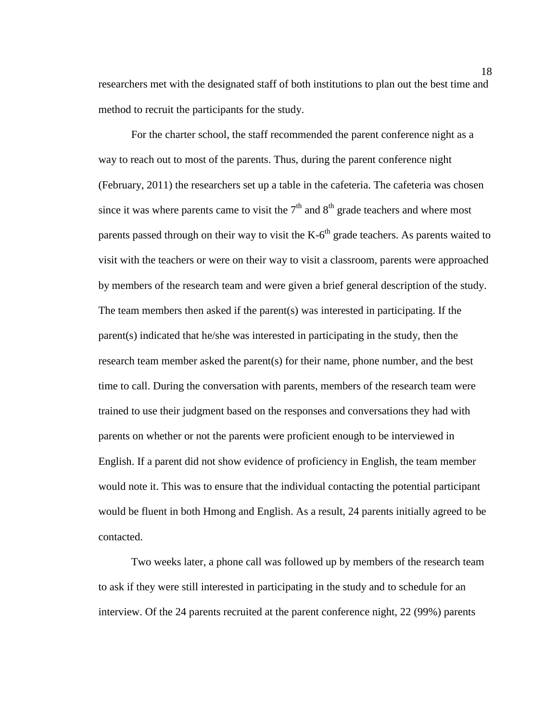researchers met with the designated staff of both institutions to plan out the best time and method to recruit the participants for the study.

For the charter school, the staff recommended the parent conference night as a way to reach out to most of the parents. Thus, during the parent conference night (February, 2011) the researchers set up a table in the cafeteria. The cafeteria was chosen since it was where parents came to visit the  $7<sup>th</sup>$  and  $8<sup>th</sup>$  grade teachers and where most parents passed through on their way to visit the  $K-6<sup>th</sup>$  grade teachers. As parents waited to visit with the teachers or were on their way to visit a classroom, parents were approached by members of the research team and were given a brief general description of the study. The team members then asked if the parent(s) was interested in participating. If the parent(s) indicated that he/she was interested in participating in the study, then the research team member asked the parent(s) for their name, phone number, and the best time to call. During the conversation with parents, members of the research team were trained to use their judgment based on the responses and conversations they had with parents on whether or not the parents were proficient enough to be interviewed in English. If a parent did not show evidence of proficiency in English, the team member would note it. This was to ensure that the individual contacting the potential participant would be fluent in both Hmong and English. As a result, 24 parents initially agreed to be contacted.

Two weeks later, a phone call was followed up by members of the research team to ask if they were still interested in participating in the study and to schedule for an interview. Of the 24 parents recruited at the parent conference night, 22 (99%) parents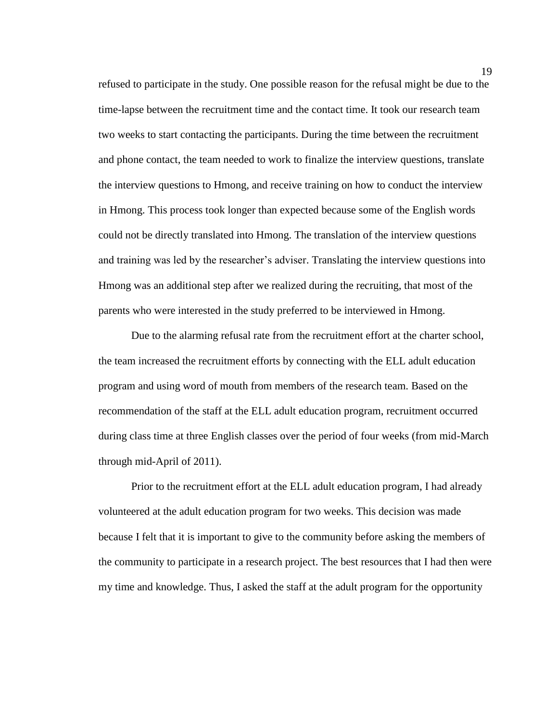refused to participate in the study. One possible reason for the refusal might be due to the time-lapse between the recruitment time and the contact time. It took our research team two weeks to start contacting the participants. During the time between the recruitment and phone contact, the team needed to work to finalize the interview questions, translate the interview questions to Hmong, and receive training on how to conduct the interview in Hmong. This process took longer than expected because some of the English words could not be directly translated into Hmong. The translation of the interview questions and training was led by the researcher's adviser. Translating the interview questions into Hmong was an additional step after we realized during the recruiting, that most of the parents who were interested in the study preferred to be interviewed in Hmong.

Due to the alarming refusal rate from the recruitment effort at the charter school, the team increased the recruitment efforts by connecting with the ELL adult education program and using word of mouth from members of the research team. Based on the recommendation of the staff at the ELL adult education program, recruitment occurred during class time at three English classes over the period of four weeks (from mid-March through mid-April of 2011).

Prior to the recruitment effort at the ELL adult education program, I had already volunteered at the adult education program for two weeks. This decision was made because I felt that it is important to give to the community before asking the members of the community to participate in a research project. The best resources that I had then were my time and knowledge. Thus, I asked the staff at the adult program for the opportunity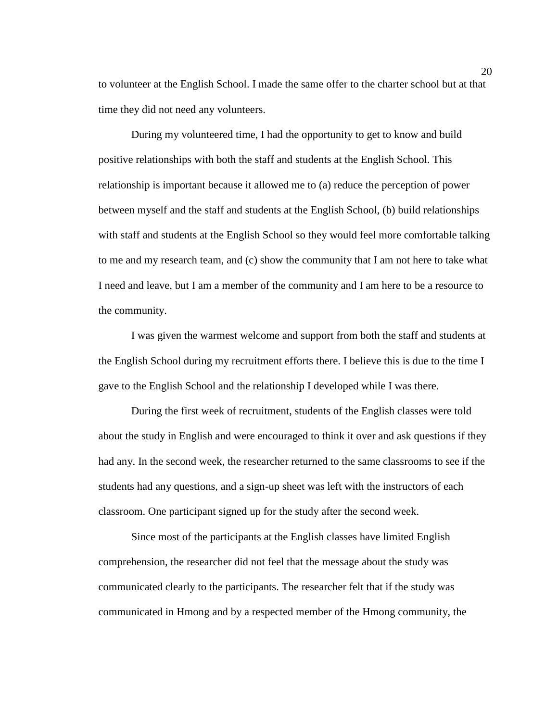to volunteer at the English School. I made the same offer to the charter school but at that time they did not need any volunteers.

During my volunteered time, I had the opportunity to get to know and build positive relationships with both the staff and students at the English School. This relationship is important because it allowed me to (a) reduce the perception of power between myself and the staff and students at the English School, (b) build relationships with staff and students at the English School so they would feel more comfortable talking to me and my research team, and (c) show the community that I am not here to take what I need and leave, but I am a member of the community and I am here to be a resource to the community.

I was given the warmest welcome and support from both the staff and students at the English School during my recruitment efforts there. I believe this is due to the time I gave to the English School and the relationship I developed while I was there.

During the first week of recruitment, students of the English classes were told about the study in English and were encouraged to think it over and ask questions if they had any. In the second week, the researcher returned to the same classrooms to see if the students had any questions, and a sign-up sheet was left with the instructors of each classroom. One participant signed up for the study after the second week.

Since most of the participants at the English classes have limited English comprehension, the researcher did not feel that the message about the study was communicated clearly to the participants. The researcher felt that if the study was communicated in Hmong and by a respected member of the Hmong community, the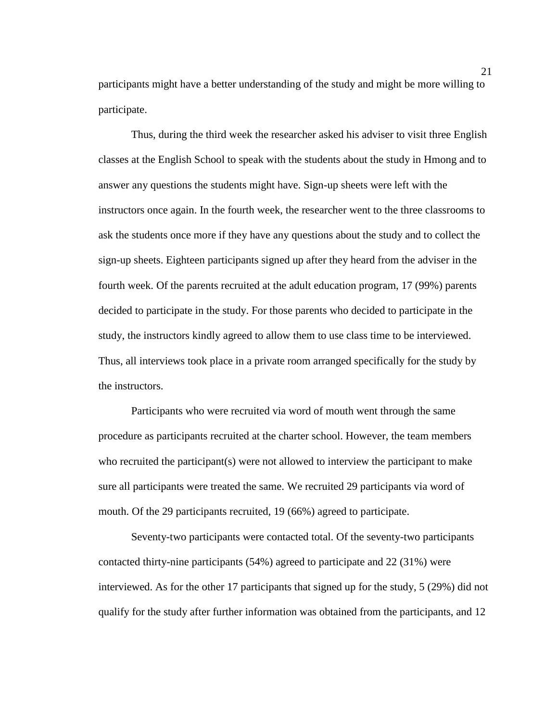participants might have a better understanding of the study and might be more willing to participate.

Thus, during the third week the researcher asked his adviser to visit three English classes at the English School to speak with the students about the study in Hmong and to answer any questions the students might have. Sign-up sheets were left with the instructors once again. In the fourth week, the researcher went to the three classrooms to ask the students once more if they have any questions about the study and to collect the sign-up sheets. Eighteen participants signed up after they heard from the adviser in the fourth week. Of the parents recruited at the adult education program, 17 (99%) parents decided to participate in the study. For those parents who decided to participate in the study, the instructors kindly agreed to allow them to use class time to be interviewed. Thus, all interviews took place in a private room arranged specifically for the study by the instructors.

Participants who were recruited via word of mouth went through the same procedure as participants recruited at the charter school. However, the team members who recruited the participant(s) were not allowed to interview the participant to make sure all participants were treated the same. We recruited 29 participants via word of mouth. Of the 29 participants recruited, 19 (66%) agreed to participate.

Seventy-two participants were contacted total. Of the seventy-two participants contacted thirty-nine participants (54%) agreed to participate and 22 (31%) were interviewed. As for the other 17 participants that signed up for the study, 5 (29%) did not qualify for the study after further information was obtained from the participants, and 12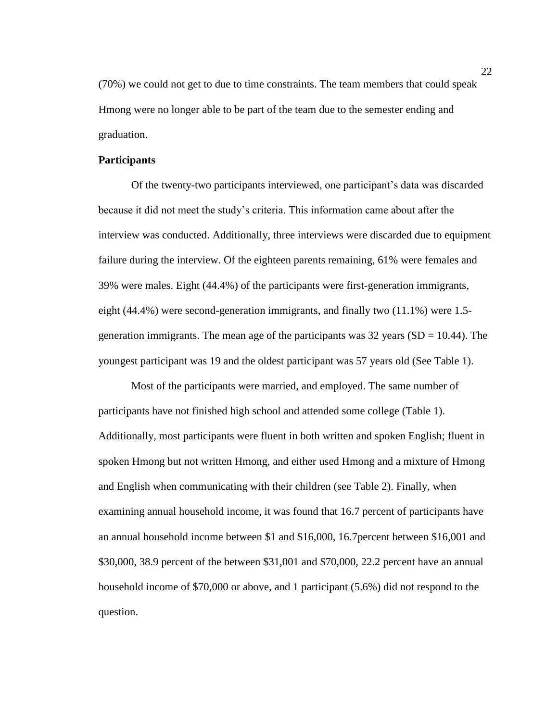(70%) we could not get to due to time constraints. The team members that could speak Hmong were no longer able to be part of the team due to the semester ending and graduation.

### **Participants**

Of the twenty-two participants interviewed, one participant's data was discarded because it did not meet the study's criteria. This information came about after the interview was conducted. Additionally, three interviews were discarded due to equipment failure during the interview. Of the eighteen parents remaining, 61% were females and 39% were males. Eight (44.4%) of the participants were first-generation immigrants, eight (44.4%) were second-generation immigrants, and finally two (11.1%) were 1.5 generation immigrants. The mean age of the participants was  $32$  years (SD = 10.44). The youngest participant was 19 and the oldest participant was 57 years old (See Table 1).

Most of the participants were married, and employed. The same number of participants have not finished high school and attended some college (Table 1). Additionally, most participants were fluent in both written and spoken English; fluent in spoken Hmong but not written Hmong, and either used Hmong and a mixture of Hmong and English when communicating with their children (see Table 2). Finally, when examining annual household income, it was found that 16.7 percent of participants have an annual household income between \$1 and \$16,000, 16.7percent between \$16,001 and \$30,000, 38.9 percent of the between \$31,001 and \$70,000, 22.2 percent have an annual household income of \$70,000 or above, and 1 participant (5.6%) did not respond to the question.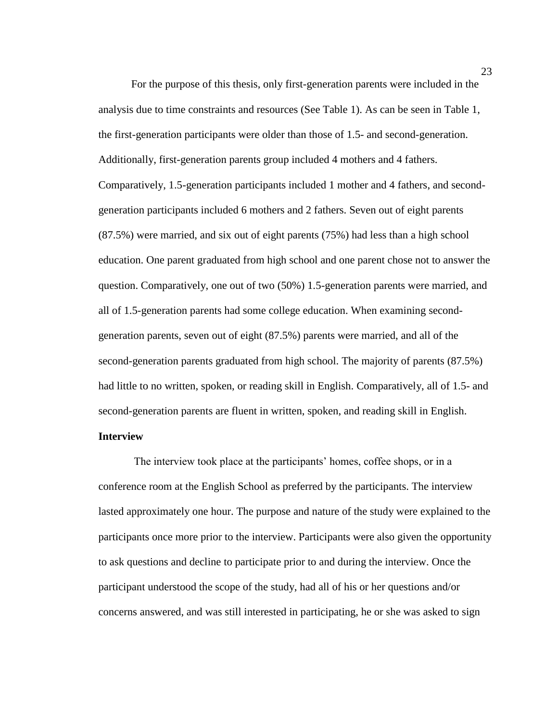For the purpose of this thesis, only first-generation parents were included in the analysis due to time constraints and resources (See Table 1). As can be seen in Table 1, the first-generation participants were older than those of 1.5- and second-generation. Additionally, first-generation parents group included 4 mothers and 4 fathers. Comparatively, 1.5-generation participants included 1 mother and 4 fathers, and secondgeneration participants included 6 mothers and 2 fathers. Seven out of eight parents (87.5%) were married, and six out of eight parents (75%) had less than a high school education. One parent graduated from high school and one parent chose not to answer the question. Comparatively, one out of two (50%) 1.5-generation parents were married, and all of 1.5-generation parents had some college education. When examining secondgeneration parents, seven out of eight (87.5%) parents were married, and all of the second-generation parents graduated from high school. The majority of parents (87.5%) had little to no written, spoken, or reading skill in English. Comparatively, all of 1.5- and second-generation parents are fluent in written, spoken, and reading skill in English.

# **Interview**

The interview took place at the participants' homes, coffee shops, or in a conference room at the English School as preferred by the participants. The interview lasted approximately one hour. The purpose and nature of the study were explained to the participants once more prior to the interview. Participants were also given the opportunity to ask questions and decline to participate prior to and during the interview. Once the participant understood the scope of the study, had all of his or her questions and/or concerns answered, and was still interested in participating, he or she was asked to sign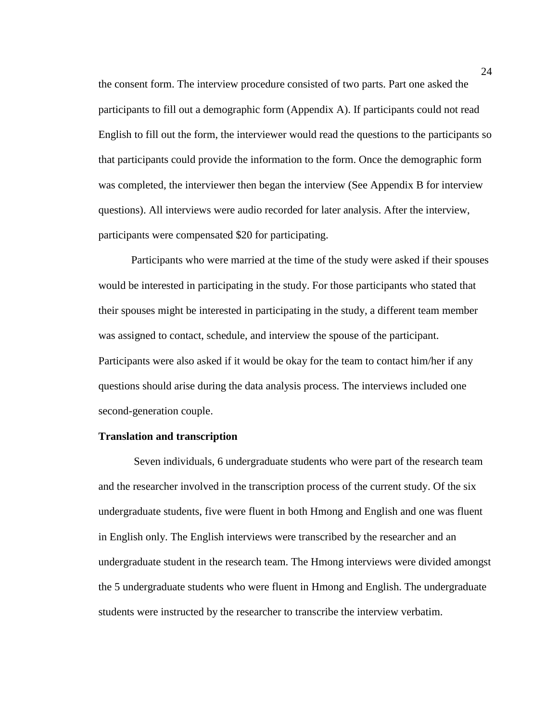the consent form. The interview procedure consisted of two parts. Part one asked the participants to fill out a demographic form (Appendix A). If participants could not read English to fill out the form, the interviewer would read the questions to the participants so that participants could provide the information to the form. Once the demographic form was completed, the interviewer then began the interview (See Appendix B for interview questions). All interviews were audio recorded for later analysis. After the interview, participants were compensated \$20 for participating.

Participants who were married at the time of the study were asked if their spouses would be interested in participating in the study. For those participants who stated that their spouses might be interested in participating in the study, a different team member was assigned to contact, schedule, and interview the spouse of the participant. Participants were also asked if it would be okay for the team to contact him/her if any questions should arise during the data analysis process. The interviews included one second-generation couple.

#### **Translation and transcription**

Seven individuals, 6 undergraduate students who were part of the research team and the researcher involved in the transcription process of the current study. Of the six undergraduate students, five were fluent in both Hmong and English and one was fluent in English only. The English interviews were transcribed by the researcher and an undergraduate student in the research team. The Hmong interviews were divided amongst the 5 undergraduate students who were fluent in Hmong and English. The undergraduate students were instructed by the researcher to transcribe the interview verbatim.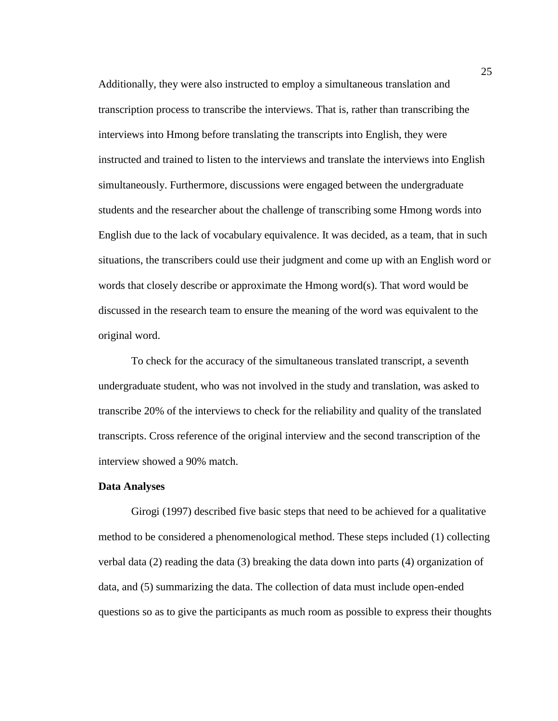Additionally, they were also instructed to employ a simultaneous translation and transcription process to transcribe the interviews. That is, rather than transcribing the interviews into Hmong before translating the transcripts into English, they were instructed and trained to listen to the interviews and translate the interviews into English simultaneously. Furthermore, discussions were engaged between the undergraduate students and the researcher about the challenge of transcribing some Hmong words into English due to the lack of vocabulary equivalence. It was decided, as a team, that in such situations, the transcribers could use their judgment and come up with an English word or words that closely describe or approximate the Hmong word(s). That word would be discussed in the research team to ensure the meaning of the word was equivalent to the original word.

To check for the accuracy of the simultaneous translated transcript, a seventh undergraduate student, who was not involved in the study and translation, was asked to transcribe 20% of the interviews to check for the reliability and quality of the translated transcripts. Cross reference of the original interview and the second transcription of the interview showed a 90% match.

#### **Data Analyses**

Girogi (1997) described five basic steps that need to be achieved for a qualitative method to be considered a phenomenological method. These steps included (1) collecting verbal data  $(2)$  reading the data  $(3)$  breaking the data down into parts  $(4)$  organization of data, and (5) summarizing the data. The collection of data must include open-ended questions so as to give the participants as much room as possible to express their thoughts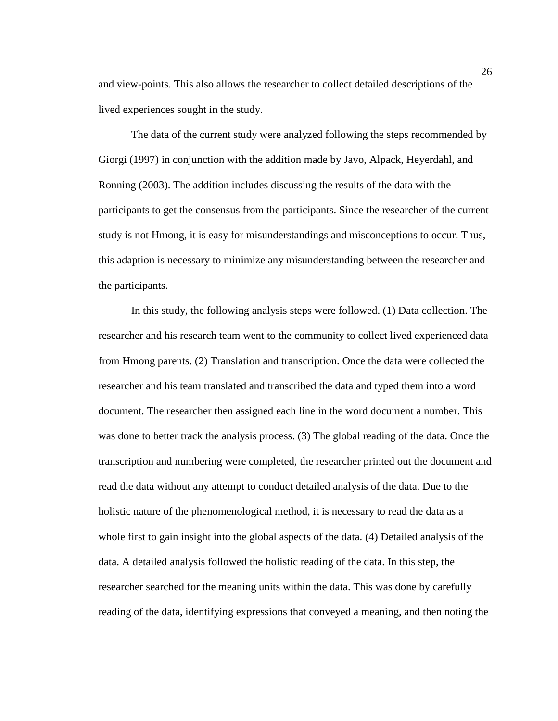and view-points. This also allows the researcher to collect detailed descriptions of the lived experiences sought in the study.

The data of the current study were analyzed following the steps recommended by Giorgi (1997) in conjunction with the addition made by Javo, Alpack, Heyerdahl, and Ronning (2003). The addition includes discussing the results of the data with the participants to get the consensus from the participants. Since the researcher of the current study is not Hmong, it is easy for misunderstandings and misconceptions to occur. Thus, this adaption is necessary to minimize any misunderstanding between the researcher and the participants.

In this study, the following analysis steps were followed. (1) Data collection. The researcher and his research team went to the community to collect lived experienced data from Hmong parents. (2) Translation and transcription. Once the data were collected the researcher and his team translated and transcribed the data and typed them into a word document. The researcher then assigned each line in the word document a number. This was done to better track the analysis process. (3) The global reading of the data. Once the transcription and numbering were completed, the researcher printed out the document and read the data without any attempt to conduct detailed analysis of the data. Due to the holistic nature of the phenomenological method, it is necessary to read the data as a whole first to gain insight into the global aspects of the data. (4) Detailed analysis of the data. A detailed analysis followed the holistic reading of the data. In this step, the researcher searched for the meaning units within the data. This was done by carefully reading of the data, identifying expressions that conveyed a meaning, and then noting the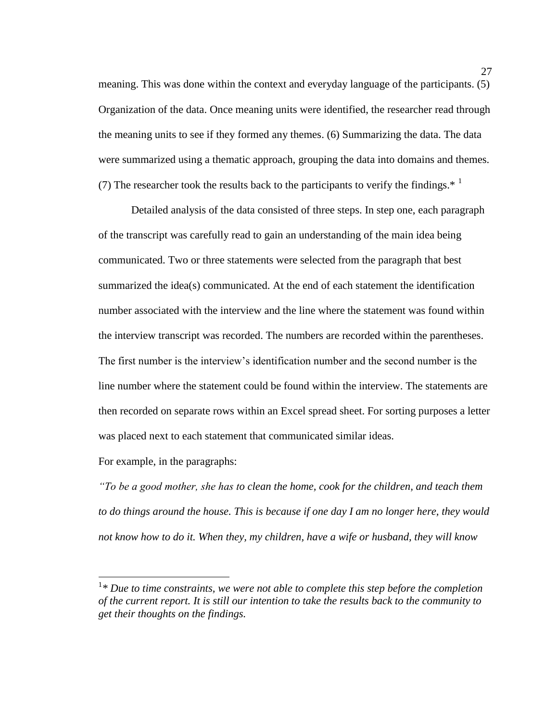meaning. This was done within the context and everyday language of the participants. (5) Organization of the data. Once meaning units were identified, the researcher read through the meaning units to see if they formed any themes. (6) Summarizing the data. The data were summarized using a thematic approach, grouping the data into domains and themes. (7) The researcher took the results back to the participants to verify the findings.<sup>\*</sup>

Detailed analysis of the data consisted of three steps. In step one, each paragraph of the transcript was carefully read to gain an understanding of the main idea being communicated. Two or three statements were selected from the paragraph that best summarized the idea(s) communicated. At the end of each statement the identification number associated with the interview and the line where the statement was found within the interview transcript was recorded. The numbers are recorded within the parentheses. The first number is the interview's identification number and the second number is the line number where the statement could be found within the interview. The statements are then recorded on separate rows within an Excel spread sheet. For sorting purposes a letter was placed next to each statement that communicated similar ideas.

For example, in the paragraphs:

 $\overline{a}$ 

*"To be a good mother, she has to clean the home, cook for the children, and teach them to do things around the house. This is because if one day I am no longer here, they would not know how to do it. When they, my children, have a wife or husband, they will know* 

<sup>&</sup>lt;sup>1</sup>\* Due to time constraints, we were not able to complete this step before the completion *of the current report. It is still our intention to take the results back to the community to get their thoughts on the findings.*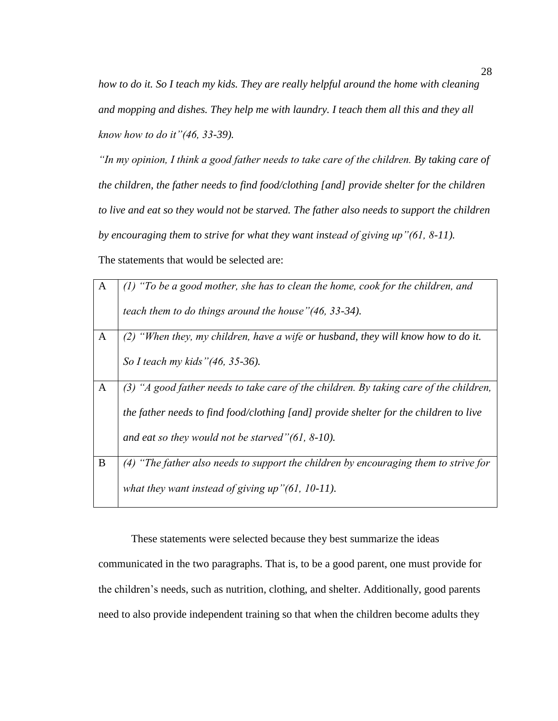*how to do it. So I teach my kids. They are really helpful around the home with cleaning and mopping and dishes. They help me with laundry. I teach them all this and they all know how to do it"(46, 33-39).* 

*"In my opinion, I think a good father needs to take care of the children. By taking care of the children, the father needs to find food/clothing [and] provide shelter for the children to live and eat so they would not be starved. The father also needs to support the children by encouraging them to strive for what they want instead of giving up"(61, 8-11).*

The statements that would be selected are:

| $\mathbf{A}$ | $(1)$ "To be a good mother, she has to clean the home, cook for the children, and        |
|--------------|------------------------------------------------------------------------------------------|
|              | teach them to do things around the house" (46, 33-34).                                   |
| $\mathbf{A}$ | "When they, my children, have a wife or husband, they will know how to do it.            |
|              | So I teach my kids "(46, 35-36).                                                         |
| A            | $(3)$ "A good father needs to take care of the children. By taking care of the children, |
|              | the father needs to find food/clothing [and] provide shelter for the children to live    |
|              | and eat so they would not be starved" $(61, 8-10)$ .                                     |
| B            | "The father also needs to support the children by encouraging them to strive for<br>(4)  |
|              | what they want instead of giving up" $(61, 10-11)$ .                                     |

These statements were selected because they best summarize the ideas

communicated in the two paragraphs. That is, to be a good parent, one must provide for the children's needs, such as nutrition, clothing, and shelter. Additionally, good parents need to also provide independent training so that when the children become adults they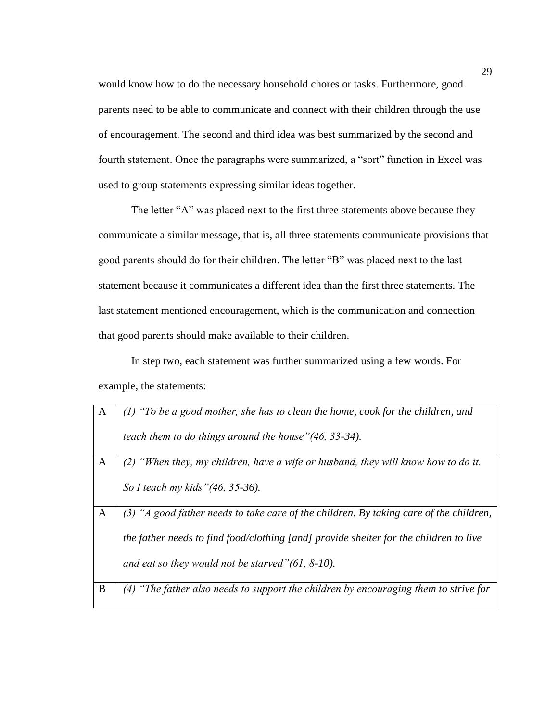would know how to do the necessary household chores or tasks. Furthermore, good parents need to be able to communicate and connect with their children through the use of encouragement. The second and third idea was best summarized by the second and fourth statement. Once the paragraphs were summarized, a "sort" function in Excel was used to group statements expressing similar ideas together.

The letter "A" was placed next to the first three statements above because they communicate a similar message, that is, all three statements communicate provisions that good parents should do for their children. The letter "B" was placed next to the last statement because it communicates a different idea than the first three statements. The last statement mentioned encouragement, which is the communication and connection that good parents should make available to their children.

In step two, each statement was further summarized using a few words. For example, the statements:

| A | $(1)$ "To be a good mother, she has to clean the home, cook for the children, and     |
|---|---------------------------------------------------------------------------------------|
|   | teach them to do things around the house" (46, 33-34).                                |
| A | "When they, my children, have a wife or husband, they will know how to do it.         |
|   | So I teach my kids "(46, 35-36).                                                      |
| A | "A good father needs to take care of the children. By taking care of the children,    |
|   | the father needs to find food/clothing [and] provide shelter for the children to live |
|   | and eat so they would not be starved" $(61, 8-10)$ .                                  |
| B | The father also needs to support the children by encouraging them to strive for       |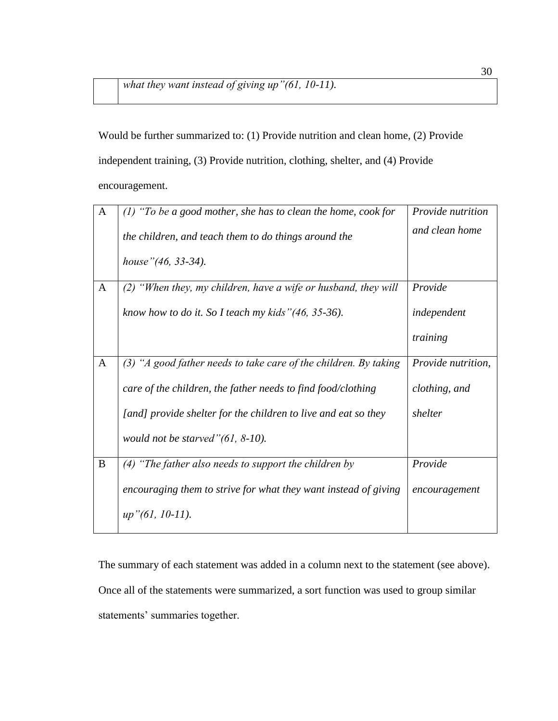Would be further summarized to: (1) Provide nutrition and clean home, (2) Provide independent training, (3) Provide nutrition, clothing, shelter, and (4) Provide encouragement.

| $\mathbf{A}$ | $(1)$ "To be a good mother, she has to clean the home, cook for    | Provide nutrition  |
|--------------|--------------------------------------------------------------------|--------------------|
|              | the children, and teach them to do things around the               | and clean home     |
|              | house" (46, 33-34).                                                |                    |
| $\mathbf{A}$ | $(2)$ "When they, my children, have a wife or husband, they will   | Provide            |
|              | know how to do it. So I teach my kids" $(46, 35-36)$ .             | independent        |
|              |                                                                    | training           |
| $\mathbf{A}$ | $(3)$ "A good father needs to take care of the children. By taking | Provide nutrition, |
|              | care of the children, the father needs to find food/clothing       | clothing, and      |
|              | [and] provide shelter for the children to live and eat so they     | shelter            |
|              | would not be starved" $(61, 8-10)$ .                               |                    |
| B            | $(4)$ "The father also needs to support the children by            | Provide            |
|              | encouraging them to strive for what they want instead of giving    | encouragement      |
|              | $up''(61, 10-11).$                                                 |                    |

The summary of each statement was added in a column next to the statement (see above). Once all of the statements were summarized, a sort function was used to group similar statements' summaries together.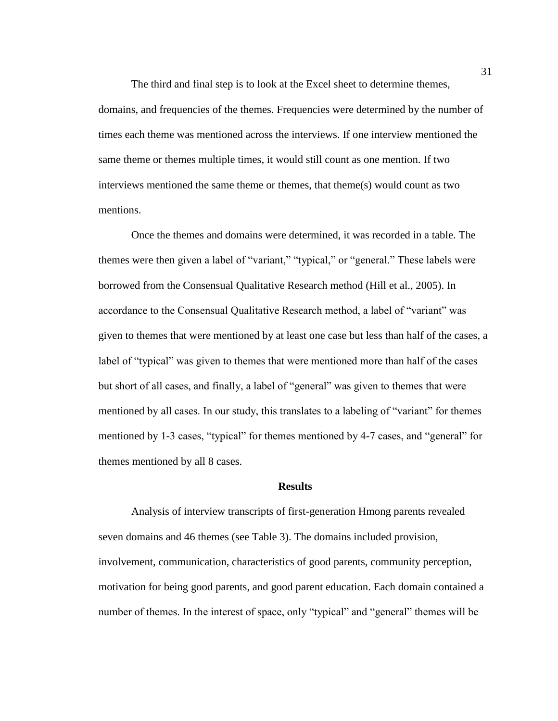The third and final step is to look at the Excel sheet to determine themes, domains, and frequencies of the themes. Frequencies were determined by the number of times each theme was mentioned across the interviews. If one interview mentioned the same theme or themes multiple times, it would still count as one mention. If two interviews mentioned the same theme or themes, that theme(s) would count as two mentions.

Once the themes and domains were determined, it was recorded in a table. The themes were then given a label of "variant," "typical," or "general." These labels were borrowed from the Consensual Qualitative Research method (Hill et al., 2005). In accordance to the Consensual Qualitative Research method, a label of "variant" was given to themes that were mentioned by at least one case but less than half of the cases, a label of "typical" was given to themes that were mentioned more than half of the cases but short of all cases, and finally, a label of "general" was given to themes that were mentioned by all cases. In our study, this translates to a labeling of "variant" for themes mentioned by 1-3 cases, "typical" for themes mentioned by 4-7 cases, and "general" for themes mentioned by all 8 cases.

## **Results**

Analysis of interview transcripts of first-generation Hmong parents revealed seven domains and 46 themes (see Table 3). The domains included provision, involvement, communication, characteristics of good parents, community perception, motivation for being good parents, and good parent education. Each domain contained a number of themes. In the interest of space, only "typical" and "general" themes will be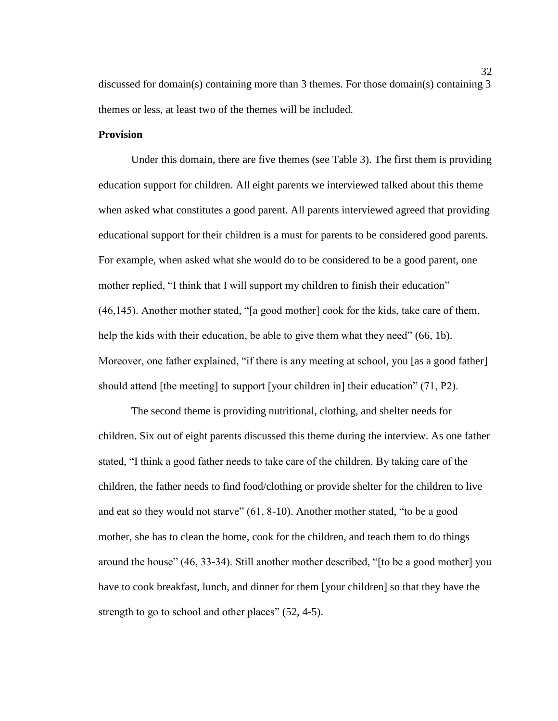discussed for domain(s) containing more than 3 themes. For those domain(s) containing 3 themes or less, at least two of the themes will be included.

## **Provision**

Under this domain, there are five themes (see Table 3). The first them is providing education support for children. All eight parents we interviewed talked about this theme when asked what constitutes a good parent. All parents interviewed agreed that providing educational support for their children is a must for parents to be considered good parents. For example, when asked what she would do to be considered to be a good parent, one mother replied, "I think that I will support my children to finish their education" (46,145). Another mother stated, "[a good mother] cook for the kids, take care of them, help the kids with their education, be able to give them what they need" (66, 1b). Moreover, one father explained, "if there is any meeting at school, you [as a good father] should attend [the meeting] to support [your children in] their education" (71, P2).

The second theme is providing nutritional, clothing, and shelter needs for children. Six out of eight parents discussed this theme during the interview. As one father stated, "I think a good father needs to take care of the children. By taking care of the children, the father needs to find food/clothing or provide shelter for the children to live and eat so they would not starve" (61, 8-10). Another mother stated, "to be a good mother, she has to clean the home, cook for the children, and teach them to do things around the house" (46, 33-34). Still another mother described, "[to be a good mother] you have to cook breakfast, lunch, and dinner for them [your children] so that they have the strength to go to school and other places" (52, 4-5).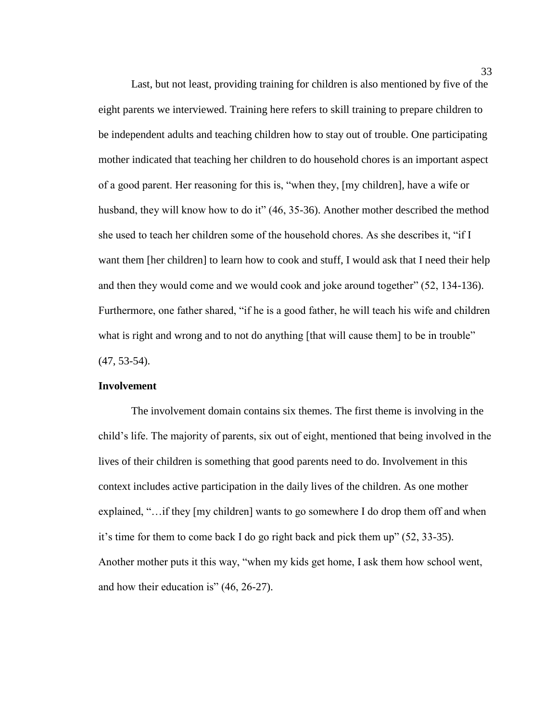Last, but not least, providing training for children is also mentioned by five of the eight parents we interviewed. Training here refers to skill training to prepare children to be independent adults and teaching children how to stay out of trouble. One participating mother indicated that teaching her children to do household chores is an important aspect of a good parent. Her reasoning for this is, "when they, [my children], have a wife or husband, they will know how to do it" (46, 35-36). Another mother described the method she used to teach her children some of the household chores. As she describes it, "if I want them [her children] to learn how to cook and stuff, I would ask that I need their help and then they would come and we would cook and joke around together" (52, 134-136). Furthermore, one father shared, "if he is a good father, he will teach his wife and children what is right and wrong and to not do anything [that will cause them] to be in trouble" (47, 53-54).

## **Involvement**

The involvement domain contains six themes. The first theme is involving in the child's life. The majority of parents, six out of eight, mentioned that being involved in the lives of their children is something that good parents need to do. Involvement in this context includes active participation in the daily lives of the children. As one mother explained, "…if they [my children] wants to go somewhere I do drop them off and when it's time for them to come back I do go right back and pick them up" (52, 33-35). Another mother puts it this way, "when my kids get home, I ask them how school went, and how their education is" (46, 26-27).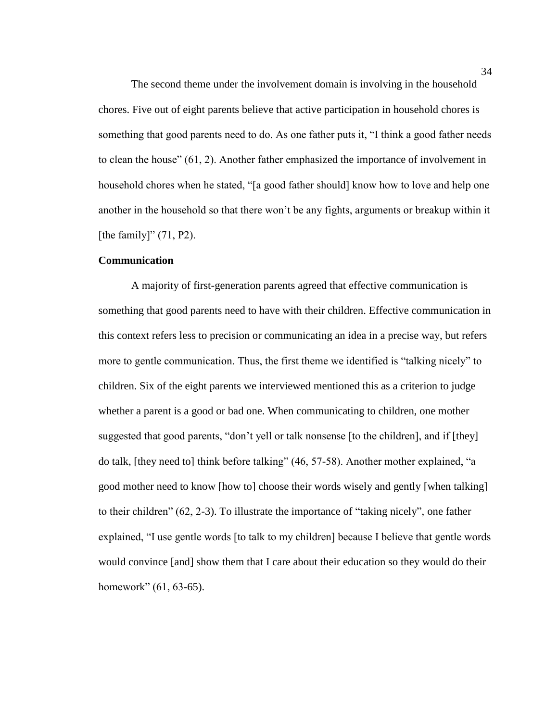The second theme under the involvement domain is involving in the household chores. Five out of eight parents believe that active participation in household chores is something that good parents need to do. As one father puts it, "I think a good father needs to clean the house" (61, 2). Another father emphasized the importance of involvement in household chores when he stated, "[a good father should] know how to love and help one another in the household so that there won't be any fights, arguments or breakup within it [the family]" (71, P2).

## **Communication**

A majority of first-generation parents agreed that effective communication is something that good parents need to have with their children. Effective communication in this context refers less to precision or communicating an idea in a precise way, but refers more to gentle communication. Thus, the first theme we identified is "talking nicely" to children. Six of the eight parents we interviewed mentioned this as a criterion to judge whether a parent is a good or bad one. When communicating to children, one mother suggested that good parents, "don't yell or talk nonsense [to the children], and if [they] do talk, [they need to] think before talking" (46, 57-58). Another mother explained, "a good mother need to know [how to] choose their words wisely and gently [when talking] to their children" (62, 2-3). To illustrate the importance of "taking nicely", one father explained, "I use gentle words [to talk to my children] because I believe that gentle words would convince [and] show them that I care about their education so they would do their homework" (61, 63-65).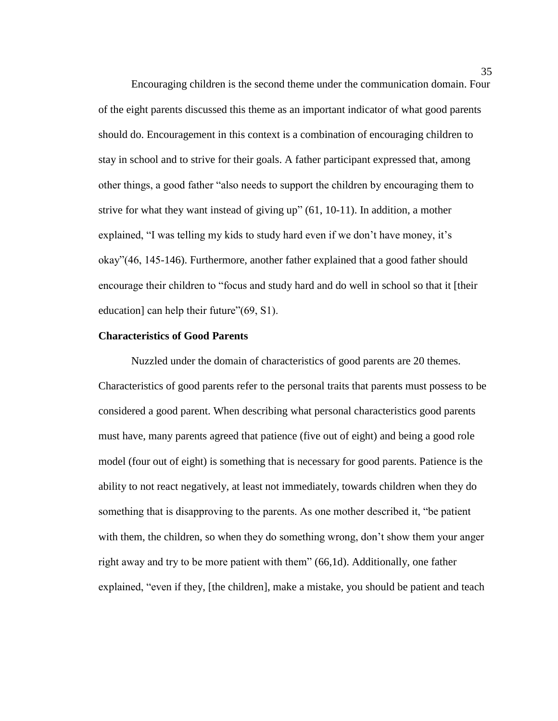Encouraging children is the second theme under the communication domain. Four of the eight parents discussed this theme as an important indicator of what good parents should do. Encouragement in this context is a combination of encouraging children to stay in school and to strive for their goals. A father participant expressed that, among other things, a good father "also needs to support the children by encouraging them to strive for what they want instead of giving up" (61, 10-11). In addition, a mother explained, "I was telling my kids to study hard even if we don't have money, it's okay"(46, 145-146). Furthermore, another father explained that a good father should encourage their children to "focus and study hard and do well in school so that it [their education] can help their future" (69, S1).

## **Characteristics of Good Parents**

Nuzzled under the domain of characteristics of good parents are 20 themes. Characteristics of good parents refer to the personal traits that parents must possess to be considered a good parent. When describing what personal characteristics good parents must have, many parents agreed that patience (five out of eight) and being a good role model (four out of eight) is something that is necessary for good parents. Patience is the ability to not react negatively, at least not immediately, towards children when they do something that is disapproving to the parents. As one mother described it, "be patient with them, the children, so when they do something wrong, don't show them your anger right away and try to be more patient with them" (66,1d). Additionally, one father explained, "even if they, [the children], make a mistake, you should be patient and teach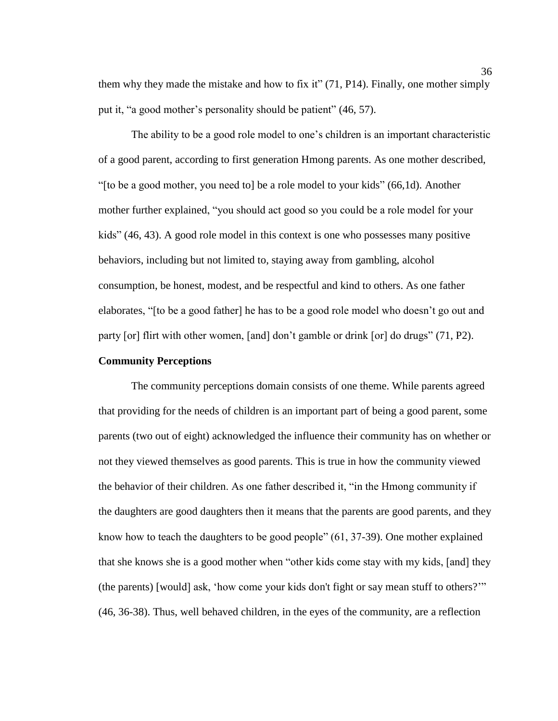them why they made the mistake and how to fix it" (71, P14). Finally, one mother simply put it, "a good mother's personality should be patient" (46, 57).

The ability to be a good role model to one's children is an important characteristic of a good parent, according to first generation Hmong parents. As one mother described, "[to be a good mother, you need to] be a role model to your kids" (66,1d). Another mother further explained, "you should act good so you could be a role model for your kids" (46, 43). A good role model in this context is one who possesses many positive behaviors, including but not limited to, staying away from gambling, alcohol consumption, be honest, modest, and be respectful and kind to others. As one father elaborates, "[to be a good father] he has to be a good role model who doesn't go out and party [or] flirt with other women, [and] don't gamble or drink [or] do drugs" (71, P2).

## **Community Perceptions**

The community perceptions domain consists of one theme. While parents agreed that providing for the needs of children is an important part of being a good parent, some parents (two out of eight) acknowledged the influence their community has on whether or not they viewed themselves as good parents. This is true in how the community viewed the behavior of their children. As one father described it, "in the Hmong community if the daughters are good daughters then it means that the parents are good parents, and they know how to teach the daughters to be good people" (61, 37-39). One mother explained that she knows she is a good mother when "other kids come stay with my kids, [and] they (the parents) [would] ask, 'how come your kids don't fight or say mean stuff to others?'" (46, 36-38). Thus, well behaved children, in the eyes of the community, are a reflection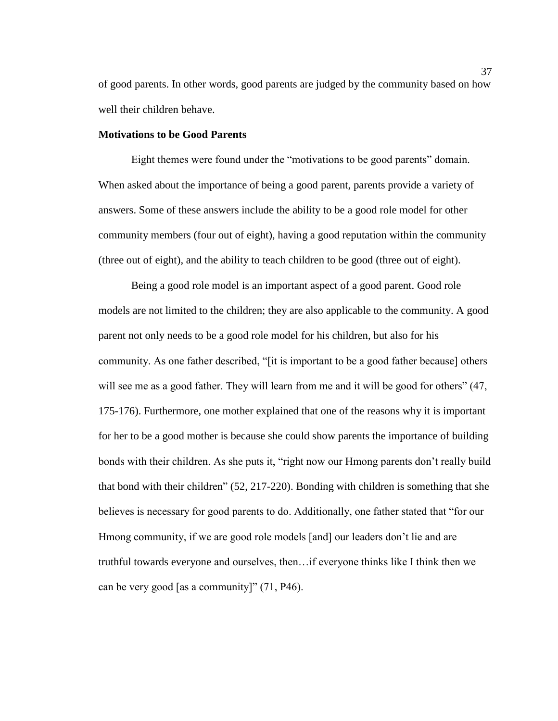of good parents. In other words, good parents are judged by the community based on how well their children behave.

#### **Motivations to be Good Parents**

Eight themes were found under the "motivations to be good parents" domain. When asked about the importance of being a good parent, parents provide a variety of answers. Some of these answers include the ability to be a good role model for other community members (four out of eight), having a good reputation within the community (three out of eight), and the ability to teach children to be good (three out of eight).

Being a good role model is an important aspect of a good parent. Good role models are not limited to the children; they are also applicable to the community. A good parent not only needs to be a good role model for his children, but also for his community. As one father described, "[it is important to be a good father because] others will see me as a good father. They will learn from me and it will be good for others" (47, 175-176). Furthermore, one mother explained that one of the reasons why it is important for her to be a good mother is because she could show parents the importance of building bonds with their children. As she puts it, "right now our Hmong parents don't really build that bond with their children" (52, 217-220). Bonding with children is something that she believes is necessary for good parents to do. Additionally, one father stated that "for our Hmong community, if we are good role models [and] our leaders don't lie and are truthful towards everyone and ourselves, then…if everyone thinks like I think then we can be very good [as a community]" (71, P46).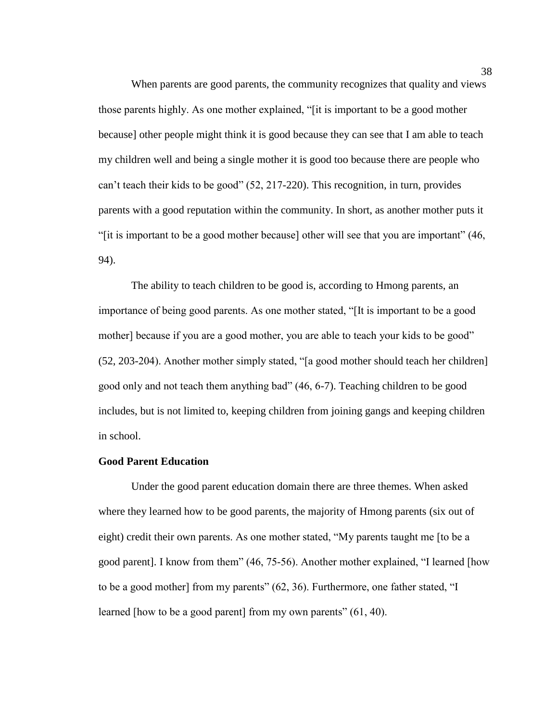When parents are good parents, the community recognizes that quality and views those parents highly. As one mother explained, "[it is important to be a good mother because] other people might think it is good because they can see that I am able to teach my children well and being a single mother it is good too because there are people who can't teach their kids to be good" (52, 217-220). This recognition, in turn, provides parents with a good reputation within the community. In short, as another mother puts it "[it is important to be a good mother because] other will see that you are important" (46, 94).

The ability to teach children to be good is, according to Hmong parents, an importance of being good parents. As one mother stated, "[It is important to be a good mother] because if you are a good mother, you are able to teach your kids to be good" (52, 203-204). Another mother simply stated, "[a good mother should teach her children] good only and not teach them anything bad" (46, 6-7). Teaching children to be good includes, but is not limited to, keeping children from joining gangs and keeping children in school.

#### **Good Parent Education**

Under the good parent education domain there are three themes. When asked where they learned how to be good parents, the majority of Hmong parents (six out of eight) credit their own parents. As one mother stated, "My parents taught me [to be a good parent]. I know from them" (46, 75-56). Another mother explained, "I learned [how to be a good mother] from my parents" (62, 36). Furthermore, one father stated, "I learned [how to be a good parent] from my own parents" (61, 40).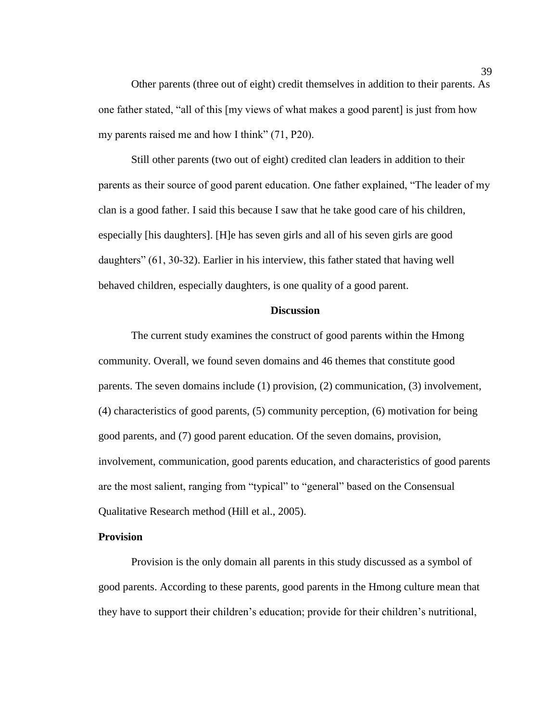Other parents (three out of eight) credit themselves in addition to their parents. As one father stated, "all of this [my views of what makes a good parent] is just from how my parents raised me and how I think" (71, P20).

Still other parents (two out of eight) credited clan leaders in addition to their parents as their source of good parent education. One father explained, "The leader of my clan is a good father. I said this because I saw that he take good care of his children, especially [his daughters]. [H]e has seven girls and all of his seven girls are good daughters" (61, 30-32). Earlier in his interview, this father stated that having well behaved children, especially daughters, is one quality of a good parent.

#### **Discussion**

The current study examines the construct of good parents within the Hmong community. Overall, we found seven domains and 46 themes that constitute good parents. The seven domains include (1) provision, (2) communication, (3) involvement, (4) characteristics of good parents, (5) community perception, (6) motivation for being good parents, and (7) good parent education. Of the seven domains, provision, involvement, communication, good parents education, and characteristics of good parents are the most salient, ranging from "typical" to "general" based on the Consensual Qualitative Research method (Hill et al., 2005).

## **Provision**

Provision is the only domain all parents in this study discussed as a symbol of good parents. According to these parents, good parents in the Hmong culture mean that they have to support their children's education; provide for their children's nutritional,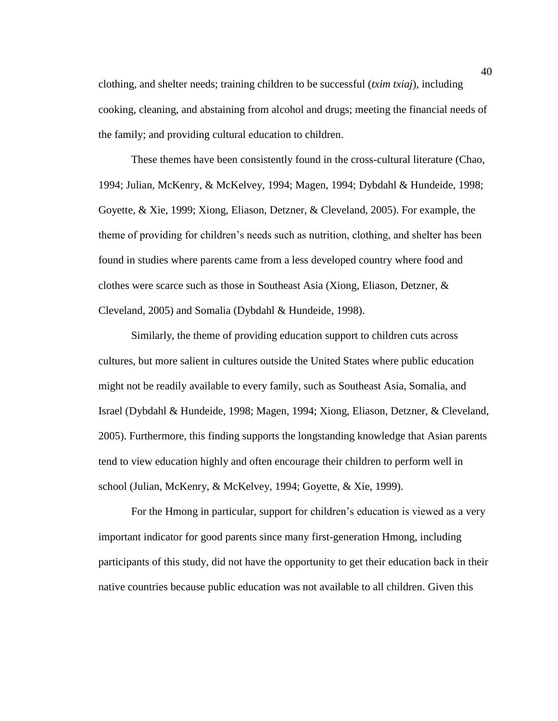clothing, and shelter needs; training children to be successful (*txim txiaj*), including cooking, cleaning, and abstaining from alcohol and drugs; meeting the financial needs of the family; and providing cultural education to children.

These themes have been consistently found in the cross-cultural literature (Chao, 1994; Julian, McKenry, & McKelvey, 1994; Magen, 1994; Dybdahl & Hundeide, 1998; Goyette, & Xie, 1999; Xiong, Eliason, Detzner, & Cleveland, 2005). For example, the theme of providing for children's needs such as nutrition, clothing, and shelter has been found in studies where parents came from a less developed country where food and clothes were scarce such as those in Southeast Asia (Xiong, Eliason, Detzner, & Cleveland, 2005) and Somalia (Dybdahl & Hundeide, 1998).

Similarly, the theme of providing education support to children cuts across cultures, but more salient in cultures outside the United States where public education might not be readily available to every family, such as Southeast Asia, Somalia, and Israel (Dybdahl & Hundeide, 1998; Magen, 1994; Xiong, Eliason, Detzner, & Cleveland, 2005). Furthermore, this finding supports the longstanding knowledge that Asian parents tend to view education highly and often encourage their children to perform well in school (Julian, McKenry, & McKelvey, 1994; Goyette, & Xie, 1999).

For the Hmong in particular, support for children's education is viewed as a very important indicator for good parents since many first-generation Hmong, including participants of this study, did not have the opportunity to get their education back in their native countries because public education was not available to all children. Given this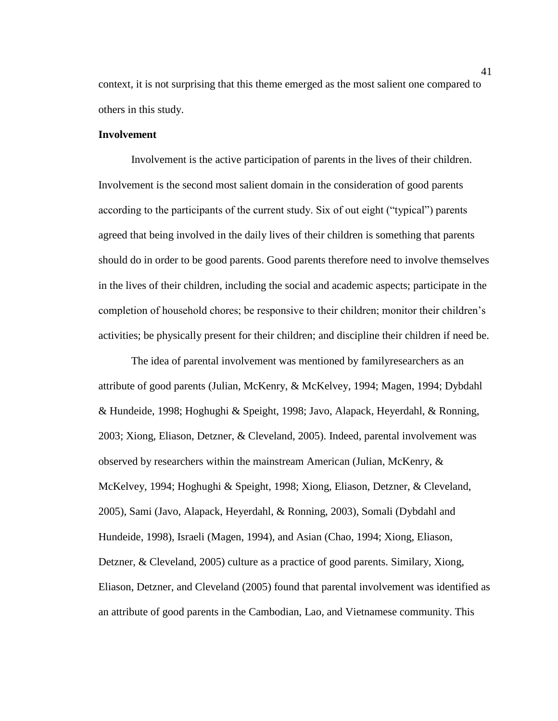context, it is not surprising that this theme emerged as the most salient one compared to others in this study.

## **Involvement**

Involvement is the active participation of parents in the lives of their children. Involvement is the second most salient domain in the consideration of good parents according to the participants of the current study. Six of out eight ("typical") parents agreed that being involved in the daily lives of their children is something that parents should do in order to be good parents. Good parents therefore need to involve themselves in the lives of their children, including the social and academic aspects; participate in the completion of household chores; be responsive to their children; monitor their children's activities; be physically present for their children; and discipline their children if need be.

The idea of parental involvement was mentioned by familyresearchers as an attribute of good parents (Julian, McKenry, & McKelvey, 1994; Magen, 1994; Dybdahl & Hundeide, 1998; Hoghughi & Speight, 1998; Javo, Alapack, Heyerdahl, & Ronning, 2003; Xiong, Eliason, Detzner, & Cleveland, 2005). Indeed, parental involvement was observed by researchers within the mainstream American (Julian, McKenry, & McKelvey, 1994; Hoghughi & Speight, 1998; Xiong, Eliason, Detzner, & Cleveland, 2005), Sami (Javo, Alapack, Heyerdahl, & Ronning, 2003), Somali (Dybdahl and Hundeide, 1998), Israeli (Magen, 1994), and Asian (Chao, 1994; Xiong, Eliason, Detzner, & Cleveland, 2005) culture as a practice of good parents. Similary, Xiong, Eliason, Detzner, and Cleveland (2005) found that parental involvement was identified as an attribute of good parents in the Cambodian, Lao, and Vietnamese community. This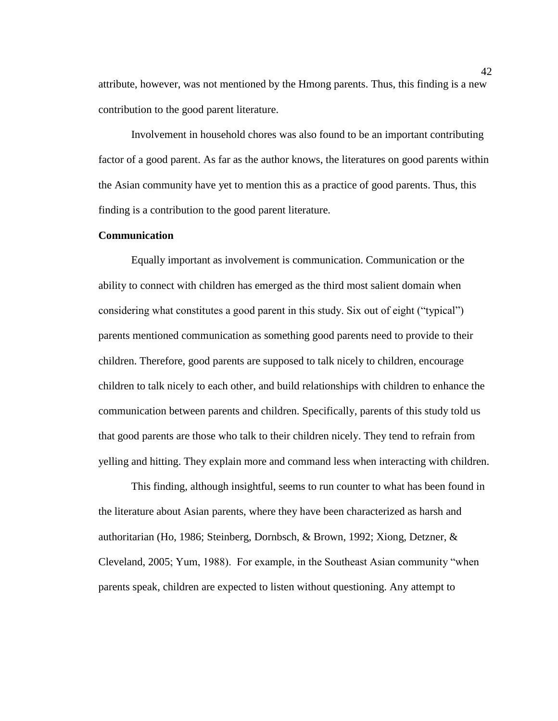attribute, however, was not mentioned by the Hmong parents. Thus, this finding is a new contribution to the good parent literature.

Involvement in household chores was also found to be an important contributing factor of a good parent. As far as the author knows, the literatures on good parents within the Asian community have yet to mention this as a practice of good parents. Thus, this finding is a contribution to the good parent literature.

## **Communication**

Equally important as involvement is communication. Communication or the ability to connect with children has emerged as the third most salient domain when considering what constitutes a good parent in this study. Six out of eight ("typical") parents mentioned communication as something good parents need to provide to their children. Therefore, good parents are supposed to talk nicely to children, encourage children to talk nicely to each other, and build relationships with children to enhance the communication between parents and children. Specifically, parents of this study told us that good parents are those who talk to their children nicely. They tend to refrain from yelling and hitting. They explain more and command less when interacting with children.

This finding, although insightful, seems to run counter to what has been found in the literature about Asian parents, where they have been characterized as harsh and authoritarian (Ho, 1986; Steinberg, Dornbsch, & Brown, 1992; Xiong, Detzner, & Cleveland, 2005; Yum, 1988). For example, in the Southeast Asian community "when parents speak, children are expected to listen without questioning. Any attempt to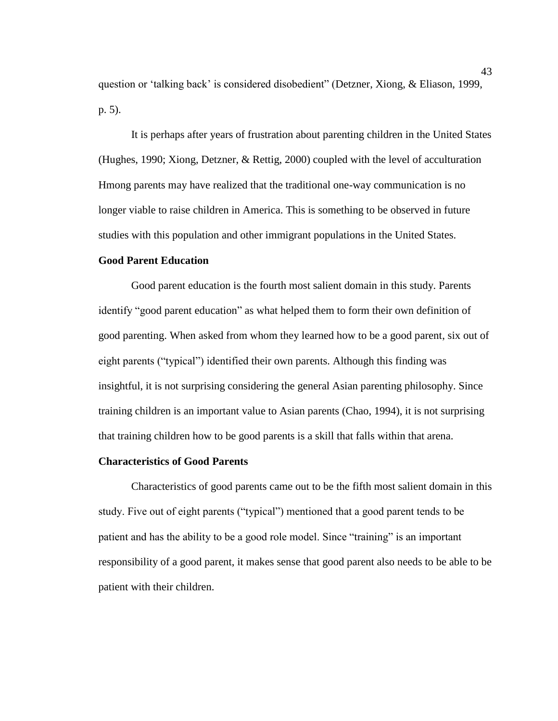question or 'talking back' is considered disobedient" (Detzner, Xiong, & Eliason, 1999, p. 5).

It is perhaps after years of frustration about parenting children in the United States (Hughes, 1990; Xiong, Detzner, & Rettig, 2000) coupled with the level of acculturation Hmong parents may have realized that the traditional one-way communication is no longer viable to raise children in America. This is something to be observed in future studies with this population and other immigrant populations in the United States.

## **Good Parent Education**

Good parent education is the fourth most salient domain in this study. Parents identify "good parent education" as what helped them to form their own definition of good parenting. When asked from whom they learned how to be a good parent, six out of eight parents ("typical") identified their own parents. Although this finding was insightful, it is not surprising considering the general Asian parenting philosophy. Since training children is an important value to Asian parents (Chao, 1994), it is not surprising that training children how to be good parents is a skill that falls within that arena.

#### **Characteristics of Good Parents**

Characteristics of good parents came out to be the fifth most salient domain in this study. Five out of eight parents ("typical") mentioned that a good parent tends to be patient and has the ability to be a good role model. Since "training" is an important responsibility of a good parent, it makes sense that good parent also needs to be able to be patient with their children.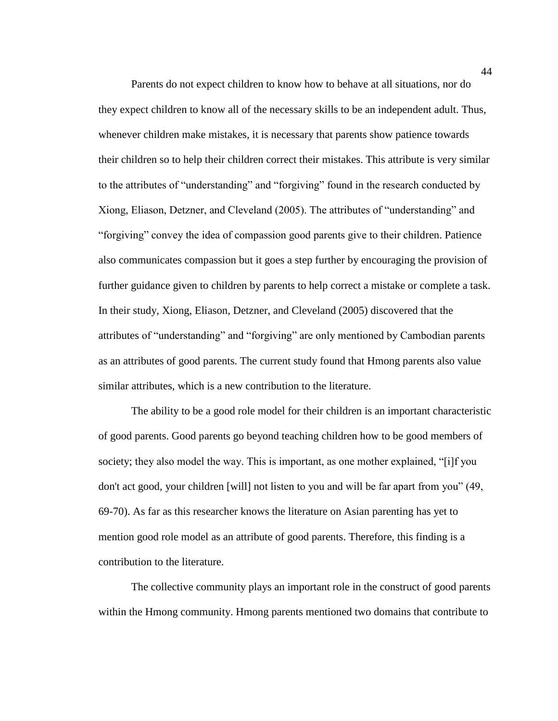Parents do not expect children to know how to behave at all situations, nor do they expect children to know all of the necessary skills to be an independent adult. Thus, whenever children make mistakes, it is necessary that parents show patience towards their children so to help their children correct their mistakes. This attribute is very similar to the attributes of "understanding" and "forgiving" found in the research conducted by Xiong, Eliason, Detzner, and Cleveland (2005). The attributes of "understanding" and "forgiving" convey the idea of compassion good parents give to their children. Patience also communicates compassion but it goes a step further by encouraging the provision of further guidance given to children by parents to help correct a mistake or complete a task. In their study, Xiong, Eliason, Detzner, and Cleveland (2005) discovered that the attributes of "understanding" and "forgiving" are only mentioned by Cambodian parents as an attributes of good parents. The current study found that Hmong parents also value similar attributes, which is a new contribution to the literature.

The ability to be a good role model for their children is an important characteristic of good parents. Good parents go beyond teaching children how to be good members of society; they also model the way. This is important, as one mother explained, "[i]f you don't act good, your children [will] not listen to you and will be far apart from you" (49, 69-70). As far as this researcher knows the literature on Asian parenting has yet to mention good role model as an attribute of good parents. Therefore, this finding is a contribution to the literature.

The collective community plays an important role in the construct of good parents within the Hmong community. Hmong parents mentioned two domains that contribute to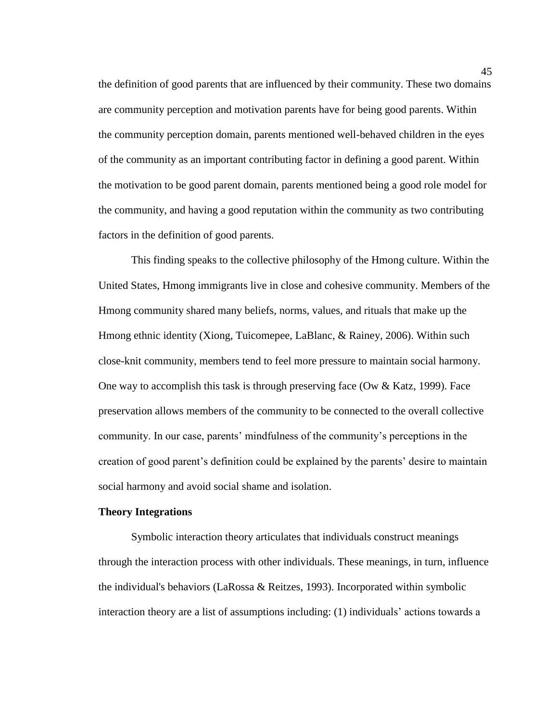the definition of good parents that are influenced by their community. These two domains are community perception and motivation parents have for being good parents. Within the community perception domain, parents mentioned well-behaved children in the eyes of the community as an important contributing factor in defining a good parent. Within the motivation to be good parent domain, parents mentioned being a good role model for the community, and having a good reputation within the community as two contributing factors in the definition of good parents.

This finding speaks to the collective philosophy of the Hmong culture. Within the United States, Hmong immigrants live in close and cohesive community. Members of the Hmong community shared many beliefs, norms, values, and rituals that make up the Hmong ethnic identity (Xiong, Tuicomepee, LaBlanc, & Rainey, 2006). Within such close-knit community, members tend to feel more pressure to maintain social harmony. One way to accomplish this task is through preserving face (Ow & Katz, 1999). Face preservation allows members of the community to be connected to the overall collective community. In our case, parents' mindfulness of the community's perceptions in the creation of good parent's definition could be explained by the parents' desire to maintain social harmony and avoid social shame and isolation.

#### **Theory Integrations**

Symbolic interaction theory articulates that individuals construct meanings through the interaction process with other individuals. These meanings, in turn, influence the individual's behaviors (LaRossa & Reitzes, 1993). Incorporated within symbolic interaction theory are a list of assumptions including: (1) individuals' actions towards a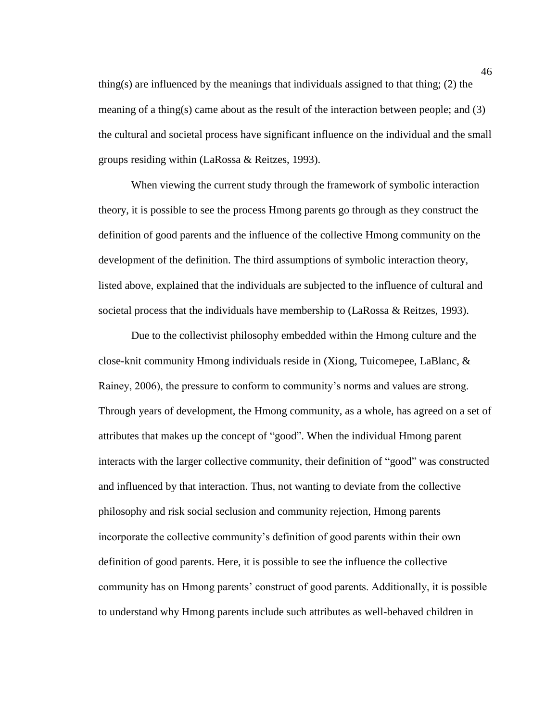thing(s) are influenced by the meanings that individuals assigned to that thing; (2) the meaning of a thing(s) came about as the result of the interaction between people; and (3) the cultural and societal process have significant influence on the individual and the small groups residing within (LaRossa & Reitzes, 1993).

When viewing the current study through the framework of symbolic interaction theory, it is possible to see the process Hmong parents go through as they construct the definition of good parents and the influence of the collective Hmong community on the development of the definition. The third assumptions of symbolic interaction theory, listed above, explained that the individuals are subjected to the influence of cultural and societal process that the individuals have membership to (LaRossa & Reitzes, 1993).

Due to the collectivist philosophy embedded within the Hmong culture and the close-knit community Hmong individuals reside in (Xiong, Tuicomepee, LaBlanc, & Rainey, 2006), the pressure to conform to community's norms and values are strong. Through years of development, the Hmong community, as a whole, has agreed on a set of attributes that makes up the concept of "good". When the individual Hmong parent interacts with the larger collective community, their definition of "good" was constructed and influenced by that interaction. Thus, not wanting to deviate from the collective philosophy and risk social seclusion and community rejection, Hmong parents incorporate the collective community's definition of good parents within their own definition of good parents. Here, it is possible to see the influence the collective community has on Hmong parents' construct of good parents. Additionally, it is possible to understand why Hmong parents include such attributes as well-behaved children in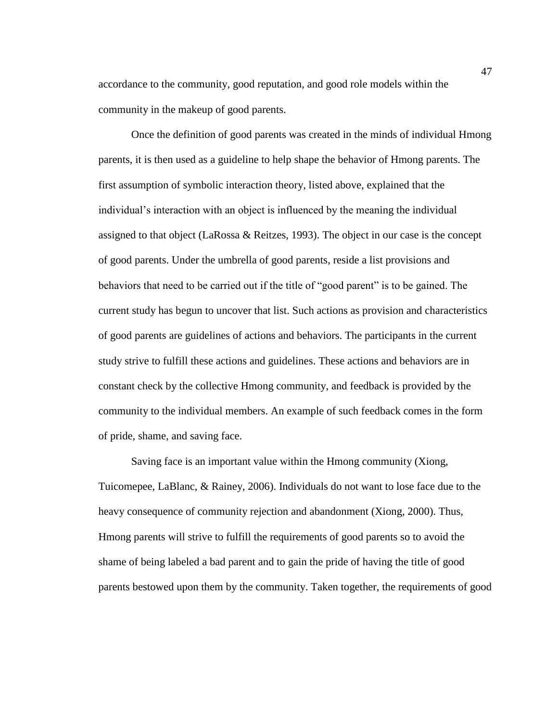accordance to the community, good reputation, and good role models within the community in the makeup of good parents.

Once the definition of good parents was created in the minds of individual Hmong parents, it is then used as a guideline to help shape the behavior of Hmong parents. The first assumption of symbolic interaction theory, listed above, explained that the individual's interaction with an object is influenced by the meaning the individual assigned to that object (LaRossa & Reitzes, 1993). The object in our case is the concept of good parents. Under the umbrella of good parents, reside a list provisions and behaviors that need to be carried out if the title of "good parent" is to be gained. The current study has begun to uncover that list. Such actions as provision and characteristics of good parents are guidelines of actions and behaviors. The participants in the current study strive to fulfill these actions and guidelines. These actions and behaviors are in constant check by the collective Hmong community, and feedback is provided by the community to the individual members. An example of such feedback comes in the form of pride, shame, and saving face.

Saving face is an important value within the Hmong community (Xiong, Tuicomepee, LaBlanc, & Rainey, 2006). Individuals do not want to lose face due to the heavy consequence of community rejection and abandonment (Xiong, 2000). Thus, Hmong parents will strive to fulfill the requirements of good parents so to avoid the shame of being labeled a bad parent and to gain the pride of having the title of good parents bestowed upon them by the community. Taken together, the requirements of good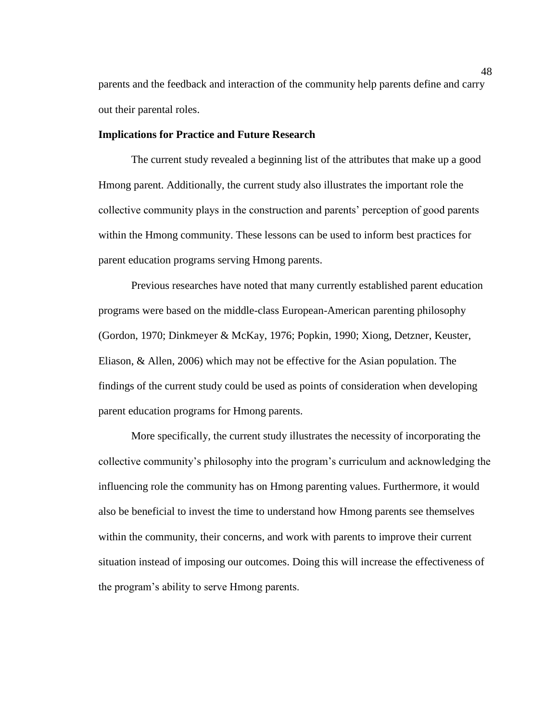parents and the feedback and interaction of the community help parents define and carry out their parental roles.

## **Implications for Practice and Future Research**

The current study revealed a beginning list of the attributes that make up a good Hmong parent. Additionally, the current study also illustrates the important role the collective community plays in the construction and parents' perception of good parents within the Hmong community. These lessons can be used to inform best practices for parent education programs serving Hmong parents.

Previous researches have noted that many currently established parent education programs were based on the middle-class European-American parenting philosophy (Gordon, 1970; Dinkmeyer & McKay, 1976; Popkin, 1990; Xiong, Detzner, Keuster, Eliason, & Allen, 2006) which may not be effective for the Asian population. The findings of the current study could be used as points of consideration when developing parent education programs for Hmong parents.

More specifically, the current study illustrates the necessity of incorporating the collective community's philosophy into the program's curriculum and acknowledging the influencing role the community has on Hmong parenting values. Furthermore, it would also be beneficial to invest the time to understand how Hmong parents see themselves within the community, their concerns, and work with parents to improve their current situation instead of imposing our outcomes. Doing this will increase the effectiveness of the program's ability to serve Hmong parents.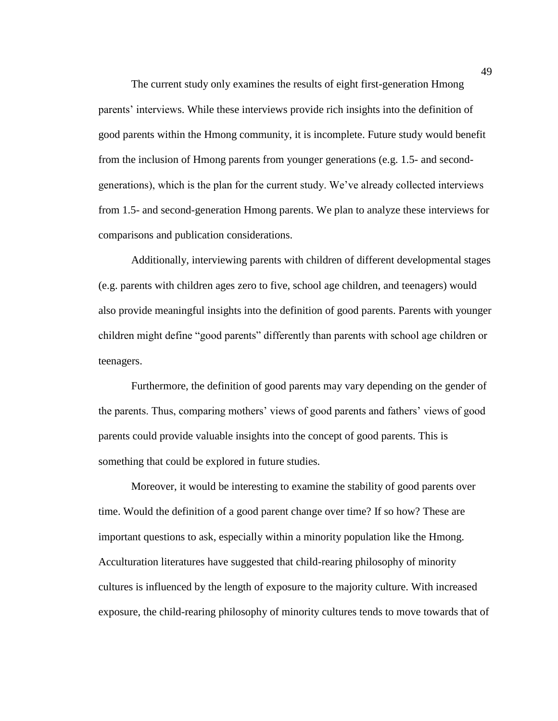The current study only examines the results of eight first-generation Hmong parents' interviews. While these interviews provide rich insights into the definition of good parents within the Hmong community, it is incomplete. Future study would benefit from the inclusion of Hmong parents from younger generations (e.g. 1.5- and secondgenerations), which is the plan for the current study. We've already collected interviews from 1.5- and second-generation Hmong parents. We plan to analyze these interviews for comparisons and publication considerations.

Additionally, interviewing parents with children of different developmental stages (e.g. parents with children ages zero to five, school age children, and teenagers) would also provide meaningful insights into the definition of good parents. Parents with younger children might define "good parents" differently than parents with school age children or teenagers.

Furthermore, the definition of good parents may vary depending on the gender of the parents. Thus, comparing mothers' views of good parents and fathers' views of good parents could provide valuable insights into the concept of good parents. This is something that could be explored in future studies.

Moreover, it would be interesting to examine the stability of good parents over time. Would the definition of a good parent change over time? If so how? These are important questions to ask, especially within a minority population like the Hmong. Acculturation literatures have suggested that child-rearing philosophy of minority cultures is influenced by the length of exposure to the majority culture. With increased exposure, the child-rearing philosophy of minority cultures tends to move towards that of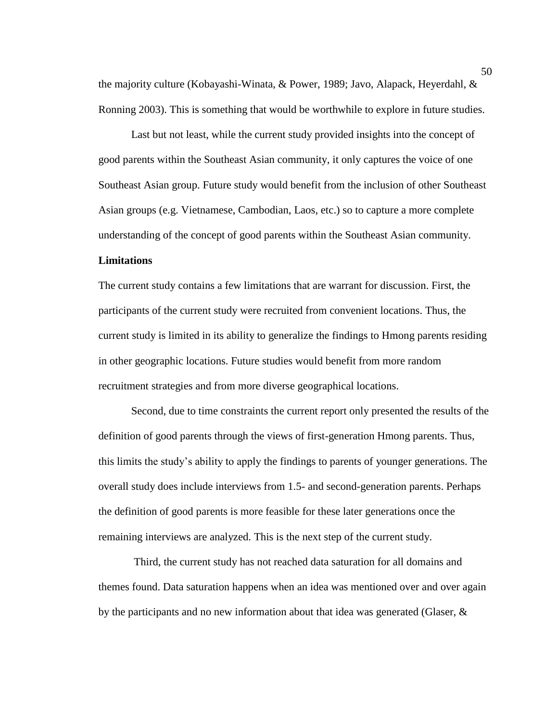the majority culture (Kobayashi-Winata, & Power, 1989; Javo, Alapack, Heyerdahl, & Ronning 2003). This is something that would be worthwhile to explore in future studies.

Last but not least, while the current study provided insights into the concept of good parents within the Southeast Asian community, it only captures the voice of one Southeast Asian group. Future study would benefit from the inclusion of other Southeast Asian groups (e.g. Vietnamese, Cambodian, Laos, etc.) so to capture a more complete understanding of the concept of good parents within the Southeast Asian community.

## **Limitations**

The current study contains a few limitations that are warrant for discussion. First, the participants of the current study were recruited from convenient locations. Thus, the current study is limited in its ability to generalize the findings to Hmong parents residing in other geographic locations. Future studies would benefit from more random recruitment strategies and from more diverse geographical locations.

Second, due to time constraints the current report only presented the results of the definition of good parents through the views of first-generation Hmong parents. Thus, this limits the study's ability to apply the findings to parents of younger generations. The overall study does include interviews from 1.5- and second-generation parents. Perhaps the definition of good parents is more feasible for these later generations once the remaining interviews are analyzed. This is the next step of the current study.

Third, the current study has not reached data saturation for all domains and themes found. Data saturation happens when an idea was mentioned over and over again by the participants and no new information about that idea was generated (Glaser,  $\&$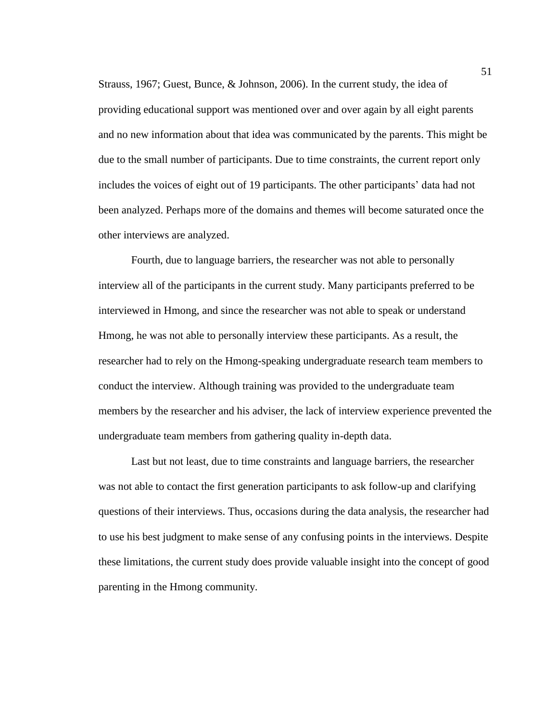Strauss, 1967; Guest, Bunce, & Johnson, 2006). In the current study, the idea of providing educational support was mentioned over and over again by all eight parents and no new information about that idea was communicated by the parents. This might be due to the small number of participants. Due to time constraints, the current report only includes the voices of eight out of 19 participants. The other participants' data had not been analyzed. Perhaps more of the domains and themes will become saturated once the other interviews are analyzed.

Fourth, due to language barriers, the researcher was not able to personally interview all of the participants in the current study. Many participants preferred to be interviewed in Hmong, and since the researcher was not able to speak or understand Hmong, he was not able to personally interview these participants. As a result, the researcher had to rely on the Hmong-speaking undergraduate research team members to conduct the interview. Although training was provided to the undergraduate team members by the researcher and his adviser, the lack of interview experience prevented the undergraduate team members from gathering quality in-depth data.

Last but not least, due to time constraints and language barriers, the researcher was not able to contact the first generation participants to ask follow-up and clarifying questions of their interviews. Thus, occasions during the data analysis, the researcher had to use his best judgment to make sense of any confusing points in the interviews. Despite these limitations, the current study does provide valuable insight into the concept of good parenting in the Hmong community.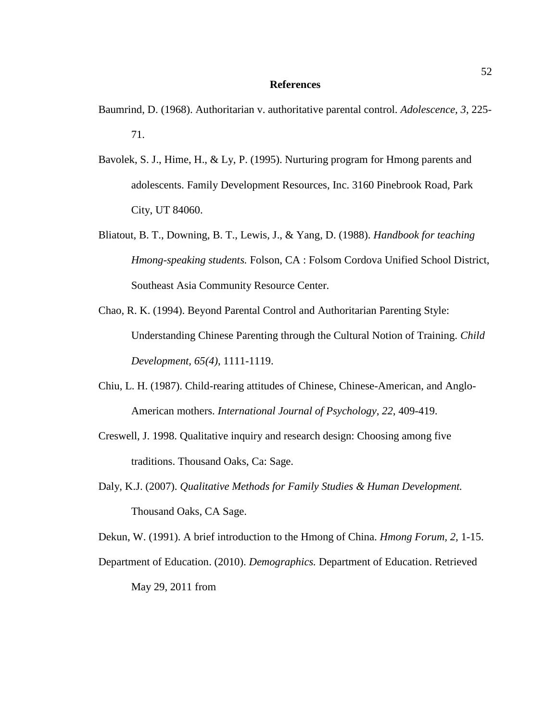#### **References**

- Baumrind, D. (1968). Authoritarian v. authoritative parental control. *Adolescence, 3*, 225- 71.
- Bavolek, S. J., Hime, H., & Ly, P. (1995). Nurturing program for Hmong parents and adolescents. Family Development Resources, Inc. 3160 Pinebrook Road, Park City, UT 84060.
- Bliatout, B. T., Downing, B. T., Lewis, J., & Yang, D. (1988). *Handbook for teaching Hmong-speaking students.* Folson, CA : Folsom Cordova Unified School District, Southeast Asia Community Resource Center.
- Chao, R. K. (1994). Beyond Parental Control and Authoritarian Parenting Style: Understanding Chinese Parenting through the Cultural Notion of Training. *Child Development, 65(4)*, 1111-1119.
- Chiu, L. H. (1987). Child-rearing attitudes of Chinese, Chinese-American, and Anglo-American mothers. *International Journal of Psychology*, *22*, 409-419.
- Creswell, J. 1998. Qualitative inquiry and research design: Choosing among five traditions. Thousand Oaks, Ca: Sage.
- Daly, K.J. (2007). *Qualitative Methods for Family Studies & Human Development.* Thousand Oaks, CA Sage.

Dekun, W. (1991). A brief introduction to the Hmong of China. *Hmong Forum, 2,* 1-15.

Department of Education. (2010). *Demographics.* Department of Education. Retrieved May 29, 2011 from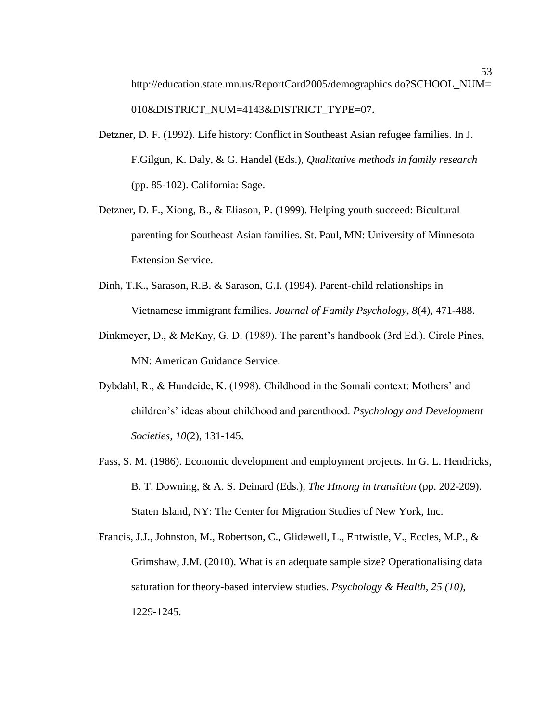- Detzner, D. F. (1992). Life history: Conflict in Southeast Asian refugee families. In J. F.Gilgun, K. Daly, & G. Handel (Eds.), *Qualitative methods in family research* (pp. 85-102). California: Sage.
- Detzner, D. F., Xiong, B., & Eliason, P. (1999). Helping youth succeed: Bicultural parenting for Southeast Asian families. St. Paul, MN: University of Minnesota Extension Service.
- Dinh, T.K., Sarason, R.B. & Sarason, G.I. (1994). Parent-child relationships in Vietnamese immigrant families. *Journal of Family Psychology, 8*(4), 471-488.
- Dinkmeyer, D., & McKay, G. D. (1989). The parent's handbook (3rd Ed.). Circle Pines, MN: American Guidance Service.
- Dybdahl, R., & Hundeide, K. (1998). Childhood in the Somali context: Mothers' and children's' ideas about childhood and parenthood. *Psychology and Development Societies, 10*(2), 131-145.
- Fass, S. M. (1986). Economic development and employment projects. In G. L. Hendricks, B. T. Downing, & A. S. Deinard (Eds.), *The Hmong in transition* (pp. 202-209). Staten Island, NY: The Center for Migration Studies of New York, Inc.
- Francis, J.J., Johnston, M., Robertson, C., Glidewell, L., Entwistle, V., Eccles, M.P., & Grimshaw, J.M. (2010). What is an adequate sample size? Operationalising data saturation for theory-based interview studies. *Psychology & Health, 25 (10)*, 1229-1245.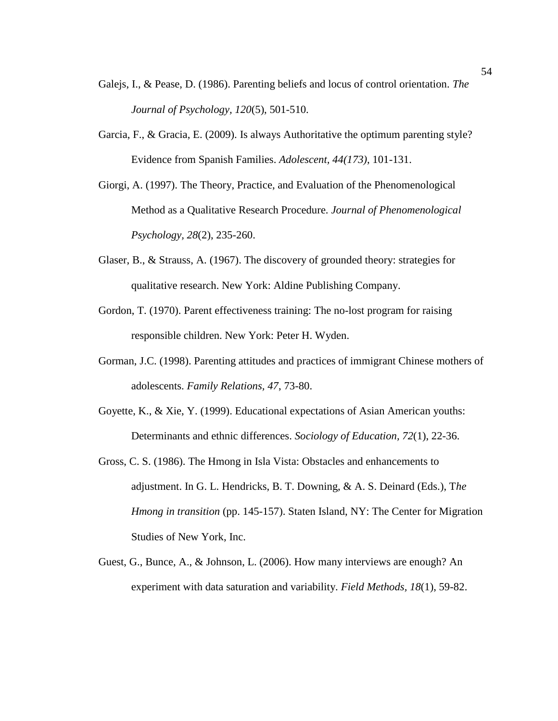- Galejs, I., & Pease, D. (1986). Parenting beliefs and locus of control orientation. *The Journal of Psychology, 120*(5), 501-510.
- Garcia, F., & Gracia, E. (2009). Is always Authoritative the optimum parenting style? Evidence from Spanish Families. *Adolescent, 44(173)*, 101-131.
- Giorgi, A. (1997). The Theory, Practice, and Evaluation of the Phenomenological Method as a Qualitative Research Procedure. *Journal of Phenomenological Psychology, 28*(2), 235-260.
- Glaser, B., & Strauss, A. (1967). The discovery of grounded theory: strategies for qualitative research. New York: Aldine Publishing Company.
- Gordon, T. (1970). Parent effectiveness training: The no-lost program for raising responsible children. New York: Peter H. Wyden.
- Gorman, J.C. (1998). Parenting attitudes and practices of immigrant Chinese mothers of adolescents. *Family Relations, 47*, 73-80.
- Goyette, K., & Xie, Y. (1999). Educational expectations of Asian American youths: Determinants and ethnic differences. *Sociology of Education, 72*(1), 22-36.
- Gross, C. S. (1986). The Hmong in Isla Vista: Obstacles and enhancements to adjustment. In G. L. Hendricks, B. T. Downing, & A. S. Deinard (Eds.), T*he Hmong in transition* (pp. 145-157). Staten Island, NY: The Center for Migration Studies of New York, Inc.
- Guest, G., Bunce, A., & Johnson, L. (2006). How many interviews are enough? An experiment with data saturation and variability. *Field Methods, 18*(1), 59-82.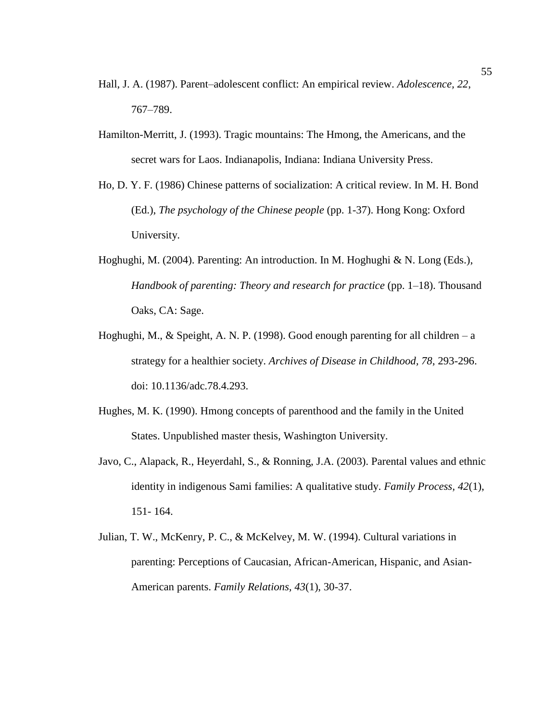- Hall, J. A. (1987). Parent–adolescent conflict: An empirical review. *Adolescence, 22*, 767–789.
- Hamilton-Merritt, J. (1993). Tragic mountains: The Hmong, the Americans, and the secret wars for Laos. Indianapolis, Indiana: Indiana University Press.
- Ho, D. Y. F. (1986) Chinese patterns of socialization: A critical review. In M. H. Bond (Ed.), *The psychology of the Chinese people* (pp. 1-37). Hong Kong: Oxford University.
- Hoghughi, M. (2004). Parenting: An introduction. In M. Hoghughi & N. Long (Eds.), *Handbook of parenting: Theory and research for practice (pp. 1–18). Thousand* Oaks, CA: Sage.
- Hoghughi, M., & Speight, A. N. P. (1998). Good enough parenting for all children a strategy for a healthier society. *Archives of Disease in Childhood, 78*, 293-296. doi: 10.1136/adc.78.4.293.
- Hughes, M. K. (1990). Hmong concepts of parenthood and the family in the United States. Unpublished master thesis, Washington University.
- Javo, C., Alapack, R., Heyerdahl, S., & Ronning, J.A. (2003). Parental values and ethnic identity in indigenous Sami families: A qualitative study. *Family Process, 42*(1), 151- 164.
- Julian, T. W., McKenry, P. C., & McKelvey, M. W. (1994). Cultural variations in parenting: Perceptions of Caucasian, African-American, Hispanic, and Asian-American parents. *Family Relations, 43*(1), 30-37.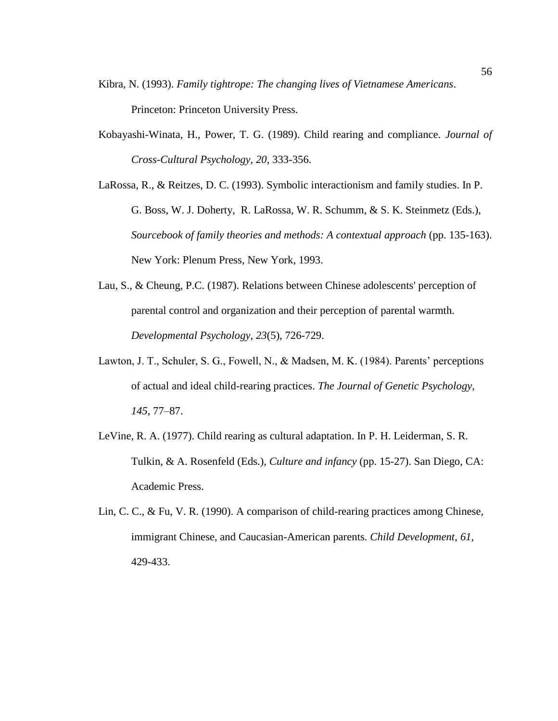- Kibra, N. (1993). *Family tightrope: The changing lives of Vietnamese Americans*. Princeton: Princeton University Press.
- Kobayashi-Winata, H., Power, T. G. (1989). Child rearing and compliance. *Journal of Cross-Cultural Psychology, 20*, 333-356.
- LaRossa, R., & Reitzes, D. C. (1993). Symbolic interactionism and family studies. In P. G. Boss, W. J. Doherty, R. LaRossa, W. R. Schumm, & S. K. Steinmetz (Eds.), *Sourcebook of family theories and methods: A contextual approach* (pp. 135-163). New York: Plenum Press, New York, 1993.
- Lau, S., & Cheung, P.C. (1987). Relations between Chinese adolescents' perception of parental control and organization and their perception of parental warmth. *Developmental Psychology, 23*(5), 726-729.
- Lawton, J. T., Schuler, S. G., Fowell, N., & Madsen, M. K. (1984). Parents' perceptions of actual and ideal child-rearing practices. *The Journal of Genetic Psychology, 145*, 77–87.
- LeVine, R. A. (1977). Child rearing as cultural adaptation. In P. H. Leiderman, S. R. Tulkin, & A. Rosenfeld (Eds.), *Culture and infancy* (pp. 15-27). San Diego, CA: Academic Press.
- Lin, C. C., & Fu, V. R. (1990). A comparison of child-rearing practices among Chinese, immigrant Chinese, and Caucasian-American parents. *Child Development*, *61*, 429-433.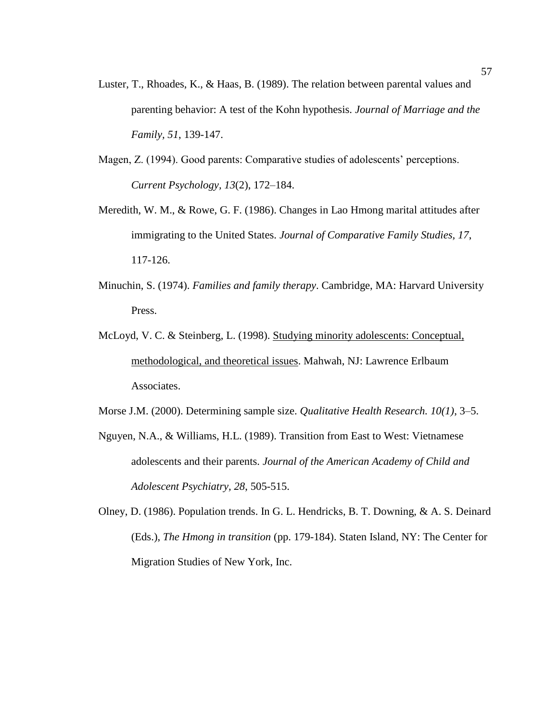- Luster, T., Rhoades, K., & Haas, B. (1989). The relation between parental values and parenting behavior: A test of the Kohn hypothesis. *Journal of Marriage and the Family, 51*, 139-147.
- Magen, Z. (1994). Good parents: Comparative studies of adolescents' perceptions. *Current Psychology, 13*(2), 172–184.
- Meredith, W. M., & Rowe, G. F. (1986). Changes in Lao Hmong marital attitudes after immigrating to the United States. *Journal of Comparative Family Studies, 17*, 117-126.
- Minuchin, S. (1974). *Families and family therapy*. Cambridge, MA: Harvard University Press.
- McLoyd, V. C. & Steinberg, L. (1998). Studying minority adolescents: Conceptual, methodological, and theoretical issues. Mahwah, NJ: Lawrence Erlbaum Associates.

Morse J.M. (2000). Determining sample size. *Qualitative Health Research. 10(1)*, 3–5.

- Nguyen, N.A., & Williams, H.L. (1989). Transition from East to West: Vietnamese adolescents and their parents. *Journal of the American Academy of Child and Adolescent Psychiatry, 28*, 505-515.
- Olney, D. (1986). Population trends. In G. L. Hendricks, B. T. Downing, & A. S. Deinard (Eds.), *The Hmong in transition* (pp. 179-184). Staten Island, NY: The Center for Migration Studies of New York, Inc.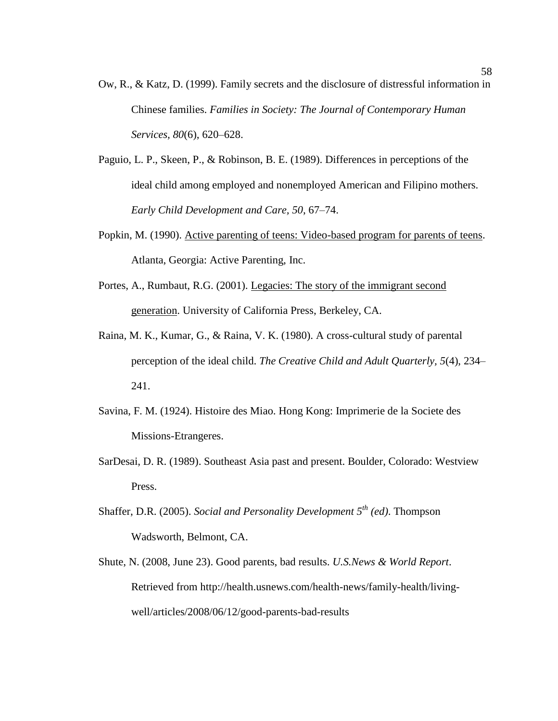- Ow, R., & Katz, D. (1999). Family secrets and the disclosure of distressful information in Chinese families. *Families in Society: The Journal of Contemporary Human Services, 80*(6), 620–628.
- Paguio, L. P., Skeen, P., & Robinson, B. E. (1989). Differences in perceptions of the ideal child among employed and nonemployed American and Filipino mothers. *Early Child Development and Care, 50*, 67–74.
- Popkin, M. (1990). Active parenting of teens: Video-based program for parents of teens. Atlanta, Georgia: Active Parenting, Inc.
- Portes, A., Rumbaut, R.G. (2001). Legacies: The story of the immigrant second generation. University of California Press, Berkeley, CA.
- Raina, M. K., Kumar, G., & Raina, V. K. (1980). A cross-cultural study of parental perception of the ideal child. *The Creative Child and Adult Quarterly, 5*(4), 234– 241.
- Savina, F. M. (1924). Histoire des Miao. Hong Kong: Imprimerie de la Societe des Missions-Etrangeres.
- SarDesai, D. R. (1989). Southeast Asia past and present. Boulder, Colorado: Westview Press.
- Shaffer, D.R. (2005). *Social and Personality Development 5th (ed)*. Thompson Wadsworth, Belmont, CA.
- Shute, N. (2008, June 23). Good parents, bad results. *U.S.News & World Report*. Retrieved from [http://health.usnews.com/health-news/family-health/living](http://health.usnews.com/health-news/family-health/living-well/articles/2008/06/12/good-parents-bad-results)[well/articles/2008/06/12/good-parents-bad-results](http://health.usnews.com/health-news/family-health/living-well/articles/2008/06/12/good-parents-bad-results)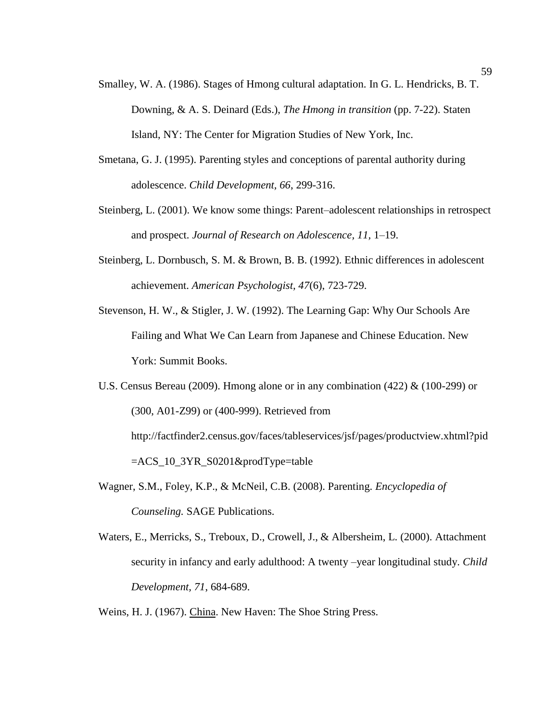- Smalley, W. A. (1986). Stages of Hmong cultural adaptation. In G. L. Hendricks, B. T. Downing, & A. S. Deinard (Eds.), *The Hmong in transition* (pp. 7-22). Staten Island, NY: The Center for Migration Studies of New York, Inc.
- Smetana, G. J. (1995). Parenting styles and conceptions of parental authority during adolescence. *Child Development, 66*, 299-316.
- Steinberg, L. (2001). We know some things: Parent–adolescent relationships in retrospect and prospect. *Journal of Research on Adolescence, 11,* 1–19.
- Steinberg, L. Dornbusch, S. M. & Brown, B. B. (1992). Ethnic differences in adolescent achievement. *American Psychologist, 47*(6), 723-729.
- Stevenson, H. W., & Stigler, J. W. (1992). The Learning Gap: Why Our Schools Are Failing and What We Can Learn from Japanese and Chinese Education. New York: Summit Books.
- U.S. Census Bereau (2009). Hmong alone or in any combination (422) & (100-299) or (300, A01-Z99) or (400-999). Retrieved from http://factfinder2.census.gov/faces/tableservices/jsf/pages/productview.xhtml?pid =ACS\_10\_3YR\_S0201&prodType=table
- Wagner, S.M., Foley, K.P., & McNeil, C.B. (2008). Parenting. *Encyclopedia of Counseling.* SAGE Publications.
- Waters, E., Merricks, S., Treboux, D., Crowell, J., & Albersheim, L. (2000). Attachment security in infancy and early adulthood: A twenty –year longitudinal study. *Child Development, 71*, 684-689.
- Weins, H. J. (1967). China. New Haven: The Shoe String Press.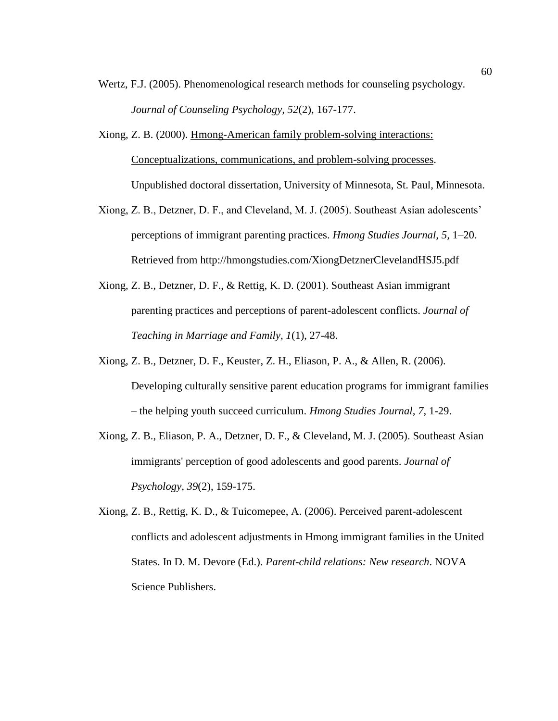- Wertz, F.J. (2005). Phenomenological research methods for counseling psychology. *Journal of Counseling Psychology, 52*(2), 167-177.
- Xiong, Z. B. (2000). Hmong-American family problem-solving interactions: Conceptualizations, communications, and problem-solving processes. Unpublished doctoral dissertation, University of Minnesota, St. Paul, Minnesota.
- Xiong, Z. B., Detzner, D. F., and Cleveland, M. J. (2005). Southeast Asian adolescents' perceptions of immigrant parenting practices. *Hmong Studies Journal, 5,* 1–20. Retrieved from http://hmongstudies.com/XiongDetznerClevelandHSJ5.pdf
- Xiong, Z. B., Detzner, D. F., & Rettig, K. D. (2001). Southeast Asian immigrant parenting practices and perceptions of parent-adolescent conflicts. *Journal of Teaching in Marriage and Family, 1*(1), 27-48.
- Xiong, Z. B., Detzner, D. F., Keuster, Z. H., Eliason, P. A., & Allen, R. (2006). Developing culturally sensitive parent education programs for immigrant families – the helping youth succeed curriculum. *Hmong Studies Journal, 7*, 1-29.
- Xiong, Z. B., Eliason, P. A., Detzner, D. F., & Cleveland, M. J. (2005). Southeast Asian immigrants' perception of good adolescents and good parents. *Journal of Psychology, 39*(2), 159-175.
- Xiong, Z. B., Rettig, K. D., & Tuicomepee, A. (2006). Perceived parent-adolescent conflicts and adolescent adjustments in Hmong immigrant families in the United States. In D. M. Devore (Ed.). *Parent-child relations: New research*. NOVA Science Publishers.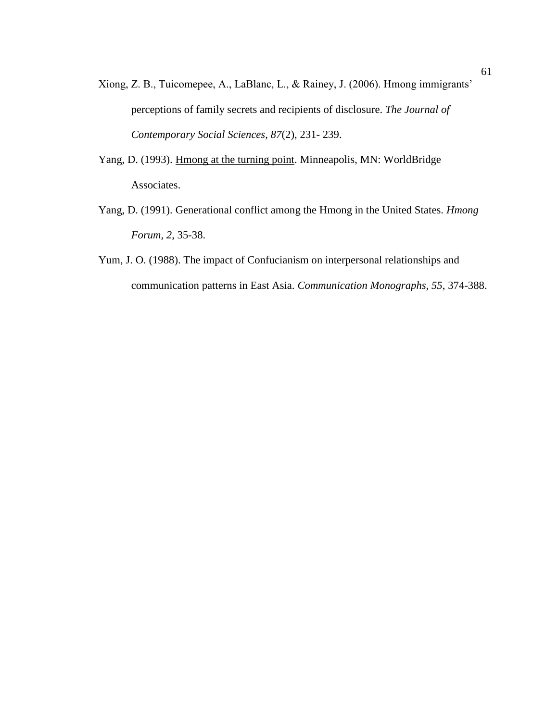- Xiong, Z. B., Tuicomepee, A., LaBlanc, L., & Rainey, J. (2006). Hmong immigrants' perceptions of family secrets and recipients of disclosure. *The Journal of Contemporary Social Sciences, 87*(2), 231- 239.
- Yang, D. (1993). Hmong at the turning point. Minneapolis, MN: WorldBridge Associates.
- Yang, D. (1991). Generational conflict among the Hmong in the United States. *Hmong Forum, 2*, 35-38.
- Yum, J. O. (1988). The impact of Confucianism on interpersonal relationships and communication patterns in East Asia. *Communication Monographs, 55*, 374-388.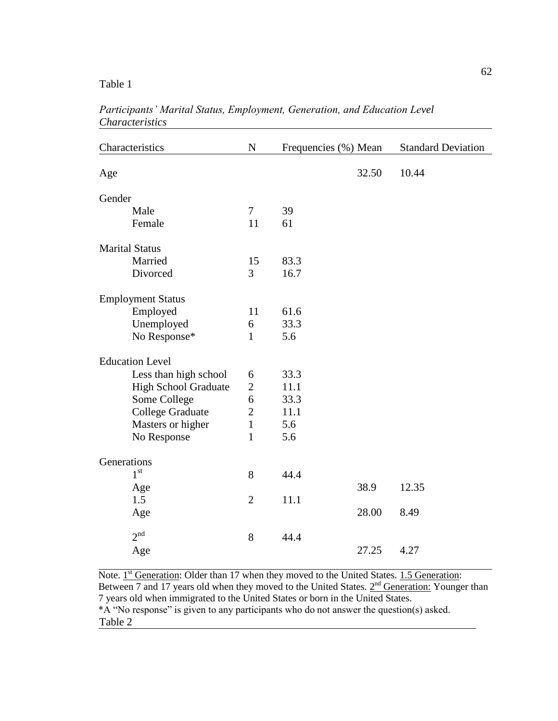Table 1

| Characteristics             | ${\bf N}$      | Frequencies (%) Mean |       | <b>Standard Deviation</b> |
|-----------------------------|----------------|----------------------|-------|---------------------------|
| Age                         |                |                      | 32.50 | 10.44                     |
| Gender                      |                |                      |       |                           |
| Male                        | $\overline{7}$ | 39                   |       |                           |
| Female                      | 11             | 61                   |       |                           |
| <b>Marital Status</b>       |                |                      |       |                           |
| Married                     | 15             | 83.3                 |       |                           |
| Divorced                    | 3              | 16.7                 |       |                           |
| <b>Employment Status</b>    |                |                      |       |                           |
| Employed                    | 11             | 61.6                 |       |                           |
| Unemployed                  | 6              | 33.3                 |       |                           |
| No Response*                | $\mathbf{1}$   | 5.6                  |       |                           |
| <b>Education Level</b>      |                |                      |       |                           |
| Less than high school       | 6              | 33.3                 |       |                           |
| <b>High School Graduate</b> | $\overline{2}$ | 11.1                 |       |                           |
| Some College                | 6              | 33.3                 |       |                           |
| College Graduate            | $\overline{2}$ | 11.1                 |       |                           |
| Masters or higher           | $\mathbf{1}$   | 5.6                  |       |                           |
| No Response                 | 1              | 5.6                  |       |                           |
| Generations                 |                |                      |       |                           |
| 1 <sup>st</sup>             | 8              | 44.4                 |       |                           |
| Age                         |                |                      | 38.9  | 12.35                     |
| 1.5                         | $\overline{2}$ | 11.1                 |       |                           |
| Age                         |                |                      | 28.00 | 8.49                      |
| 2 <sup>nd</sup>             | 8              | 44.4                 |       |                           |
| Age                         |                |                      | 27.25 | 4.27                      |

*Participants' Marital Status, Employment, Generation, and Education Level Characteristics*

Note.  $1<sup>st</sup>$  Generation: Older than 17 when they moved to the United States. 1.5 Generation: Between 7 and 17 years old when they moved to the United States.  $2<sup>nd</sup>$  Generation: Younger than 7 years old when immigrated to the United States or born in the United States. \*A "No response" is given to any participants who do not answer the question(s) asked. Table 2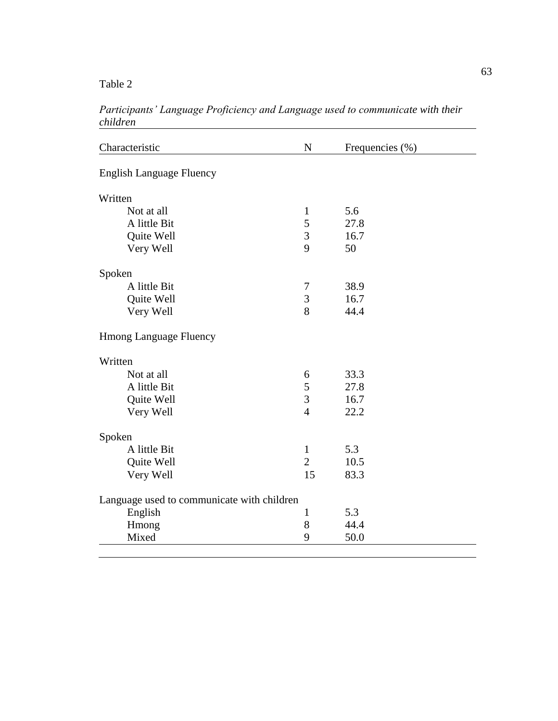Table 2

| Characteristic                             | $\mathbf N$    | Frequencies (%) |  |
|--------------------------------------------|----------------|-----------------|--|
| <b>English Language Fluency</b>            |                |                 |  |
| Written                                    |                |                 |  |
| Not at all                                 | $\mathbf{1}$   | 5.6             |  |
| A little Bit                               | 5              | 27.8            |  |
| Quite Well                                 | 3              | 16.7            |  |
| Very Well                                  | 9              | 50              |  |
| Spoken                                     |                |                 |  |
| A little Bit                               | 7              | 38.9            |  |
| Quite Well                                 | 3              | 16.7            |  |
| Very Well                                  | 8              | 44.4            |  |
| <b>Hmong Language Fluency</b>              |                |                 |  |
| Written                                    |                |                 |  |
| Not at all                                 | 6              | 33.3            |  |
| A little Bit                               | 5              | 27.8            |  |
| Quite Well                                 | 3              | 16.7            |  |
| Very Well                                  | $\overline{4}$ | 22.2            |  |
| Spoken                                     |                |                 |  |
| A little Bit                               | $\mathbf{1}$   | 5.3             |  |
| Quite Well                                 | $\overline{2}$ | 10.5            |  |
| Very Well                                  | 15             | 83.3            |  |
| Language used to communicate with children |                |                 |  |
| English                                    | $\mathbf{1}$   | 5.3             |  |
| Hmong                                      | 8              | 44.4            |  |
| Mixed                                      | 9              | 50.0            |  |

*Participants' Language Proficiency and Language used to communicate with their children*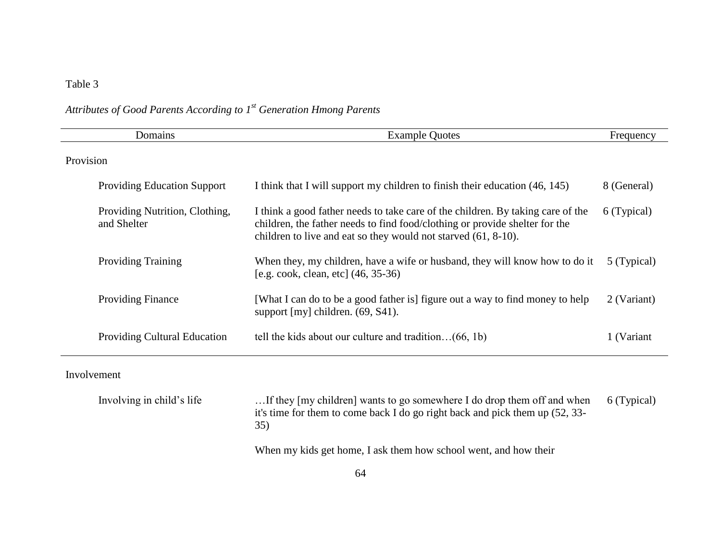## Table 3

# *Attributes of Good Parents According to 1st Generation Hmong Parents*

| Domains                                       | <b>Example Quotes</b>                                                                                                                                                                                                               | Frequency   |  |  |  |
|-----------------------------------------------|-------------------------------------------------------------------------------------------------------------------------------------------------------------------------------------------------------------------------------------|-------------|--|--|--|
| Provision                                     |                                                                                                                                                                                                                                     |             |  |  |  |
| <b>Providing Education Support</b>            | I think that I will support my children to finish their education (46, 145)                                                                                                                                                         | 8 (General) |  |  |  |
| Providing Nutrition, Clothing,<br>and Shelter | I think a good father needs to take care of the children. By taking care of the<br>children, the father needs to find food/clothing or provide shelter for the<br>children to live and eat so they would not starved $(61, 8-10)$ . | 6 (Typical) |  |  |  |
| <b>Providing Training</b>                     | When they, my children, have a wife or husband, they will know how to do it<br>[e.g. cook, clean, etc] (46, 35-36)                                                                                                                  | 5 (Typical) |  |  |  |
| <b>Providing Finance</b>                      | [What I can do to be a good father is] figure out a way to find money to help<br>support [my] children. (69, S41).                                                                                                                  | 2 (Variant) |  |  |  |
| <b>Providing Cultural Education</b>           | tell the kids about our culture and tradition $(66, 1b)$                                                                                                                                                                            | 1 (Variant  |  |  |  |
| Involvement                                   |                                                                                                                                                                                                                                     |             |  |  |  |
| Involving in child's life                     | If they [my children] wants to go somewhere I do drop them off and when                                                                                                                                                             | 6 (Typical) |  |  |  |

it's time for them to come back I do go right back and pick them up (52, 33- 35)

When my kids get home, I ask them how school went, and how their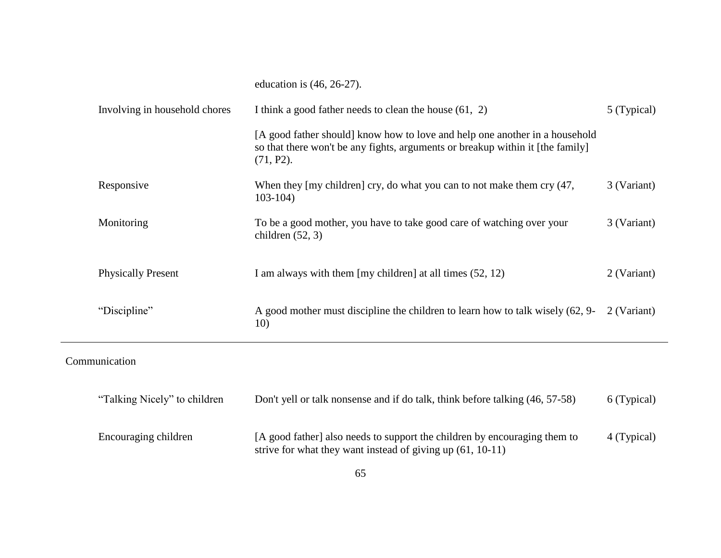|                               | education is $(46, 26-27)$ .                                                                                                                                                  |             |
|-------------------------------|-------------------------------------------------------------------------------------------------------------------------------------------------------------------------------|-------------|
| Involving in household chores | I think a good father needs to clean the house $(61, 2)$                                                                                                                      | 5 (Typical) |
|                               | [A good father should] know how to love and help one another in a household<br>so that there won't be any fights, arguments or breakup within it [the family]<br>$(71, P2)$ . |             |
| Responsive                    | When they [my children] cry, do what you can to not make them cry (47,<br>$103-104$                                                                                           | 3 (Variant) |
| Monitoring                    | To be a good mother, you have to take good care of watching over your<br>children $(52, 3)$                                                                                   | 3 (Variant) |
| <b>Physically Present</b>     | I am always with them [my children] at all times $(52, 12)$                                                                                                                   | 2 (Variant) |
| "Discipline"                  | A good mother must discipline the children to learn how to talk wisely (62, 9-<br>10)                                                                                         | 2 (Variant) |
|                               |                                                                                                                                                                               |             |

Communication

| "Talking Nicely" to children | Don't yell or talk nonsense and if do talk, think before talking (46, 57-58)                                                              | 6 (Typical) |
|------------------------------|-------------------------------------------------------------------------------------------------------------------------------------------|-------------|
| Encouraging children         | [A good father] also needs to support the children by encouraging them to<br>strive for what they want instead of giving up $(61, 10-11)$ | 4 (Typical) |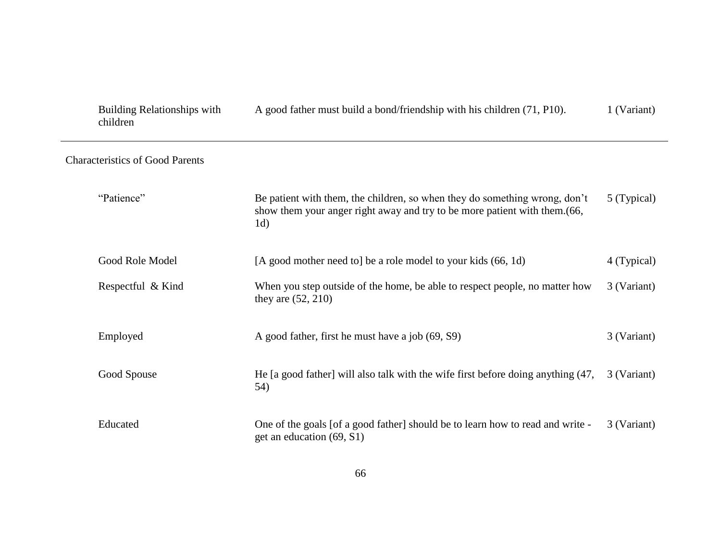| <b>Building Relationships with</b><br>children | A good father must build a bond/friendship with his children (71, P10).                                                                                                    | 1 (Variant) |
|------------------------------------------------|----------------------------------------------------------------------------------------------------------------------------------------------------------------------------|-------------|
| <b>Characteristics of Good Parents</b>         |                                                                                                                                                                            |             |
| "Patience"                                     | Be patient with them, the children, so when they do something wrong, don't<br>show them your anger right away and try to be more patient with them. (66,<br>1 <sub>d</sub> | 5 (Typical) |
| Good Role Model                                | [A good mother need to] be a role model to your kids (66, 1d)                                                                                                              | 4 (Typical) |
| Respectful & Kind                              | When you step outside of the home, be able to respect people, no matter how<br>they are $(52, 210)$                                                                        | 3 (Variant) |
| Employed                                       | A good father, first he must have a job (69, S9)                                                                                                                           | 3 (Variant) |
| Good Spouse                                    | He [a good father] will also talk with the wife first before doing anything (47,<br>54)                                                                                    | 3 (Variant) |
| Educated                                       | One of the goals [of a good father] should be to learn how to read and write -<br>get an education (69, S1)                                                                | 3 (Variant) |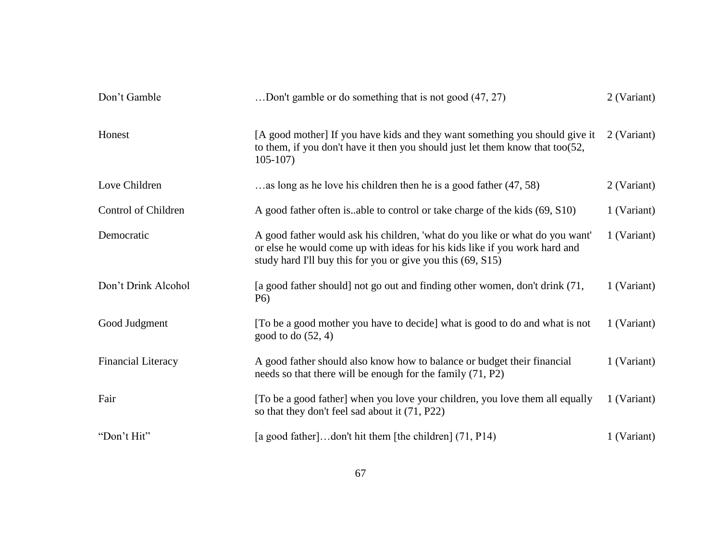| Don't Gamble              | Don't gamble or do something that is not good (47, 27).                                                                                                                                                                   | 2 (Variant) |
|---------------------------|---------------------------------------------------------------------------------------------------------------------------------------------------------------------------------------------------------------------------|-------------|
| Honest                    | [A good mother] If you have kids and they want something you should give it<br>to them, if you don't have it then you should just let them know that too $(52, 12)$<br>$105-107$                                          | 2 (Variant) |
| Love Children             | as long as he love his children then he is a good father (47, 58)                                                                                                                                                         | 2 (Variant) |
| Control of Children       | A good father often is able to control or take charge of the kids (69, S10)                                                                                                                                               | 1 (Variant) |
| Democratic                | A good father would ask his children, 'what do you like or what do you want'<br>or else he would come up with ideas for his kids like if you work hard and<br>study hard I'll buy this for you or give you this (69, S15) | 1 (Variant) |
| Don't Drink Alcohol       | [a good father should] not go out and finding other women, don't drink (71,<br>P <sub>6</sub> )                                                                                                                           | 1 (Variant) |
| Good Judgment             | [To be a good mother you have to decide] what is good to do and what is not<br>good to do $(52, 4)$                                                                                                                       | 1 (Variant) |
| <b>Financial Literacy</b> | A good father should also know how to balance or budget their financial<br>needs so that there will be enough for the family (71, P2)                                                                                     | 1 (Variant) |
| Fair                      | [To be a good father] when you love your children, you love them all equally<br>so that they don't feel sad about it (71, P22)                                                                                            | 1 (Variant) |
| "Don't Hit"               | [a good father]don't hit them [the children] (71, P14)                                                                                                                                                                    | 1 (Variant) |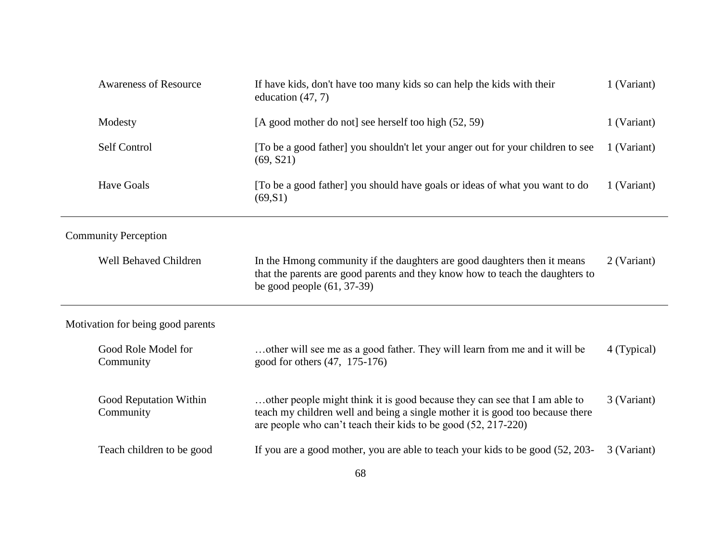| <b>Awareness of Resource</b><br>If have kids, don't have too many kids so can help the kids with their<br>education $(47, 7)$ |                                                                                                                                                                                                                               | 1 (Variant) |
|-------------------------------------------------------------------------------------------------------------------------------|-------------------------------------------------------------------------------------------------------------------------------------------------------------------------------------------------------------------------------|-------------|
| Modesty                                                                                                                       | [A good mother do not] see herself too high (52, 59)                                                                                                                                                                          | 1 (Variant) |
| Self Control                                                                                                                  | [To be a good father] you shouldn't let your anger out for your children to see<br>(69, S21)                                                                                                                                  |             |
| <b>Have Goals</b>                                                                                                             | [To be a good father] you should have goals or ideas of what you want to do<br>(69, S1)                                                                                                                                       | 1 (Variant) |
| <b>Community Perception</b>                                                                                                   |                                                                                                                                                                                                                               |             |
| Well Behaved Children                                                                                                         | In the Hmong community if the daughters are good daughters then it means<br>that the parents are good parents and they know how to teach the daughters to<br>be good people $(61, 37-39)$                                     | 2 (Variant) |
| Motivation for being good parents                                                                                             |                                                                                                                                                                                                                               |             |
| Good Role Model for<br>Community                                                                                              | other will see me as a good father. They will learn from me and it will be<br>good for others $(47, 175-176)$                                                                                                                 | 4 (Typical) |
| Good Reputation Within<br>Community                                                                                           | other people might think it is good because they can see that I am able to<br>teach my children well and being a single mother it is good too because there<br>are people who can't teach their kids to be good (52, 217-220) | 3 (Variant) |
| Teach children to be good                                                                                                     | If you are a good mother, you are able to teach your kids to be good (52, 203-                                                                                                                                                | 3 (Variant) |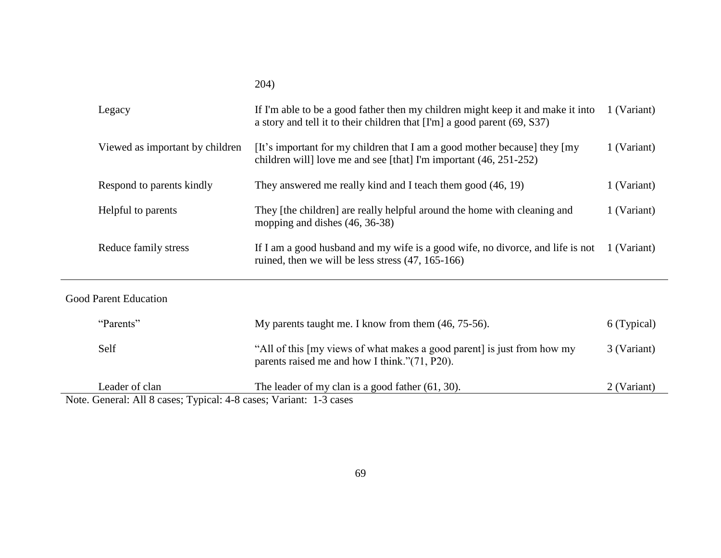|                                                                                     | 204)                                                                                                                                                        |             |
|-------------------------------------------------------------------------------------|-------------------------------------------------------------------------------------------------------------------------------------------------------------|-------------|
| Legacy                                                                              | If I'm able to be a good father then my children might keep it and make it into<br>a story and tell it to their children that [I'm] a good parent (69, S37) | 1 (Variant) |
| Viewed as important by children                                                     | [It's important for my children that I am a good mother because] they [my<br>children will] love me and see [that] I'm important (46, 251-252)              | 1 (Variant) |
| Respond to parents kindly                                                           | They answered me really kind and I teach them good (46, 19)                                                                                                 | 1 (Variant) |
| Helpful to parents                                                                  | They [the children] are really helpful around the home with cleaning and<br>mopping and dishes (46, 36-38)                                                  | 1 (Variant) |
| Reduce family stress                                                                | If I am a good husband and my wife is a good wife, no divorce, and life is not<br>ruined, then we will be less stress $(47, 165-166)$                       | 1 (Variant) |
| <b>Good Parent Education</b>                                                        |                                                                                                                                                             |             |
| "Parents"                                                                           | My parents taught me. I know from them (46, 75-56).                                                                                                         | 6 (Typical) |
| Self                                                                                | "All of this [my views of what makes a good parent] is just from how my<br>parents raised me and how I think."(71, P20).                                    | 3 (Variant) |
| Leader of clan<br>Note Conoral: All & casos: Typical: 4.8 casos: Verient: 1.3 casos | The leader of my clan is a good father $(61, 30)$ .                                                                                                         | 2 (Variant) |

Note. General: All 8 cases; Typical: 4-8 cases; Variant: 1-3 cases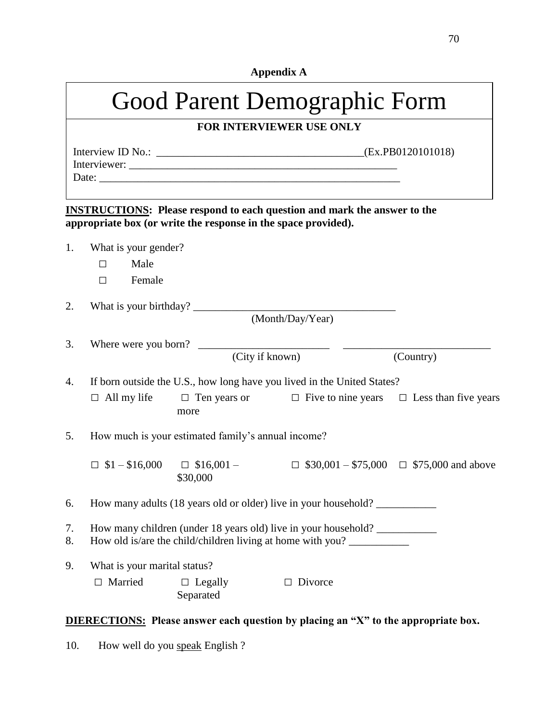| <b>Appendix A</b> |
|-------------------|
|-------------------|

|          | Good Parent Demographic Form                           |                                                    |                                                                                                                                                      |                                                      |  |
|----------|--------------------------------------------------------|----------------------------------------------------|------------------------------------------------------------------------------------------------------------------------------------------------------|------------------------------------------------------|--|
|          |                                                        |                                                    | FOR INTERVIEWER USE ONLY                                                                                                                             |                                                      |  |
|          |                                                        |                                                    |                                                                                                                                                      |                                                      |  |
|          |                                                        |                                                    | <b>INSTRUCTIONS:</b> Please respond to each question and mark the answer to the<br>appropriate box (or write the response in the space provided).    |                                                      |  |
| 1.       | What is your gender?<br>Male<br>$\Box$<br>Female<br>П. |                                                    |                                                                                                                                                      |                                                      |  |
| 2.       | What is your birthday?                                 |                                                    | (Month/Day/Year)                                                                                                                                     |                                                      |  |
| 3.       | Where were you born?                                   |                                                    | (City if known)                                                                                                                                      | (Country)                                            |  |
| 4.       | $\Box$ All my life                                     | more                                               | If born outside the U.S., how long have you lived in the United States?<br>$\Box$ Ten years or $\Box$ Five to nine years $\Box$ Less than five years |                                                      |  |
| 5.       |                                                        | How much is your estimated family's annual income? |                                                                                                                                                      |                                                      |  |
|          | $\Box$ \$1 - \$16,000 $\Box$ \$16,001 -                | \$30,000                                           |                                                                                                                                                      | $\Box$ \$30,001 - \$75,000 $\Box$ \$75,000 and above |  |
| 6.       |                                                        |                                                    | How many adults (18 years old or older) live in your household?                                                                                      |                                                      |  |
| 7.<br>8. |                                                        |                                                    | How many children (under 18 years old) live in your household?<br>How old is/are the child/children living at home with you?                         |                                                      |  |
| 9.       | What is your marital status?<br>Married<br>$\Box$      | $\Box$ Legally<br>Separated                        | $\Box$ Divorce                                                                                                                                       |                                                      |  |

# **DIERECTIONS: Please answer each question by placing an "X" to the appropriate box.**

10. How well do you speak English ?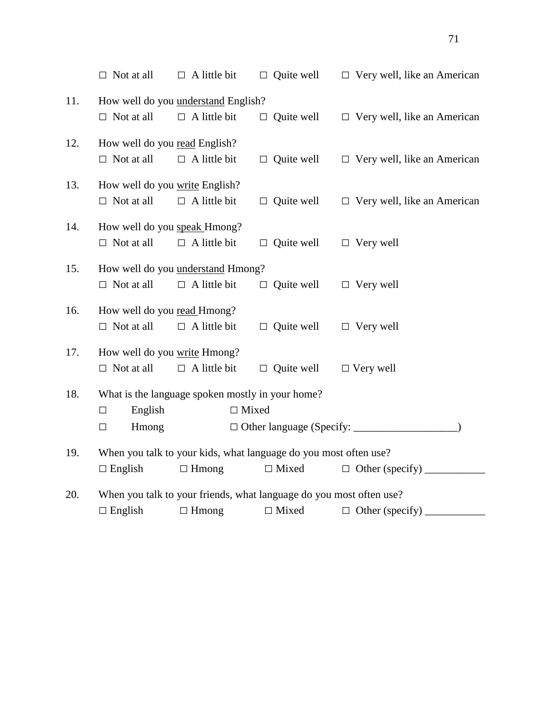|     | $\Box$ Not at all                                                | $\Box$ A little bit                              | $\Box$ Quite well                                                   | $\Box$ Very well, like an American |  |
|-----|------------------------------------------------------------------|--------------------------------------------------|---------------------------------------------------------------------|------------------------------------|--|
| 11. |                                                                  | How well do you understand English?              |                                                                     |                                    |  |
|     | $\Box$ Not at all                                                | $\Box$ A little bit                              | $\Box$ Quite well                                                   | $\Box$ Very well, like an American |  |
| 12. | How well do you read English?                                    |                                                  |                                                                     |                                    |  |
|     | $\Box$ Not at all                                                | $\Box$ A little bit                              | $\Box$ Quite well                                                   | $\Box$ Very well, like an American |  |
| 13. | How well do you write English?                                   |                                                  |                                                                     |                                    |  |
|     | $\Box$ Not at all                                                | $\Box$ A little bit                              | $\Box$ Quite well                                                   | $\Box$ Very well, like an American |  |
| 14. | How well do you speak Hmong?                                     |                                                  |                                                                     |                                    |  |
|     | $\Box$ Not at all                                                | $\Box$ A little bit                              | $\Box$ Quite well                                                   | $\Box$ Very well                   |  |
| 15. |                                                                  | How well do you understand Hmong?                |                                                                     |                                    |  |
|     | $\Box$ Not at all                                                | $\Box$ A little bit                              | $\Box$ Quite well                                                   | $\Box$ Very well                   |  |
| 16. | How well do you read Hmong?                                      |                                                  |                                                                     |                                    |  |
|     | $\Box$ Not at all                                                | $\Box$ A little bit                              | $\Box$ Quite well                                                   | $\Box$ Very well                   |  |
| 17. | How well do you write Hmong?                                     |                                                  |                                                                     |                                    |  |
|     | $\Box$ Not at all                                                | $\Box$ A little bit                              | $\Box$ Quite well                                                   | $\Box$ Very well                   |  |
| 18. |                                                                  | What is the language spoken mostly in your home? |                                                                     |                                    |  |
|     | English<br>$\Box$                                                | $\Box$ Mixed                                     |                                                                     |                                    |  |
|     | Hmong<br>$\Box$                                                  |                                                  |                                                                     |                                    |  |
| 19. | When you talk to your kids, what language do you most often use? |                                                  |                                                                     |                                    |  |
|     | $\Box$ English                                                   | $\Box$ Hmong                                     | $\Box$ Mixed                                                        | $\Box$ Other (specify)             |  |
| 20. |                                                                  |                                                  | When you talk to your friends, what language do you most often use? |                                    |  |
|     | $\Box$ English                                                   | $\Box$ Hmong                                     | $\Box$ Mixed                                                        | $\Box$ Other (specify)             |  |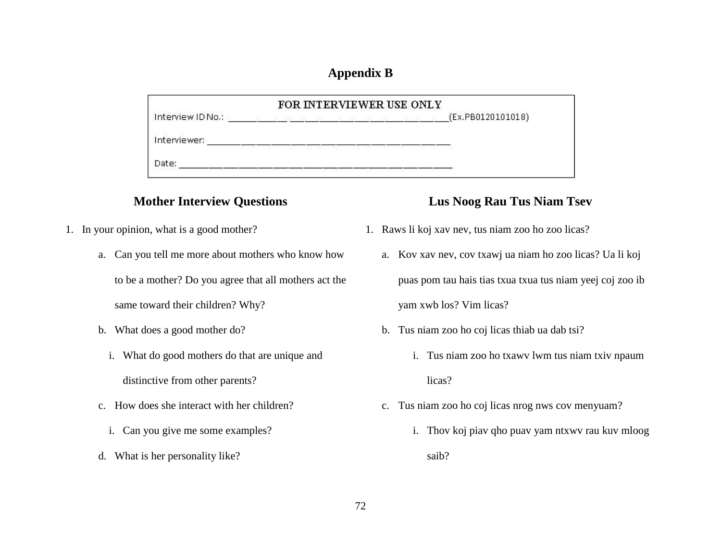### **Appendix B**

|                   | FOR INTERVIEWER USE ONLY |                   |
|-------------------|--------------------------|-------------------|
| Interview ID No.: |                          | (Ex.PB0120101018) |
| Interviewer:      |                          |                   |
| Date:             |                          |                   |

- 1. In your opinion, what is a good mother?
	- a. Can you tell me more about mothers who know how to be a mother? Do you agree that all mothers act the

same toward their children? Why?

- b. What does a good mother do?
	- i. What do good mothers do that are unique and distinctive from other parents?
- c. How does she interact with her children?
	- i. Can you give me some examples?
- d. What is her personality like?

## **Mother Interview Questions Lus Noog Rau Tus Niam Tsev**

- 1. Raws li koj xav nev, tus niam zoo ho zoo licas?
	- a. Kov xav nev, cov txawj ua niam ho zoo licas? Ua li koj puas pom tau hais tias txua txua tus niam yeej coj zoo ib yam xwb los? Vim licas?
	- b. Tus niam zoo ho coj licas thiab ua dab tsi?
		- i. Tus niam zoo ho txawv lwm tus niam txiv npaum licas?
	- c. Tus niam zoo ho coj licas nrog nws cov menyuam?
		- i. Thov koj piav qho puav yam ntxwv rau kuv mloog saib?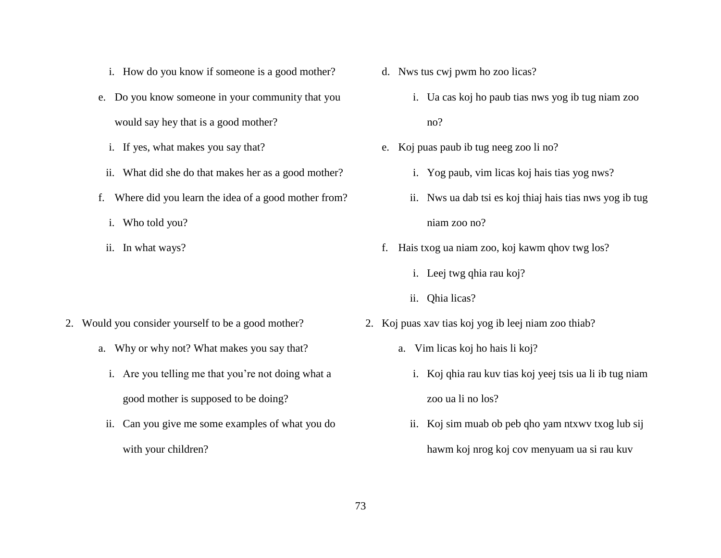- i. How do you know if someone is a good mother?
- e. Do you know someone in your community that you would say hey that is a good mother?
	- i. If yes, what makes you say that?
	- ii. What did she do that makes her as a good mother?
- f. Where did you learn the idea of a good mother from?
	- i. Who told you?
	- ii. In what ways?

- 2. Would you consider yourself to be a good mother?
	- a. Why or why not? What makes you say that?
		- i. Are you telling me that you're not doing what a good mother is supposed to be doing?
		- ii. Can you give me some examples of what you do with your children?
- d. Nws tus cwj pwm ho zoo licas?
	- i. Ua cas koj ho paub tias nws yog ib tug niam zoo no?
- e. Koj puas paub ib tug neeg zoo li no?
	- i. Yog paub, vim licas koj hais tias yog nws?
	- ii. Nws ua dab tsi es koj thiaj hais tias nws yog ib tug niam zoo no?
- f. Hais txog ua niam zoo, koj kawm qhov twg los?
	- i. Leej twg qhia rau koj?
	- ii. Qhia licas?
- 2. Koj puas xav tias koj yog ib leej niam zoo thiab?
	- a. Vim licas koj ho hais li koj?
		- i. Koj qhia rau kuv tias koj yeej tsis ua li ib tug niam zoo ua li no los?
		- ii. Koj sim muab ob peb qho yam ntxwv txog lub sij hawm koj nrog koj cov menyuam ua si rau kuv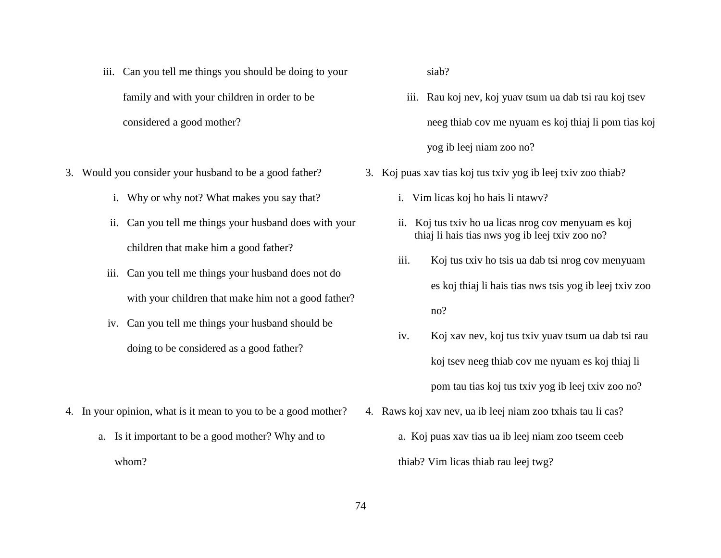- iii. Can you tell me things you should be doing to your family and with your children in order to be considered a good mother?
- 3. Would you consider your husband to be a good father?
	- i. Why or why not? What makes you say that?
	- ii. Can you tell me things your husband does with your children that make him a good father?
	- iii. Can you tell me things your husband does not do with your children that make him not a good father?
	- iv. Can you tell me things your husband should be doing to be considered as a good father?
- 4. In your opinion, what is it mean to you to be a good mother?
	- a. Is it important to be a good mother? Why and to whom?

siab?

- iii. Rau koj nev, koj yuav tsum ua dab tsi rau koj tsev neeg thiab cov me nyuam es koj thiaj li pom tias koj yog ib leej niam zoo no?
- 3. Koj puas xav tias koj tus txiv yog ib leej txiv zoo thiab?
	- i. Vim licas koj ho hais li ntawv?
	- ii. Koj tus txiv ho ua licas nrog cov menyuam es koj thiaj li hais tias nws yog ib leej txiv zoo no?
	- iii. Koj tus txiv ho tsis ua dab tsi nrog cov menyuam es koj thiaj li hais tias nws tsis yog ib leej txiv zoo no?
	- iv. Koj xav nev, koj tus txiv yuav tsum ua dab tsi rau koj tsev neeg thiab cov me nyuam es koj thiaj li pom tau tias koj tus txiv yog ib leej txiv zoo no?
- 4. Raws koj xav nev, ua ib leej niam zoo txhais tau li cas?
	- a. Koj puas xav tias ua ib leej niam zoo tseem ceeb thiab? Vim licas thiab rau leej twg?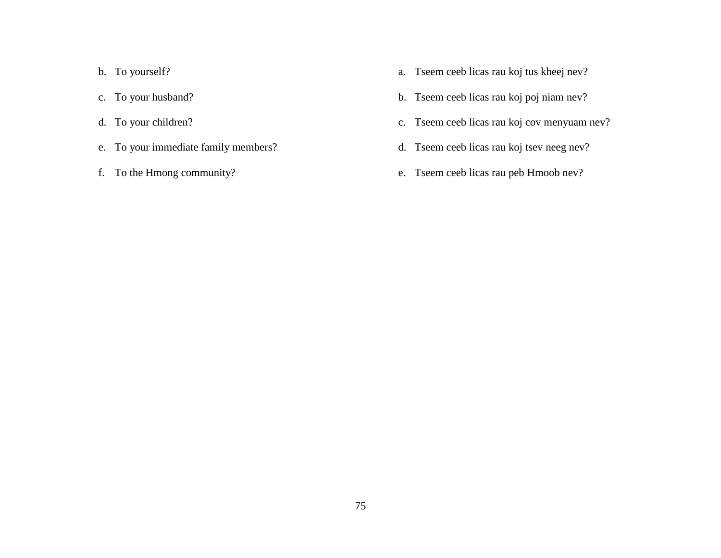- b. To yourself?
- c. To your husband?
- d. To your children?
- e. To your immediate family members?
- f. To the Hmong community?
- a. Tseem ceeb licas rau koj tus kheej nev?
- b. Tseem ceeb licas rau koj poj niam nev?
- c. Tseem ceeb licas rau koj cov menyuam nev?
- d. Tseem ceeb licas rau koj tsev neeg nev?
- e. Tseem ceeb licas rau peb Hmoob nev?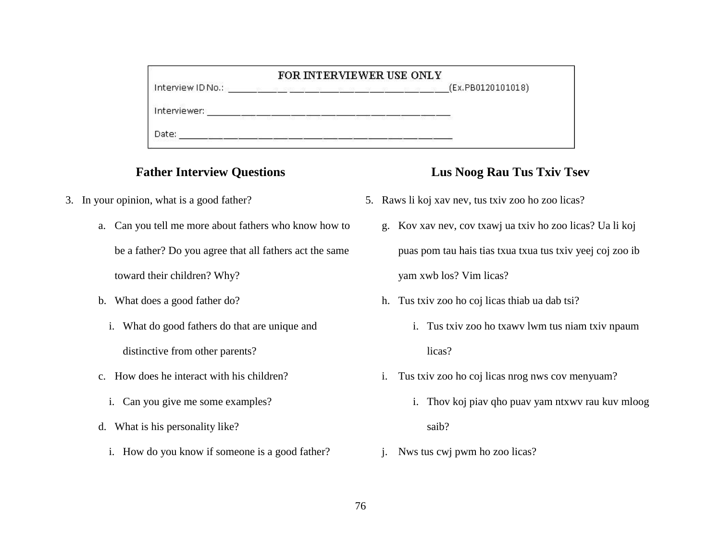| FOR INTERVIEWER USE ONLY |                   |  |  |  |
|--------------------------|-------------------|--|--|--|
| Interview ID No.:        | (Ex.PB0120101018) |  |  |  |
| Interviewer:             |                   |  |  |  |
| Date:                    |                   |  |  |  |

#### **Father Interview Questions**

- 3. In your opinion, what is a good father?
	- a. Can you tell me more about fathers who know how to be a father? Do you agree that all fathers act the same toward their children? Why?
	- b. What does a good father do?
		- i. What do good fathers do that are unique and distinctive from other parents?
	- c. How does he interact with his children?
		- i. Can you give me some examples?
	- d. What is his personality like?
		- i. How do you know if someone is a good father?

# **Lus Noog Rau Tus Txiv Tsev**

- 5. Raws li koj xav nev, tus txiv zoo ho zoo licas?
	- g. Kov xav nev, cov txawj ua txiv ho zoo licas? Ua li koj puas pom tau hais tias txua txua tus txiv yeej coj zoo ib yam xwb los? Vim licas?
	- h. Tus txiv zoo ho coj licas thiab ua dab tsi?
		- i. Tus txiv zoo ho txawv lwm tus niam txiv npaum licas?
	- i. Tus txiv zoo ho coj licas nrog nws cov menyuam?
		- i. Thov koj piav qho puav yam ntxwv rau kuv mloog saib?
	- j. Nws tus cwj pwm ho zoo licas?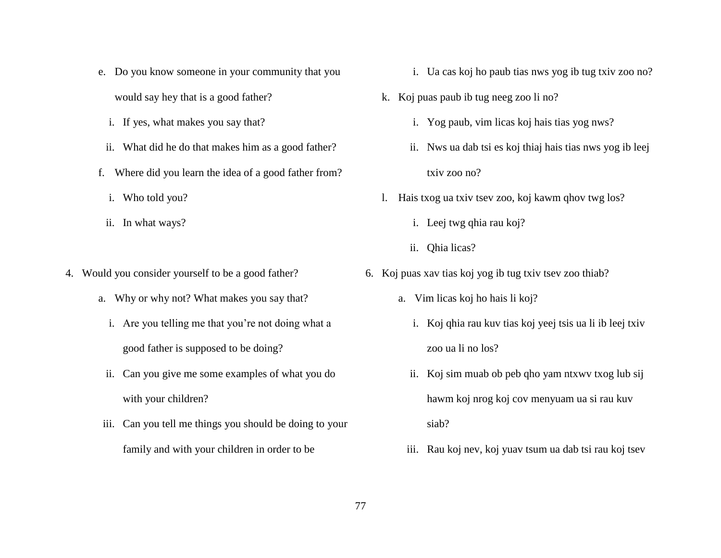- e. Do you know someone in your community that you would say hey that is a good father?
	- i. If yes, what makes you say that?
	- ii. What did he do that makes him as a good father?
- f. Where did you learn the idea of a good father from?
	- i. Who told you?
	- ii. In what ways?
- 4. Would you consider yourself to be a good father?
	- a. Why or why not? What makes you say that?
		- i. Are you telling me that you're not doing what a good father is supposed to be doing?
	- ii. Can you give me some examples of what you do with your children?
	- iii. Can you tell me things you should be doing to your family and with your children in order to be
- i. Ua cas koj ho paub tias nws yog ib tug txiv zoo no?
- k. Koj puas paub ib tug neeg zoo li no?
	- i. Yog paub, vim licas koj hais tias yog nws?
	- ii. Nws ua dab tsi es koj thiaj hais tias nws yog ib leej txiv zoo no?
- l. Hais txog ua txiv tsev zoo, koj kawm qhov twg los?
	- i. Leej twg qhia rau koj?
	- ii. Qhia licas?
- 6. Koj puas xav tias koj yog ib tug txiv tsev zoo thiab?
	- a. Vim licas koj ho hais li koj?
		- i. Koj qhia rau kuv tias koj yeej tsis ua li ib leej txiv zoo ua li no los?
		- ii. Koj sim muab ob peb qho yam ntxwv txog lub sij hawm koj nrog koj cov menyuam ua si rau kuv siab?
		- iii. Rau koj nev, koj yuav tsum ua dab tsi rau koj tsev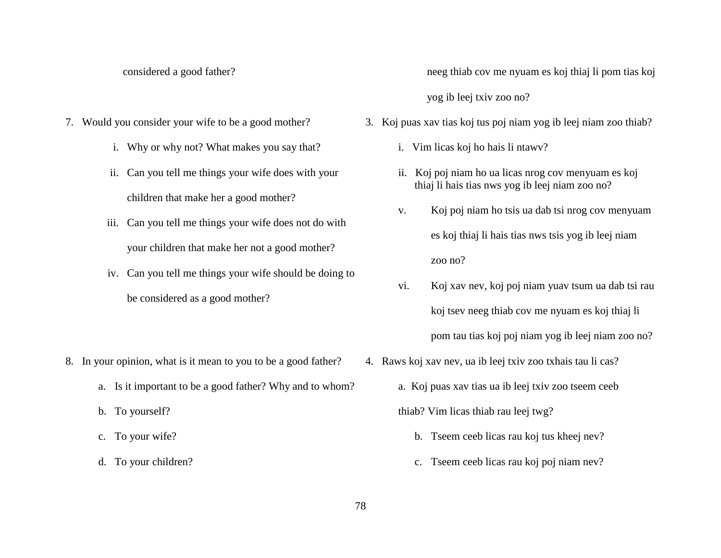- 7. Would you consider your wife to be a good mother?
	- i. Why or why not? What makes you say that?
	- ii. Can you tell me things your wife does with your children that make her a good mother?
	- iii. Can you tell me things your wife does not do with your children that make her not a good mother?
	- iv. Can you tell me things your wife should be doing to be considered as a good mother?
- 8. In your opinion, what is it mean to you to be a good father?
	- a. Is it important to be a good father? Why and to whom?
	- b. To yourself?
	- c. To your wife?
	- d. To your children?

considered a good father? neeg thiab cov me nyuam es koj thiaj li pom tias koj yog ib leej txiv zoo no?

- 3. Koj puas xav tias koj tus poj niam yog ib leej niam zoo thiab?
	- i. Vim licas koj ho hais li ntawv?
	- ii. Koj poj niam ho ua licas nrog cov menyuam es koj thiaj li hais tias nws yog ib leej niam zoo no?
	- v. Koj poj niam ho tsis ua dab tsi nrog cov menyuam es koj thiaj li hais tias nws tsis yog ib leej niam zoo no?
	- vi. Koj xav nev, koj poj niam yuav tsum ua dab tsi rau koj tsev neeg thiab cov me nyuam es koj thiaj li pom tau tias koj poj niam yog ib leej niam zoo no?
- 4. Raws koj xav nev, ua ib leej txiv zoo txhais tau li cas?
	- a. Koj puas xav tias ua ib leej txiv zoo tseem ceeb thiab? Vim licas thiab rau leej twg?
		- b. Tseem ceeb licas rau koj tus kheej nev?
		- c. Tseem ceeb licas rau koj poj niam nev?